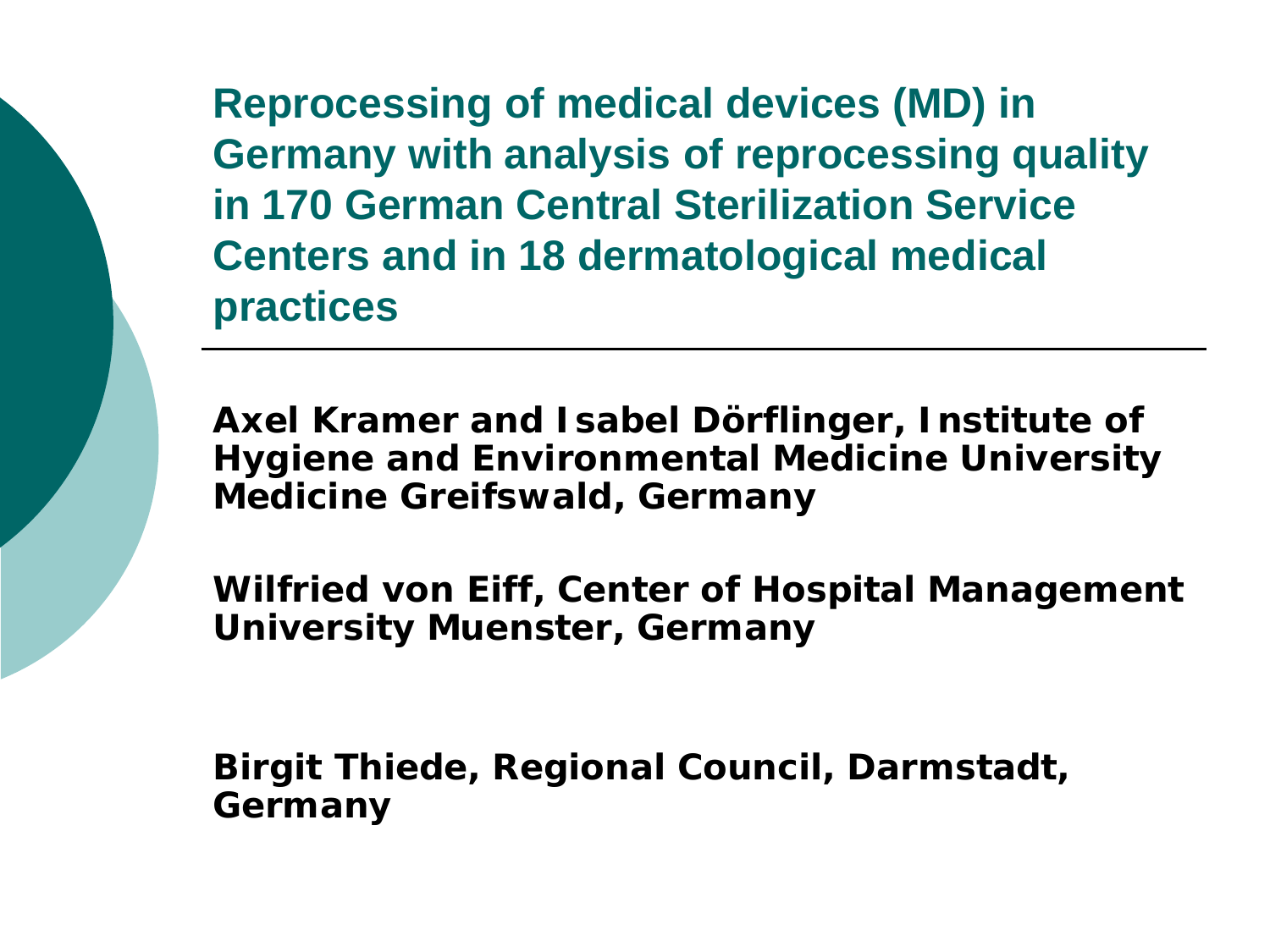**Reprocessing of medical devices (MD) in Germany with analysis of reprocessing quality in 170 German Central Sterilization Service Centers and in 18 dermatological medical practices**

**Axel Kramer and Isabel Dörflinger, Institute of Hygiene and Environmental Medicine University Medicine Greifswald, Germany** 

**Wilfried von Eiff, Center of Hospital Management University Muenster, Germany**

**Birgit Thiede, Regional Council, Darmstadt, Germany**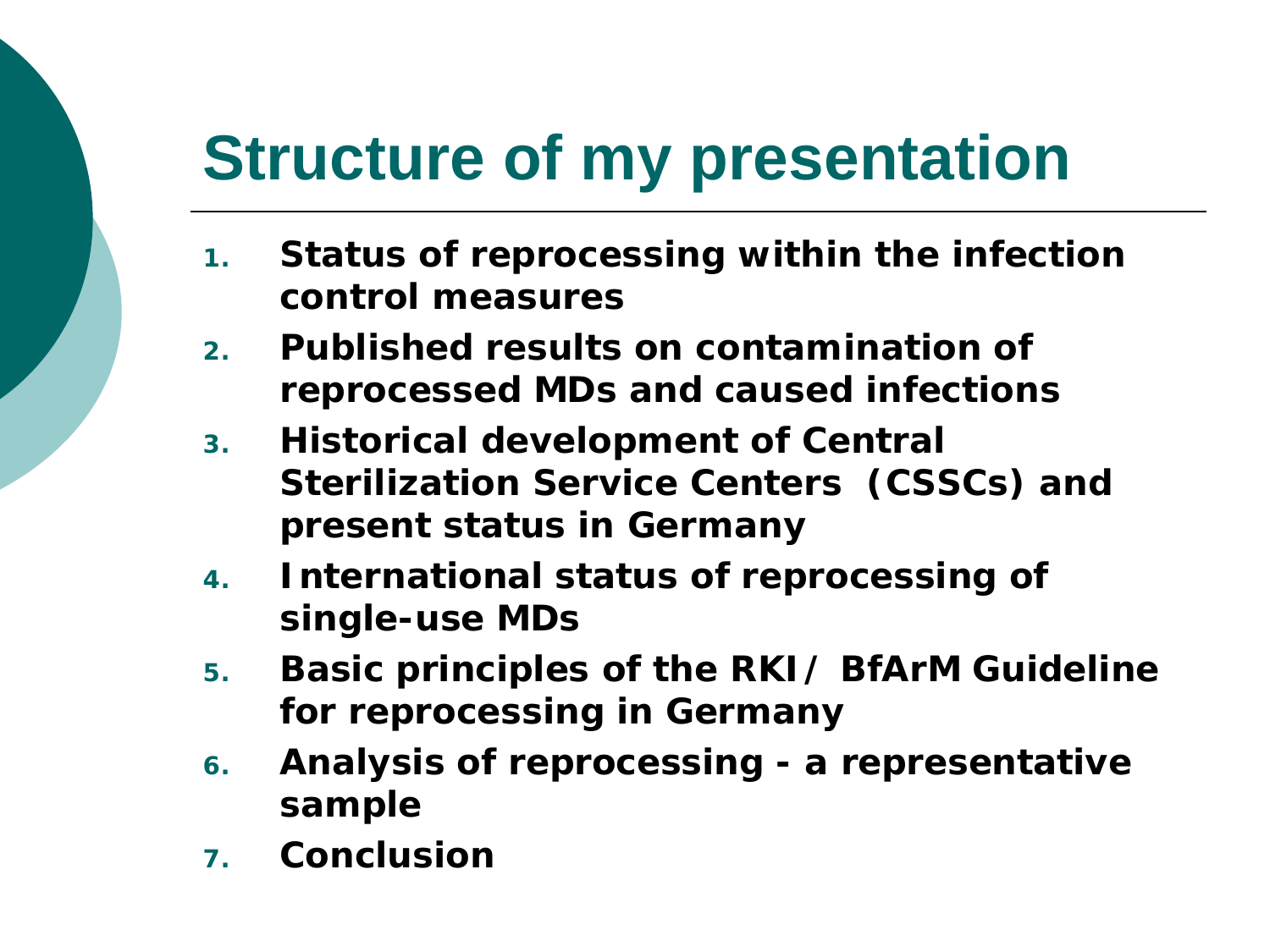# **Structure of my presentation**

- **1. Status of reprocessing within the infection control measures**
- **2. Published results on contamination of reprocessed MDs and caused infections**
- **3. Historical development of Central Sterilization Service Centers (CSSCs) and present status in Germany**
- **4. International status of reprocessing of single-use MDs**
- **5. Basic principles of the RKI/ BfArM Guideline for reprocessing in Germany**
- **6. Analysis of reprocessing - a representative sample**
- **7. Conclusion**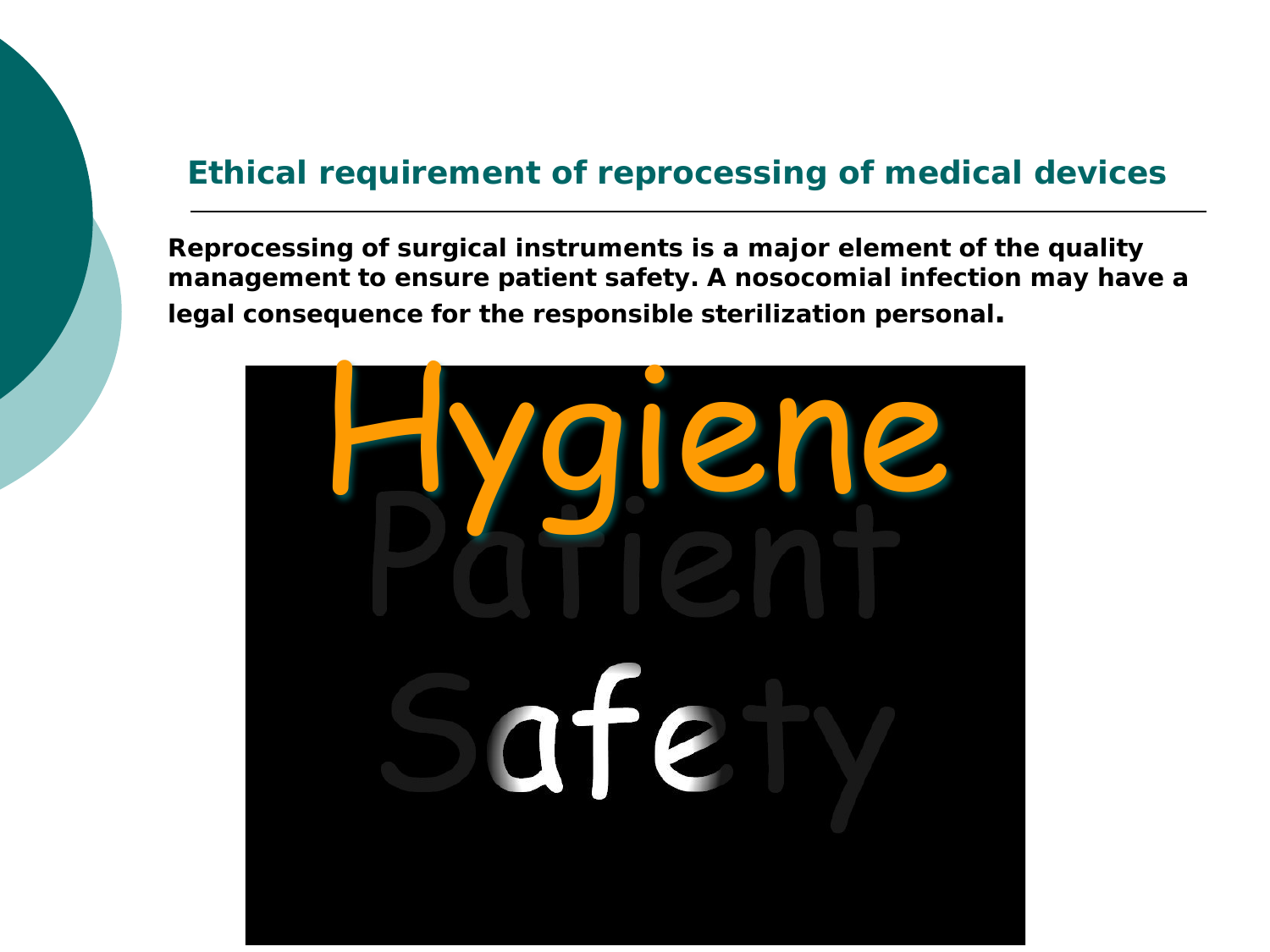#### **Ethical requirement of reprocessing of medical devices**

**Reprocessing of surgical instruments is a major element of the quality management to ensure patient safety. A nosocomial infection may have a legal consequence for the responsible sterilization personal.**

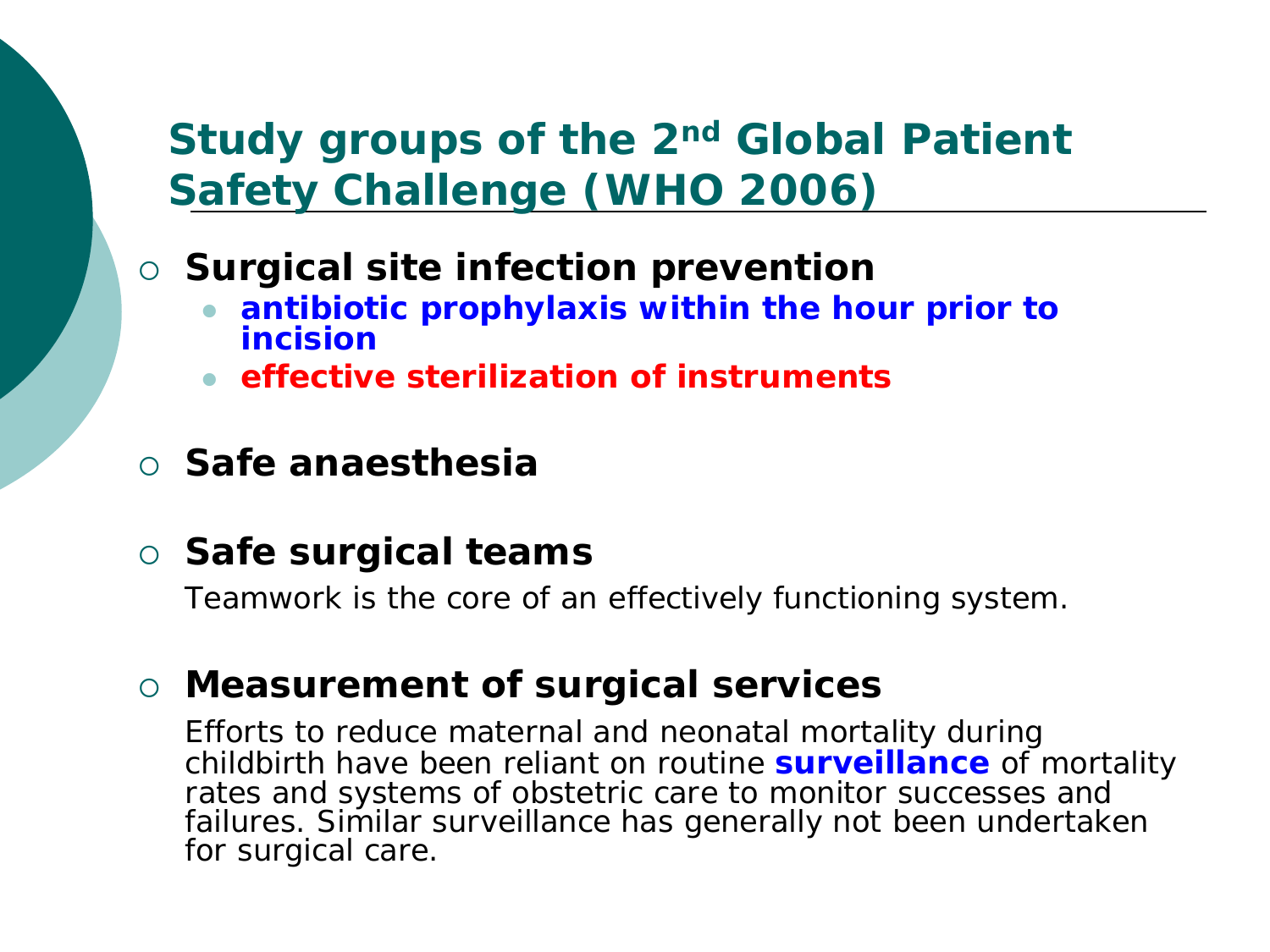#### **Study groups of the 2nd Global Patient Safety Challenge (WHO 2006)**

- **Surgical site infection prevention**
	- **antibiotic prophylaxis within the hour prior to incision**
	- **effective sterilization of instruments**
- **Safe anaesthesia**

#### **Safe surgical teams**

Teamwork is the core of an effectively functioning system.

#### **Measurement of surgical services**

Efforts to reduce maternal and neonatal mortality during childbirth have been reliant on routine **surveillance** of mortality rates and systems of obstetric care to monitor successes and failures. Similar surveillance has generally not been undertaken for surgical care.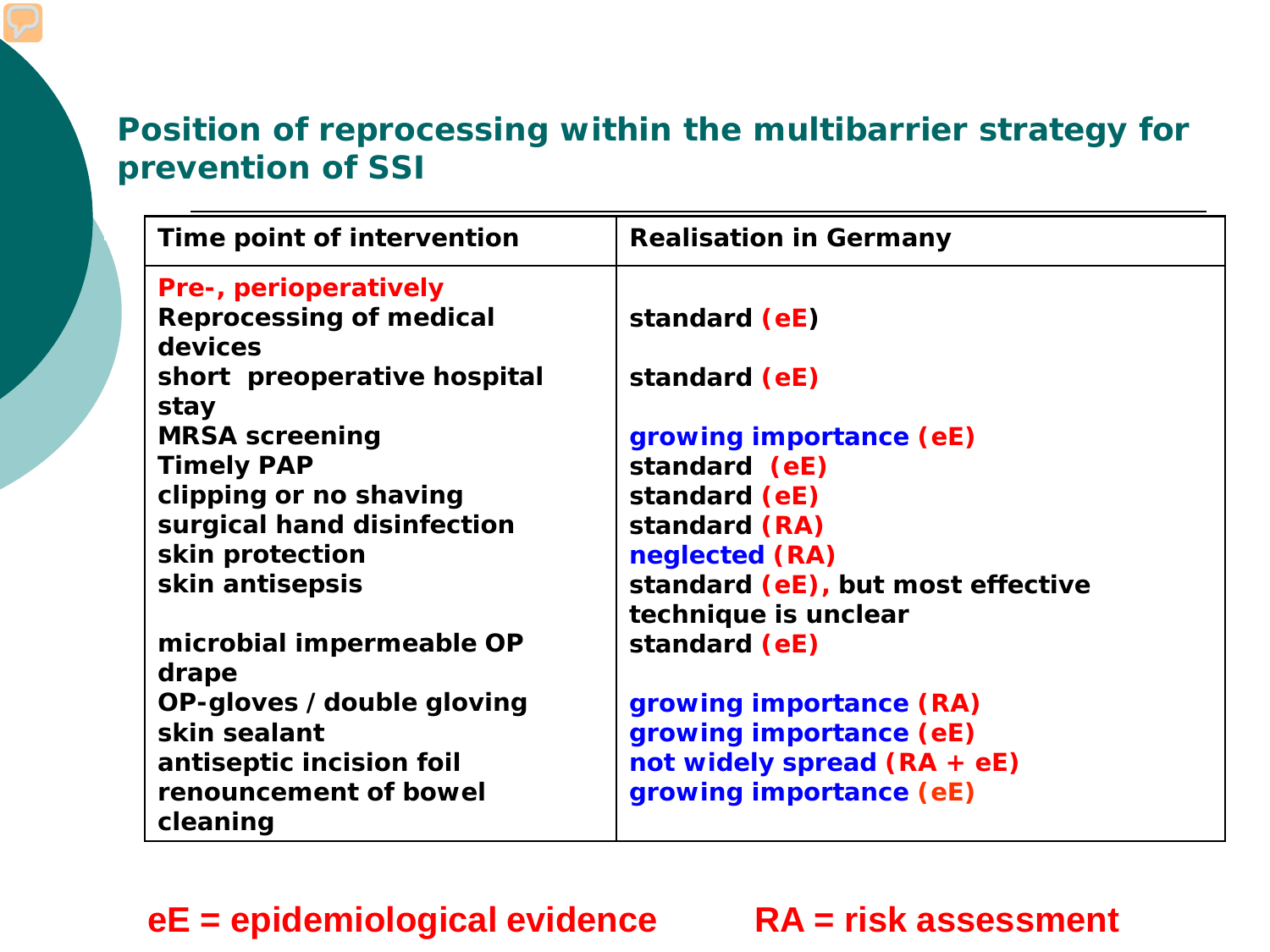#### **Position of reprocessing within the multibarrier strategy for prevention of SSI**

| Time point of intervention     | <b>Realisation in Germany</b>     |
|--------------------------------|-----------------------------------|
| <b>Pre-, perioperatively</b>   |                                   |
| <b>Reprocessing of medical</b> | standard (eE)                     |
| devices                        |                                   |
| short preoperative hospital    | standard (eE)                     |
| stay                           |                                   |
| <b>MRSA screening</b>          | growing importance (eE)           |
| <b>Timely PAP</b>              | standard (eE)                     |
| clipping or no shaving         | standard (eE)                     |
| surgical hand disinfection     | standard (RA)                     |
| skin protection                | neglected (RA)                    |
| skin antisepsis                | standard (eE), but most effective |
|                                | technique is unclear              |
| microbial impermeable OP       | standard (eE)                     |
| drape                          |                                   |
| OP-gloves /double gloving      | growing importance (RA)           |
| skin sealant                   | growing importance (eE)           |
| antiseptic incision foil       | not widely spread (RA + eE)       |
| renouncement of bowel          | growing importance (eE)           |
| cleaning                       |                                   |

#### **eE = epidemiological evidence RA = risk assessment**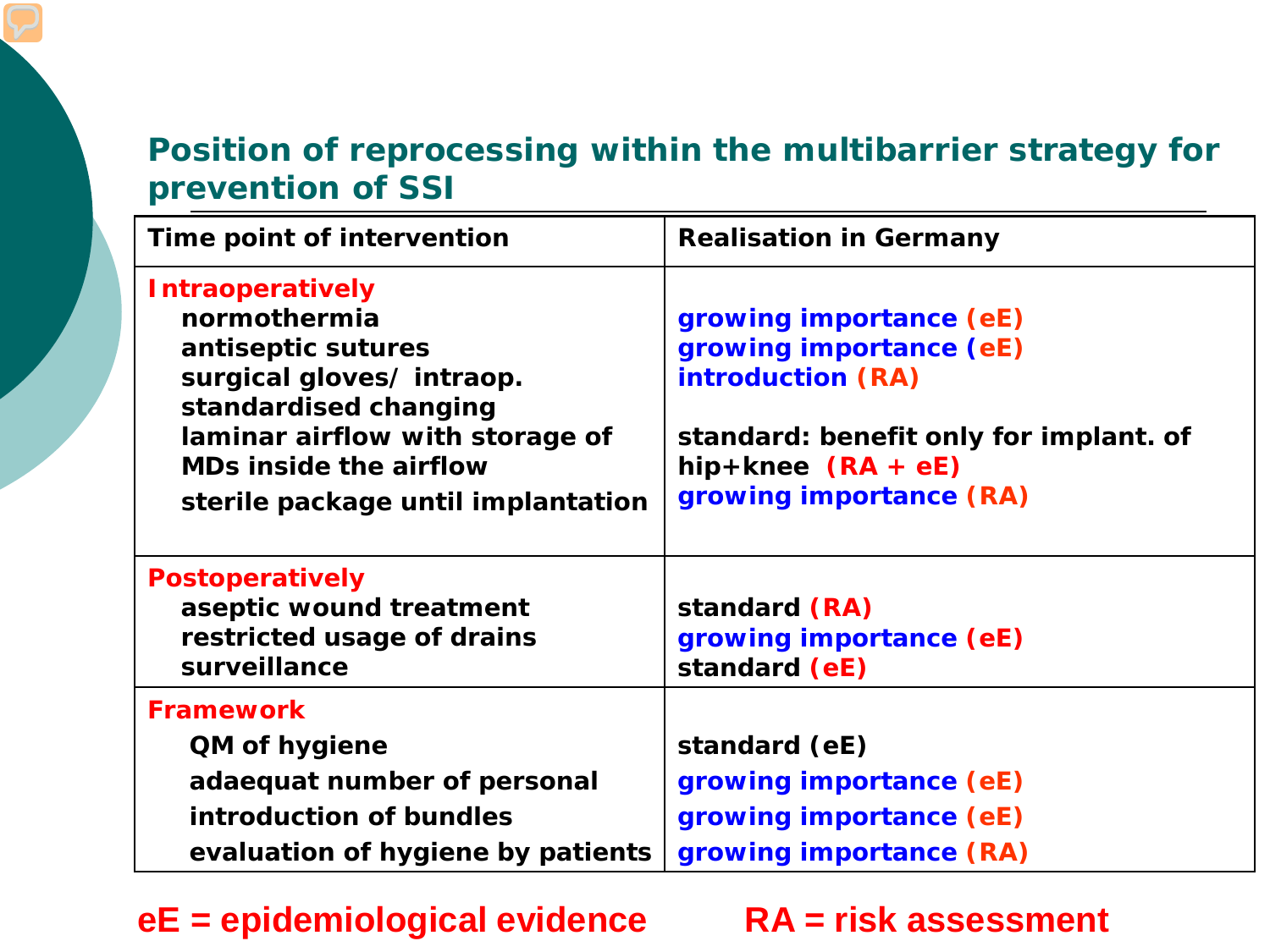#### **Position of reprocessing within the multibarrier strategy for prevention of SSI**

| Time point of intervention                                                                                                                                                                                                   | <b>Realisation in Germany</b>                                                                                                                                               |
|------------------------------------------------------------------------------------------------------------------------------------------------------------------------------------------------------------------------------|-----------------------------------------------------------------------------------------------------------------------------------------------------------------------------|
| <b>Intraoperatively</b><br>normothermia<br>antiseptic sutures<br>surgical gloves/intraop.<br>standardised changing<br>laminar airflow with storage of<br><b>MDs inside the airflow</b><br>sterile package until implantation | growing importance (eE)<br>growing importance (eE)<br><b>introduction (RA)</b><br>standard: benefit only for implant. of<br>hip+knee $(RA + eE)$<br>growing importance (RA) |
| <b>Postoperatively</b><br>aseptic wound treatment<br>restricted usage of drains<br>surveillance                                                                                                                              | standard (RA)<br>growing importance (eE)<br>standard (eE)                                                                                                                   |
| <b>Framework</b>                                                                                                                                                                                                             |                                                                                                                                                                             |
| <b>QM of hygiene</b>                                                                                                                                                                                                         | standard (eE)                                                                                                                                                               |
| adaequat number of personal                                                                                                                                                                                                  | growing importance (eE)                                                                                                                                                     |
| introduction of bundles                                                                                                                                                                                                      | growing importance (eE)                                                                                                                                                     |
| evaluation of hygiene by patients                                                                                                                                                                                            | growing importance (RA)                                                                                                                                                     |

**eE = epidemiological evidence RA = risk assessment**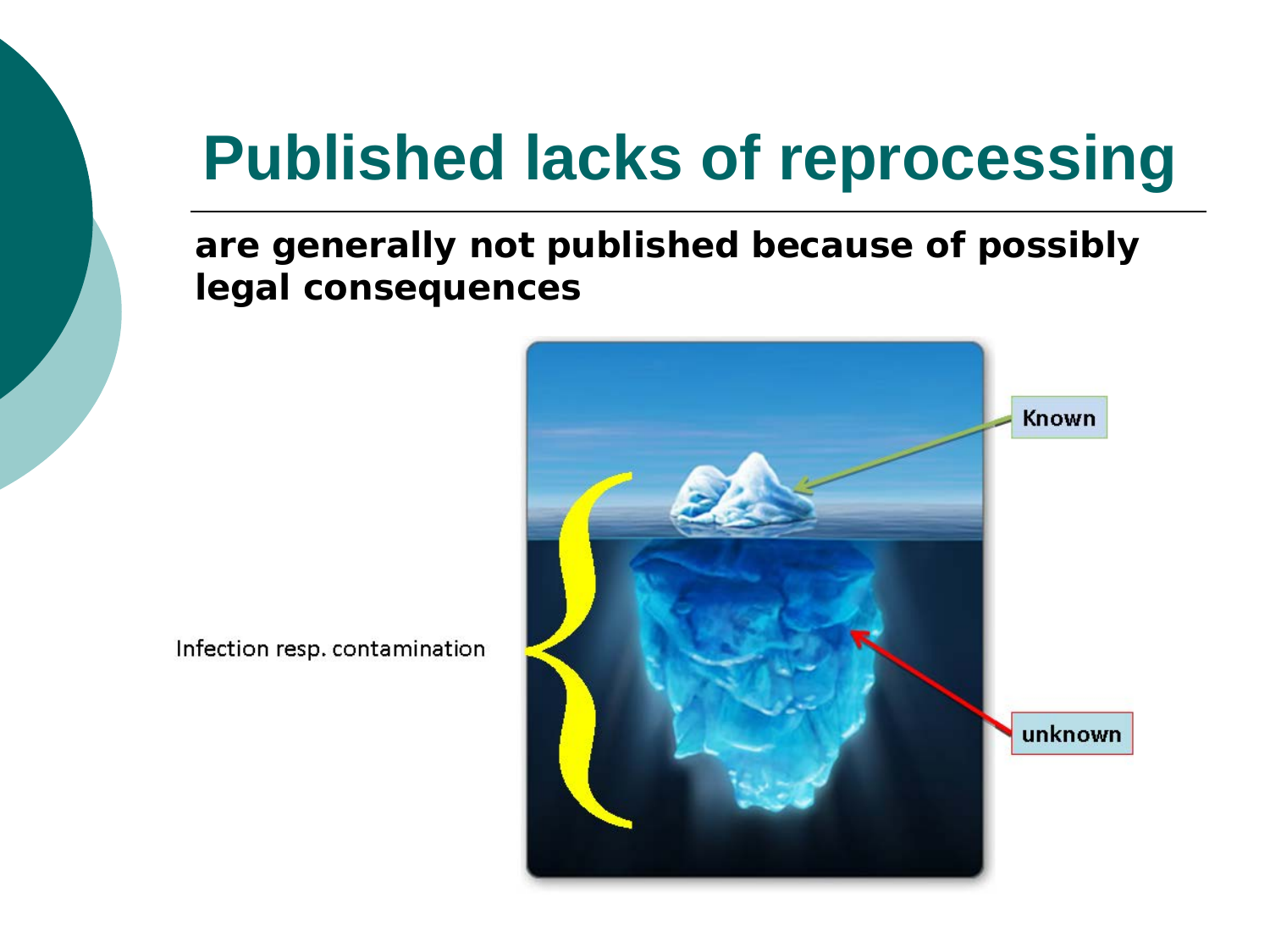## **Published lacks of reprocessing**

#### **are generally not published because of possibly legal consequences**



Infection resp. contamination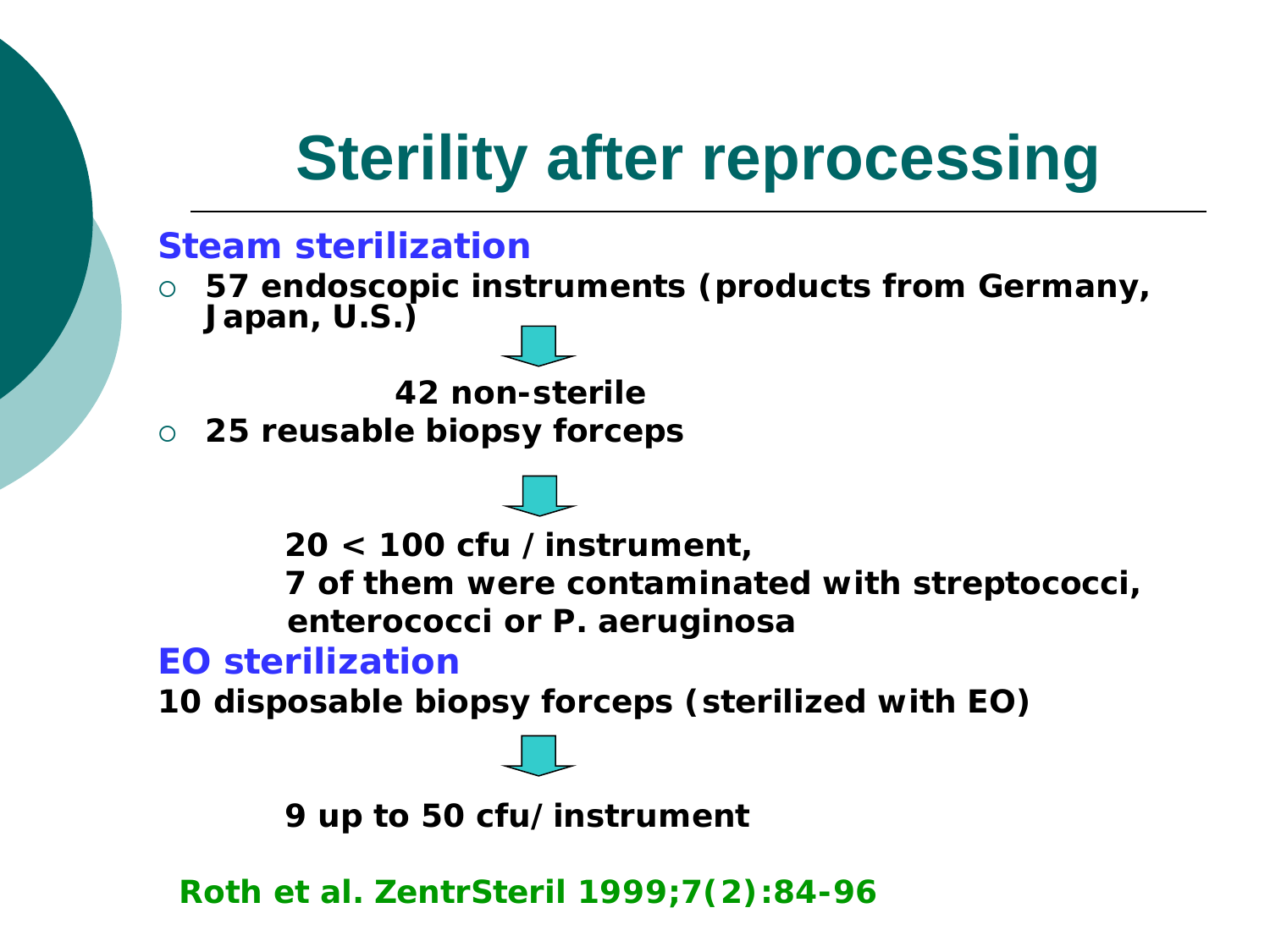## **Sterility after reprocessing**

#### **Steam sterilization**

 **57 endoscopic instruments (products from Germany, Japan, U.S.)** 

 **42 non-sterile**

**25 reusable biopsy forceps**

**20 < 100 cfu /instrument,** 

**7 of them were contaminated with streptococci, enterococci or** *P. aeruginosa*

#### **EO sterilization**

**10 disposable biopsy forceps (sterilized with EO)**

**9 up to 50 cfu/instrument**

 **Roth et al. ZentrSteril 1999;7(2):84-96**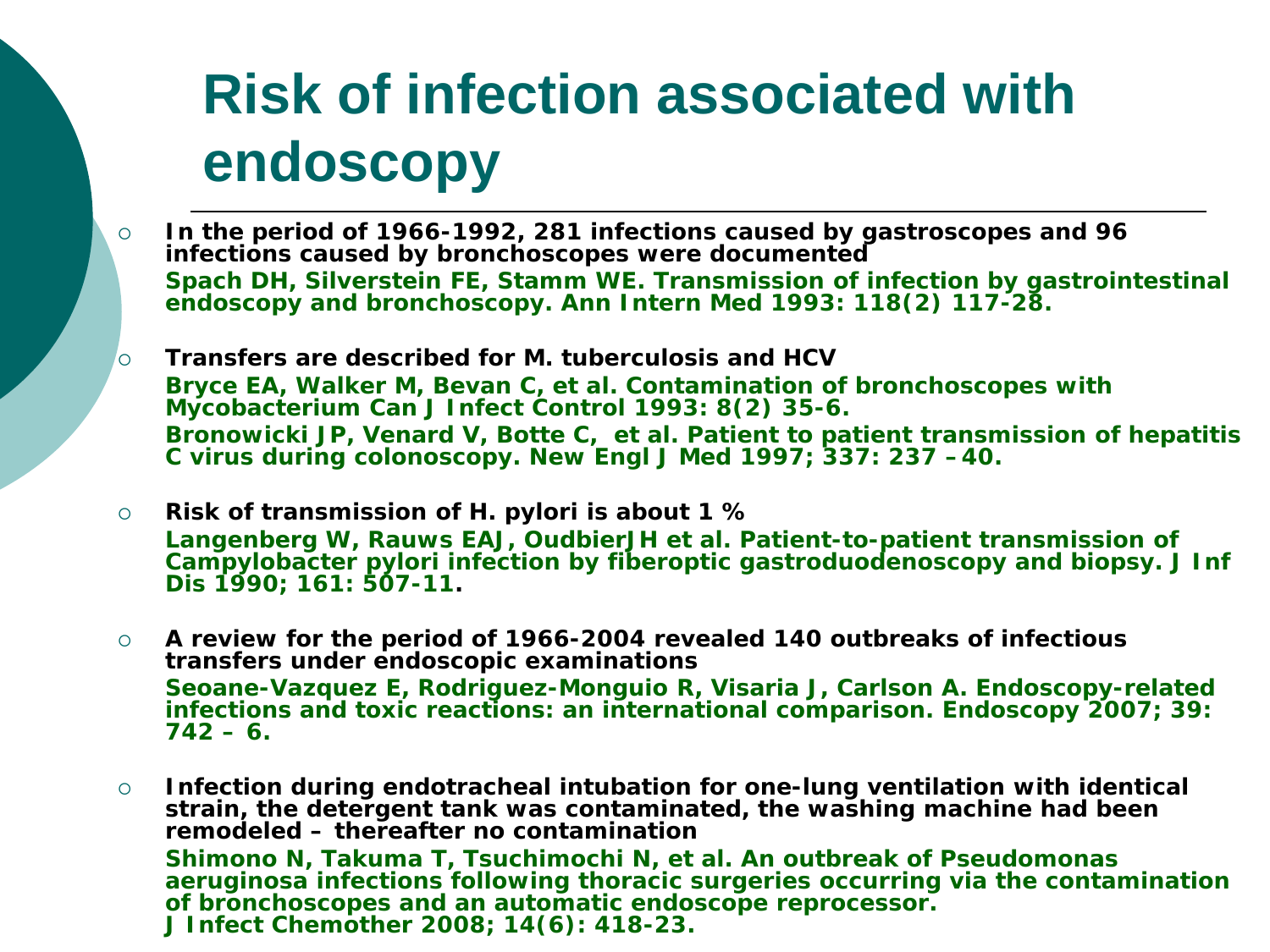## **Risk of infection associated with endoscopy**

- **In the period of 1966-1992, 281 infections caused by gastroscopes and 96 infections caused by bronchoscopes were documented Spach DH, Silverstein FE, Stamm WE. Transmission of infection by gastrointestinal endoscopy and bronchoscopy. Ann Intern Med 1993: 118(2) 117-28.**
- **Transfers are described for** *M. tuberculosis* **and HCV Bryce EA, Walker M, Bevan C, et al. Contamination of bronchoscopes with Mycobacterium Can J Infect Control 1993: 8(2) 35-6. Bronowicki JP, Venard V, Botte C, et al. Patient to patient transmission of hepatitis C virus during colonoscopy. New Engl J Med 1997; 337: 237 –40.**
- **Risk of transmission of** *H. pylori* **is about 1 % Langenberg W, Rauws EAJ, OudbierJH et al. Patient-to-patient transmission of Campylobacter pylori infection by fiberoptic gastroduodenoscopy and biopsy. J Inf Dis 1990; 161: 507-11.**
- **A review for the period of 1966-2004 revealed 140 outbreaks of infectious transfers under endoscopic examinations Seoane-Vazquez E, Rodriguez-Monguio R, Visaria J, Carlson A. Endoscopy-related infections and toxic reactions: an international comparison. Endoscopy 2007; 39: 742 – 6.**
- **Infection during endotracheal intubation for one-lung ventilation with identical strain, the detergent tank was contaminated, the washing machine had been remodeled – thereafter no contamination Shimono N, Takuma T, Tsuchimochi N, et al. An outbreak of Pseudomonas aeruginosa infections following thoracic surgeries occurring via the contamination of bronchoscopes and an automatic endoscope reprocessor. J Infect Chemother 2008; 14(6): 418-23.**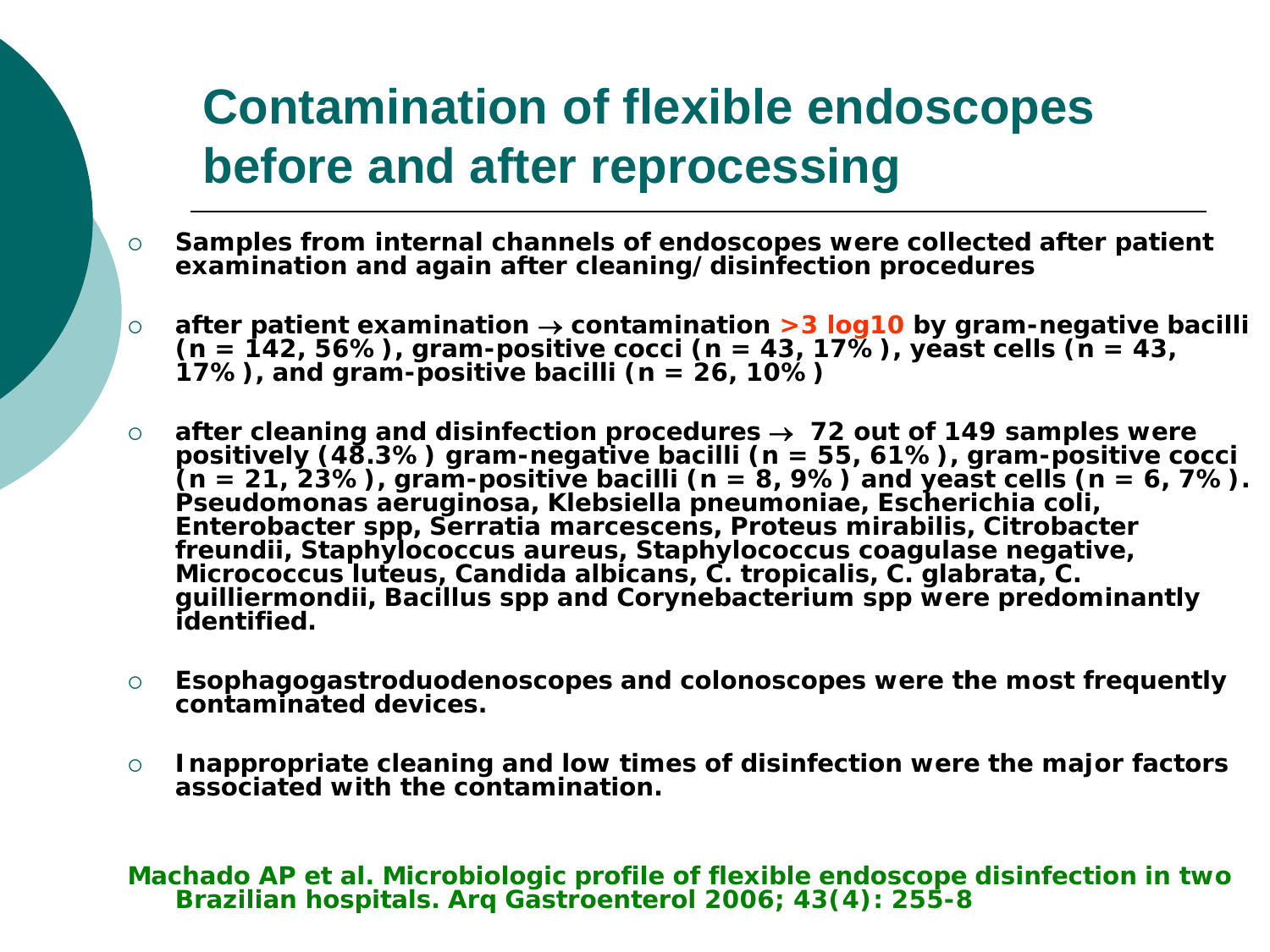### **Contamination of flexible endoscopes before and after reprocessing**

- **Samples from internal channels of endoscopes were collected after patient examination and again after cleaning/disinfection procedures**
- **after patient examination** <sup>→</sup> **contamination >3 log10 by gram-negative bacilli (n = 142, 56%), gram-positive cocci (n = 43, 17%), yeast cells (n = 43, 17%), and gram-positive bacilli (n = 26, 10%)**
- after cleaning and disinfection procedures  $\rightarrow$  72 out of 149 samples were positively (48.3%) gram-negative bacilli (n = 55, 61%), gram-positive cocci (n = 21, 23%), gram-positive bacilli (n = 8, 9%) and yeast cells (n *Pseudomonas aeruginosa, Klebsiella pneumoniae, Escherichia coli, Enterobacter spp, Serratia marcescens, Proteus mirabilis, Citrobacter freundii, Staphylococcus aureus, Staphylococcus coagulase negative, Micrococcus luteus, Candida albicans, C. tropicalis, C. glabrata, C. guilliermondii, Bacillus spp and Corynebacterium spp* **were predominantly identified.**
- **Esophagogastroduodenoscopes and colonoscopes were the most frequently contaminated devices.**
- **Inappropriate cleaning and low times of disinfection were the major factors associated with the contamination.**

**Machado AP et al. Microbiologic profile of flexible endoscope disinfection in two Brazilian hospitals. Arq Gastroenterol 2006; 43(4): 255-8**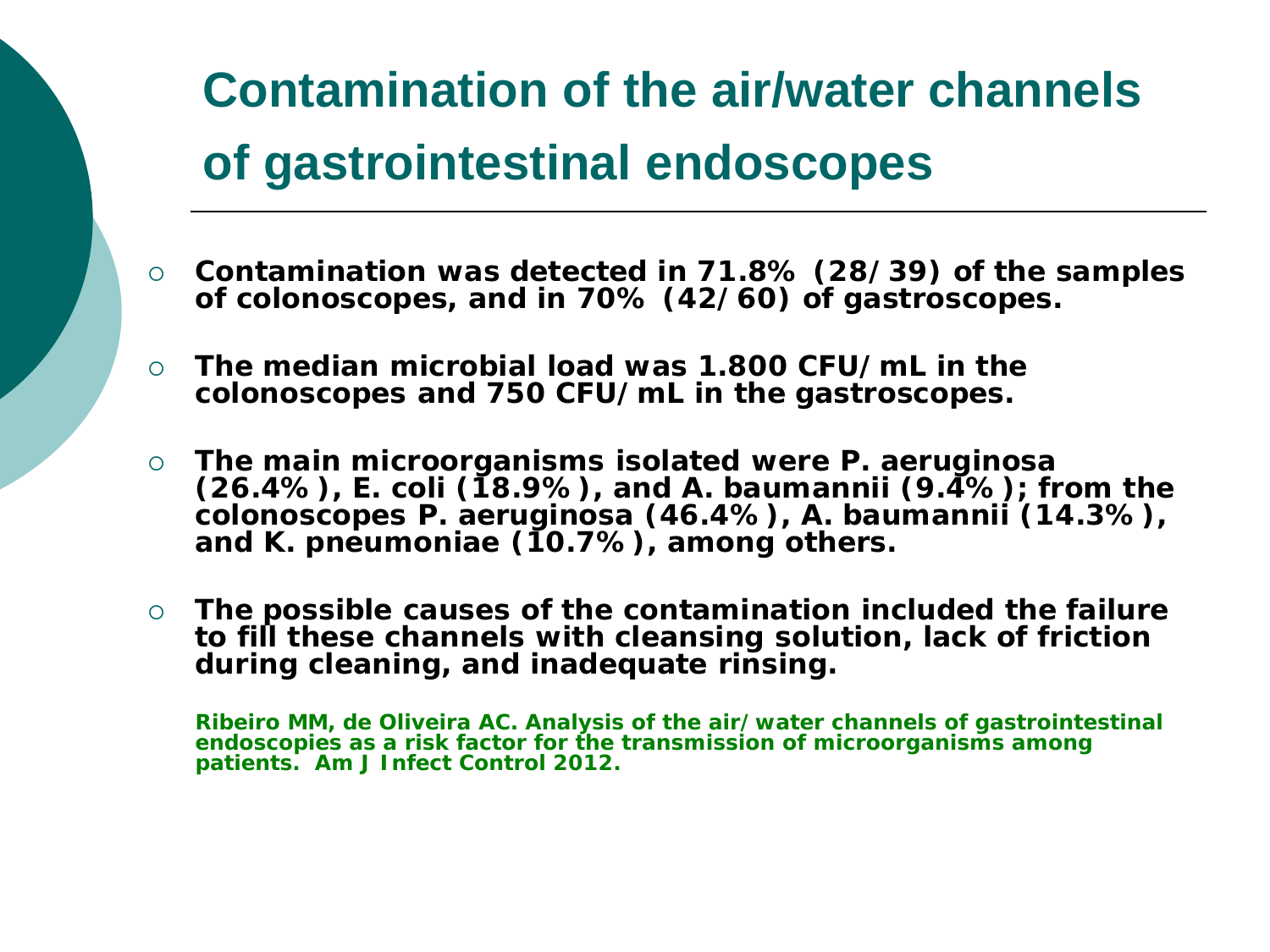## **Contamination of the air/water channels of gastrointestinal endoscopes**

- **Contamination was detected in 71.8% (28/39) of the samples of colonoscopes, and in 70% (42/60) of gastroscopes.**
- **The median microbial load was 1.800 CFU/mL in the colonoscopes and 750 CFU/mL in the gastroscopes.**
- **The main microorganisms isolated were** *P. aeruginosa* **(26.4%),** *E. coli* **(18.9%), and** *A. baumannii* **(9.4%); from the colonoscopes** *P. aeruginosa* **(46.4%),** *A. baumannii* **(14.3%), and** *K. pneumoniae* **(10.7%), among others.**
- **The possible causes of the contamination included the failure to fill these channels with cleansing solution, lack of friction during cleaning, and inadequate rinsing.**

**Ribeiro MM, de Oliveira AC. Analysis of the air/water channels of gastrointestinal endoscopies as a risk factor for the transmission of microorganisms among patients. Am J Infect Control 2012.**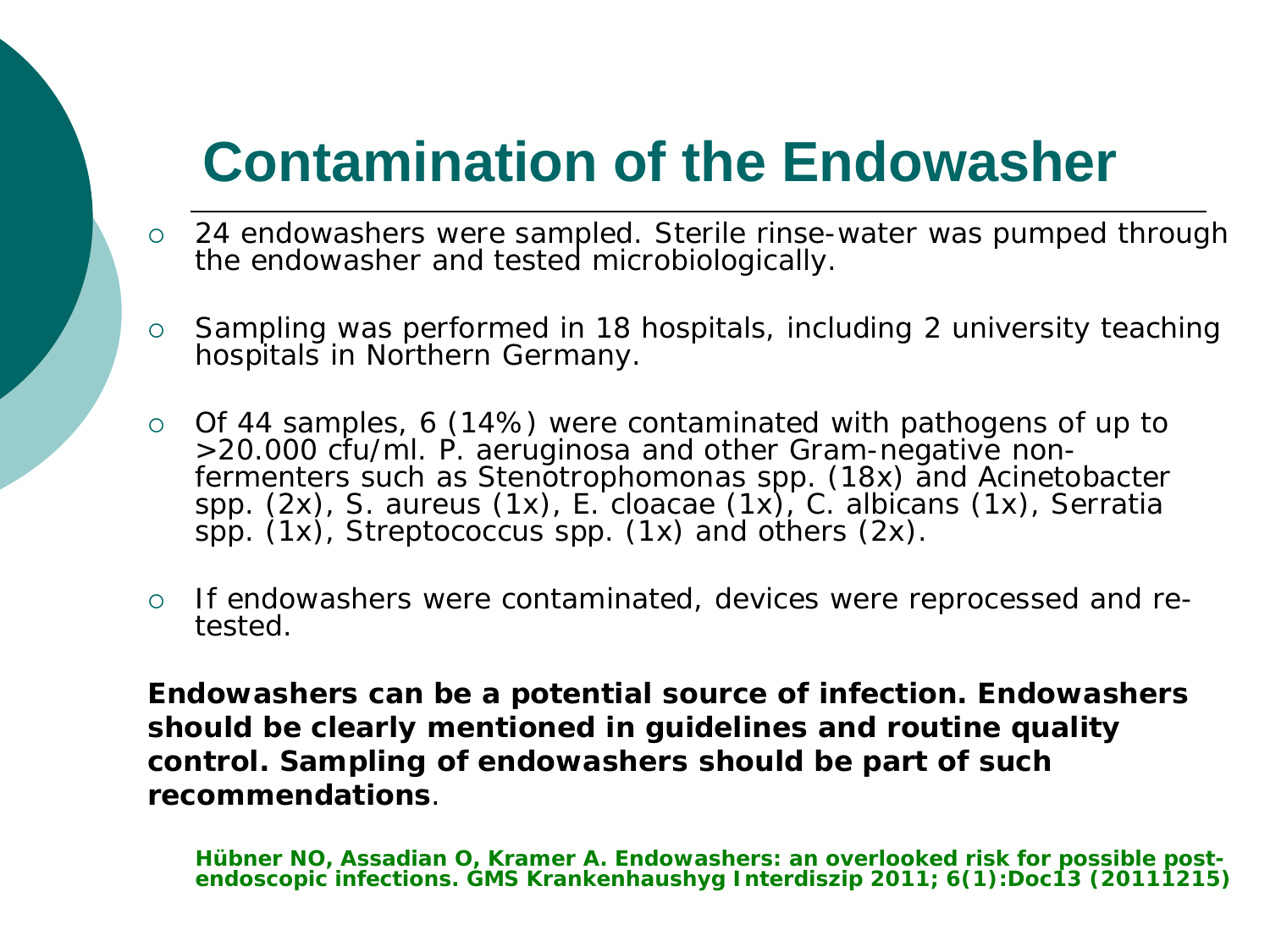## **Contamination of the Endowasher**

- 24 endowashers were sampled. Sterile rinse-water was pumped through the endowasher and tested microbiologically.
- $\circ$  Sampling was performed in 18 hospitals, including 2 university teaching hospitals in Northern Germany.
- o Of 44 samples, 6 (14%) were contaminated with pathogens of up to<br>>20.000 cfu/ml. P. aeruginosa and other Gram-negative non->20.000 cfu/ml. *P. aeruginosa* and other Gram-negative non- fermenters such as *Stenotrophomonas spp.* (18x) and *Acinetobacter spp.* (2x), *S. aureus* (1x), *E. cloacae* (1x), *C. albicans* (1x), *Serratia spp.* (1x), *Streptococcus spp*. (1x) and others (2x).
- If endowashers were contaminated, devices were reprocessed and re- tested.

**Endowashers can be a potential source of infection. Endowashers should be clearly mentioned in guidelines and routine quality control. Sampling of endowashers should be part of such recommendations**.

**Hübner NO, Assadian O, Kramer A. Endowashers: an overlooked risk for possible post- endoscopic infections. GMS Krankenhaushyg Interdiszip 2011; 6(1):Doc13 (20111215)**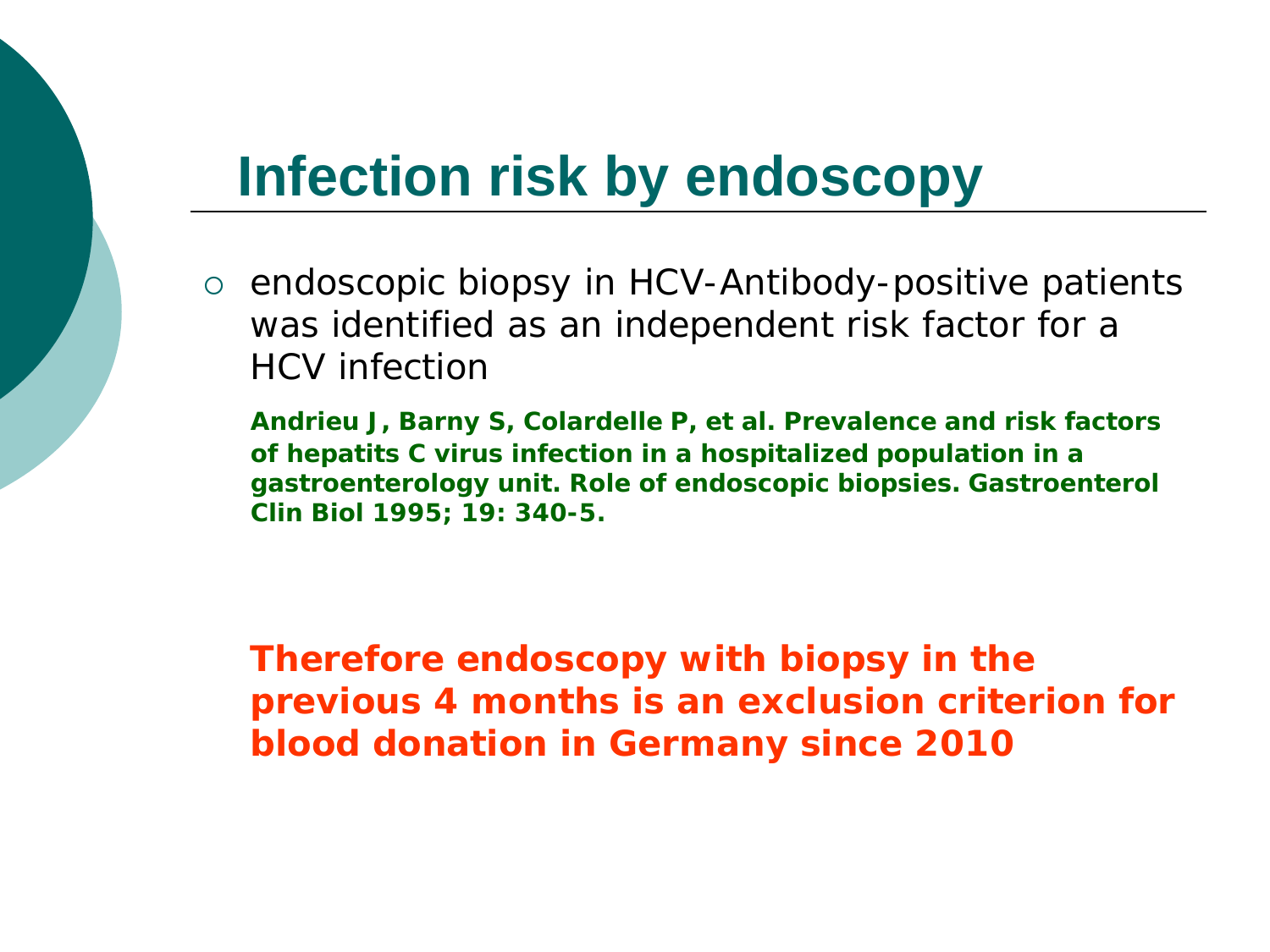### **Infection risk by endoscopy**

o endoscopic biopsy in HCV-Antibody-positive patients was identified as an independent risk factor for a HCV infection

**Andrieu J, Barny S, Colardelle P, et al. Prevalence and risk factors of hepatits C virus infection in a hospitalized population in a gastroenterology unit. Role of endoscopic biopsies. Gastroenterol Clin Biol 1995; 19: 340-5.**

**Therefore endoscopy with biopsy in the previous 4 months is an exclusion criterion for blood donation in Germany since 2010**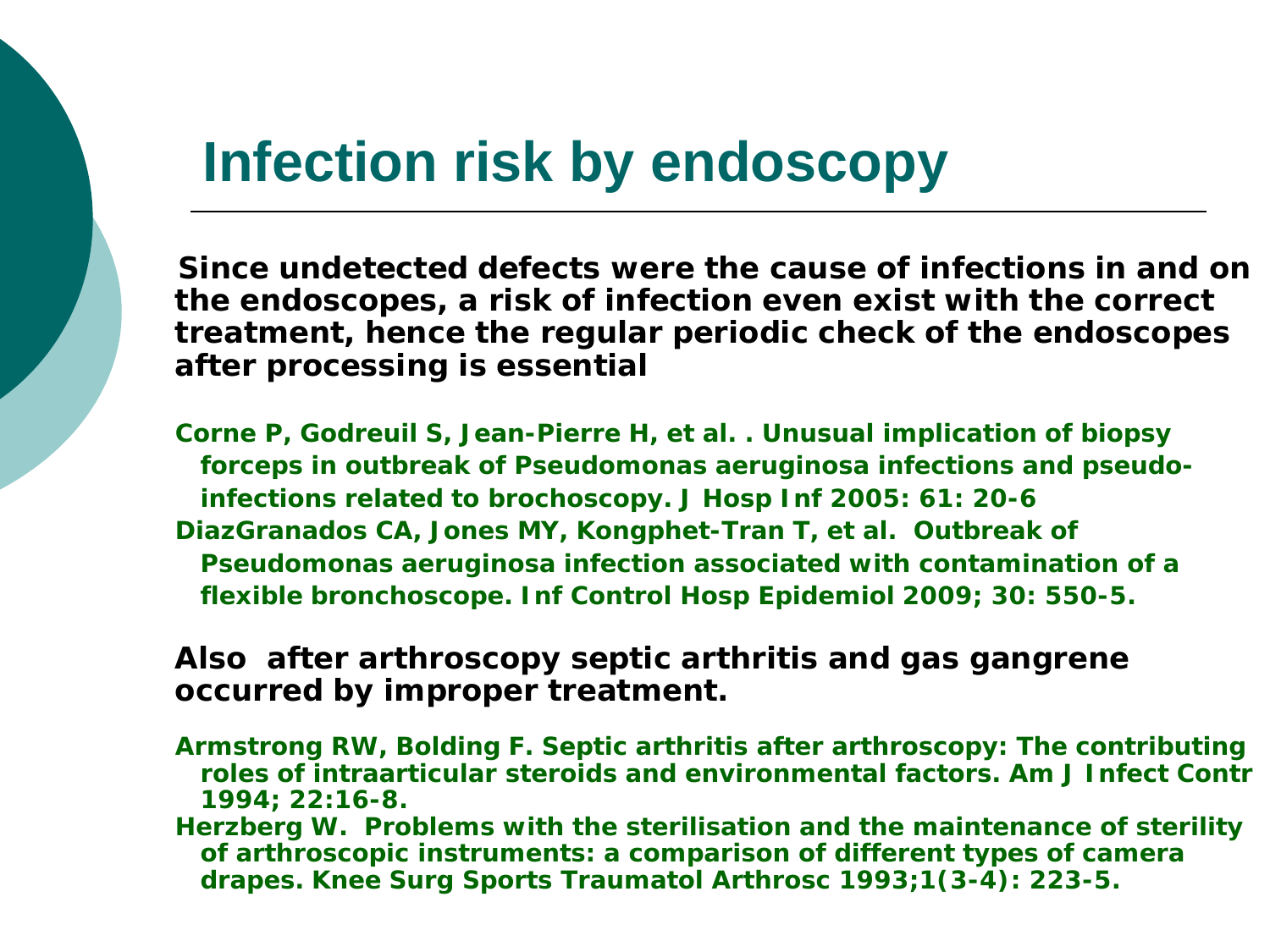### **Infection risk by endoscopy**

 **Since undetected defects were the cause of infections in and on the endoscopes, a risk of infection even exist with the correct treatment, hence the regular periodic check of the endoscopes after processing is essential**

**Corne P, Godreuil S, Jean-Pierre H, et al. . Unusual implication of biopsy forceps in outbreak of Pseudomonas aeruginosa infections and pseudo infections related to brochoscopy. J Hosp Inf 2005: 61: 20-6 DiazGranados CA, Jones MY, Kongphet-Tran T, et al. Outbreak of Pseudomonas aeruginosa infection associated with contamination of a flexible bronchoscope. Inf Control Hosp Epidemiol 2009; 30: 550-5.**

#### **Also after arthroscopy septic arthritis and gas gangrene occurred by improper treatment.**

- **Armstrong RW, Bolding F. Septic arthritis after arthroscopy: The contributing roles of intraarticular steroids and environmental factors. Am J Infect Contr 1994; 22:16-8.**
- **Herzberg W. Problems with the sterilisation and the maintenance of sterility of arthroscopic instruments: a comparison of different types of camera drapes. Knee Surg Sports Traumatol Arthrosc 1993;1(3-4): 223-5.**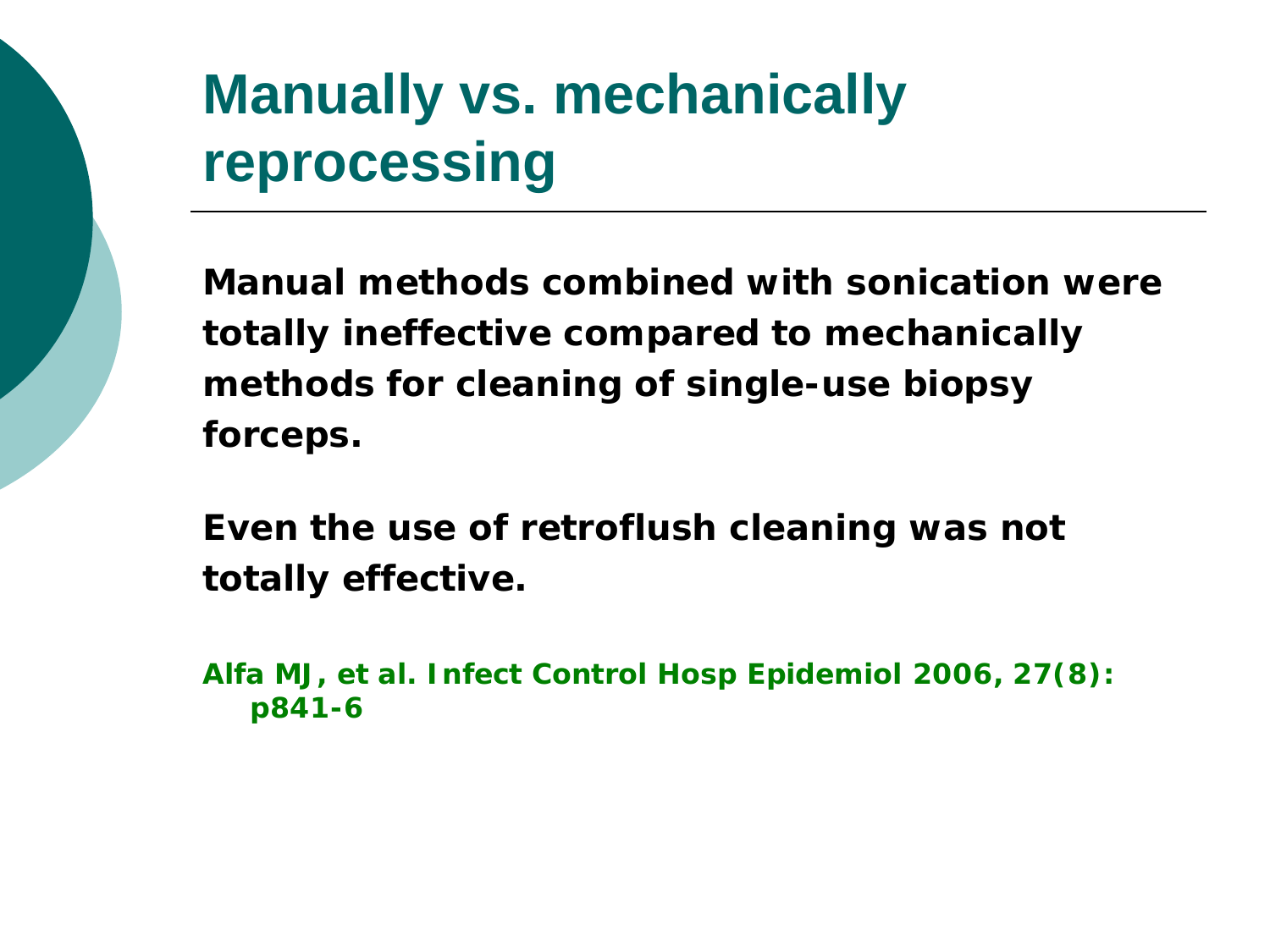## **Manually vs. mechanically reprocessing**

**Manual methods combined with sonication were totally ineffective compared to mechanically methods for cleaning of single-use biopsy forceps.**

**Even the use of retroflush cleaning was not totally effective.** 

**Alfa MJ, et al. Infect Control Hosp Epidemiol 2006, 27(8): p841-6**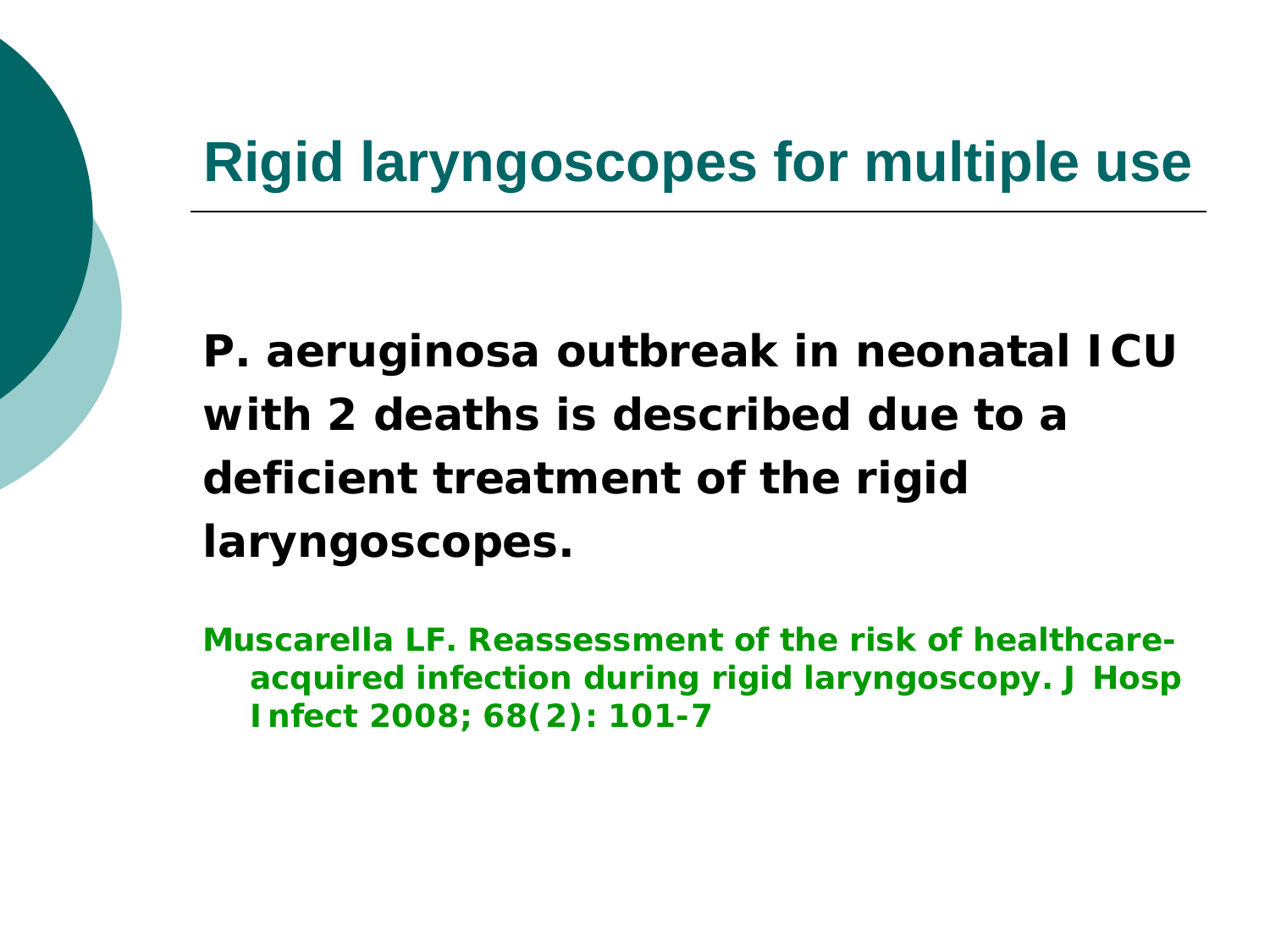### **Rigid laryngoscopes for multiple use**

*P. aeruginosa* **outbreak in neonatal ICU with 2 deaths is described due to a deficient treatment of the rigid laryngoscopes.**

**Muscarella LF. Reassessment of the risk of healthcareacquired infection during rigid laryngoscopy. J Hosp Infect 2008; 68(2): 101-7**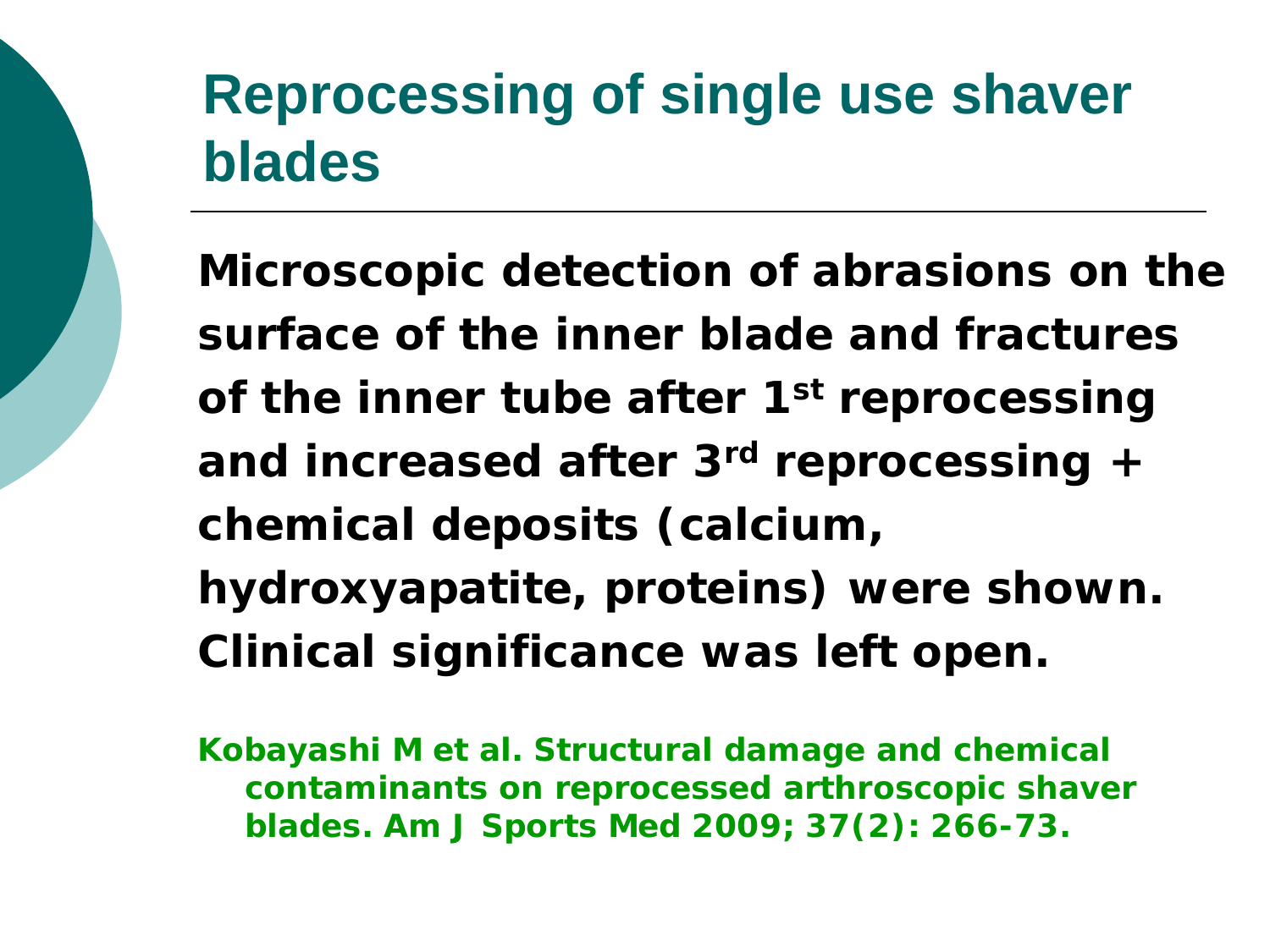## **Reprocessing of single use shaver blades**

**Microscopic detection of abrasions on the surface of the inner blade and fractures of the inner tube after 1st reprocessing and increased after 3rd reprocessing + chemical deposits (calcium, hydroxyapatite, proteins) were shown. Clinical significance was left open.**

**Kobayashi M et al. Structural damage and chemical contaminants on reprocessed arthroscopic shaver blades. Am J Sports Med 2009; 37(2): 266-73.**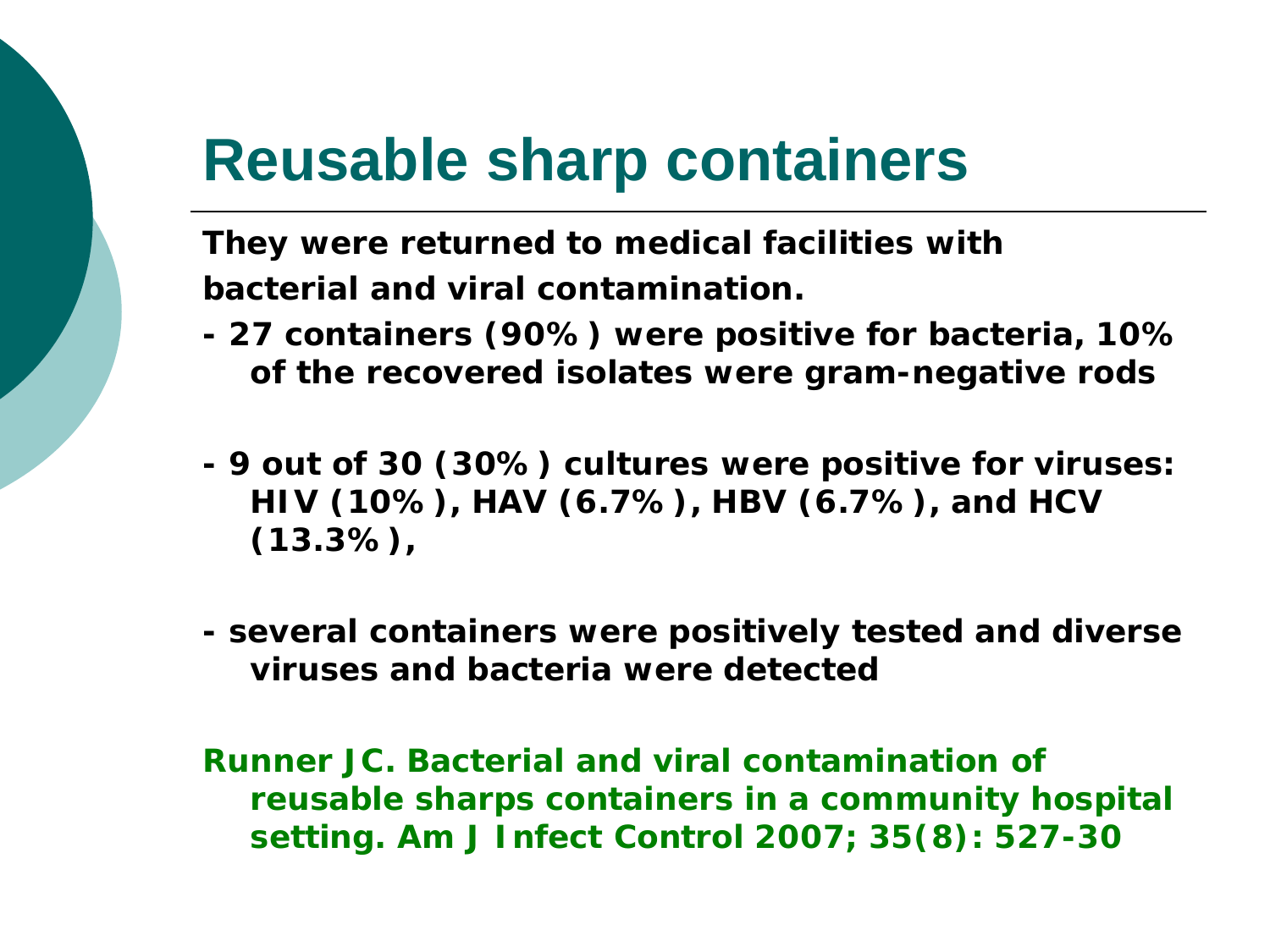## **Reusable sharp containers**

**They were returned to medical facilities with bacterial and viral contamination.** 

- **- 27 containers (90%) were positive for bacteria, 10% of the recovered isolates were gram-negative rods**
- **- 9 out of 30 (30%) cultures were positive for viruses: HIV (10%), HAV (6.7%), HBV (6.7%), and HCV (13.3%),**
- **- several containers were positively tested and diverse viruses and bacteria were detected**

**Runner JC. Bacterial and viral contamination of reusable sharps containers in a community hospital setting. Am J Infect Control 2007; 35(8): 527-30**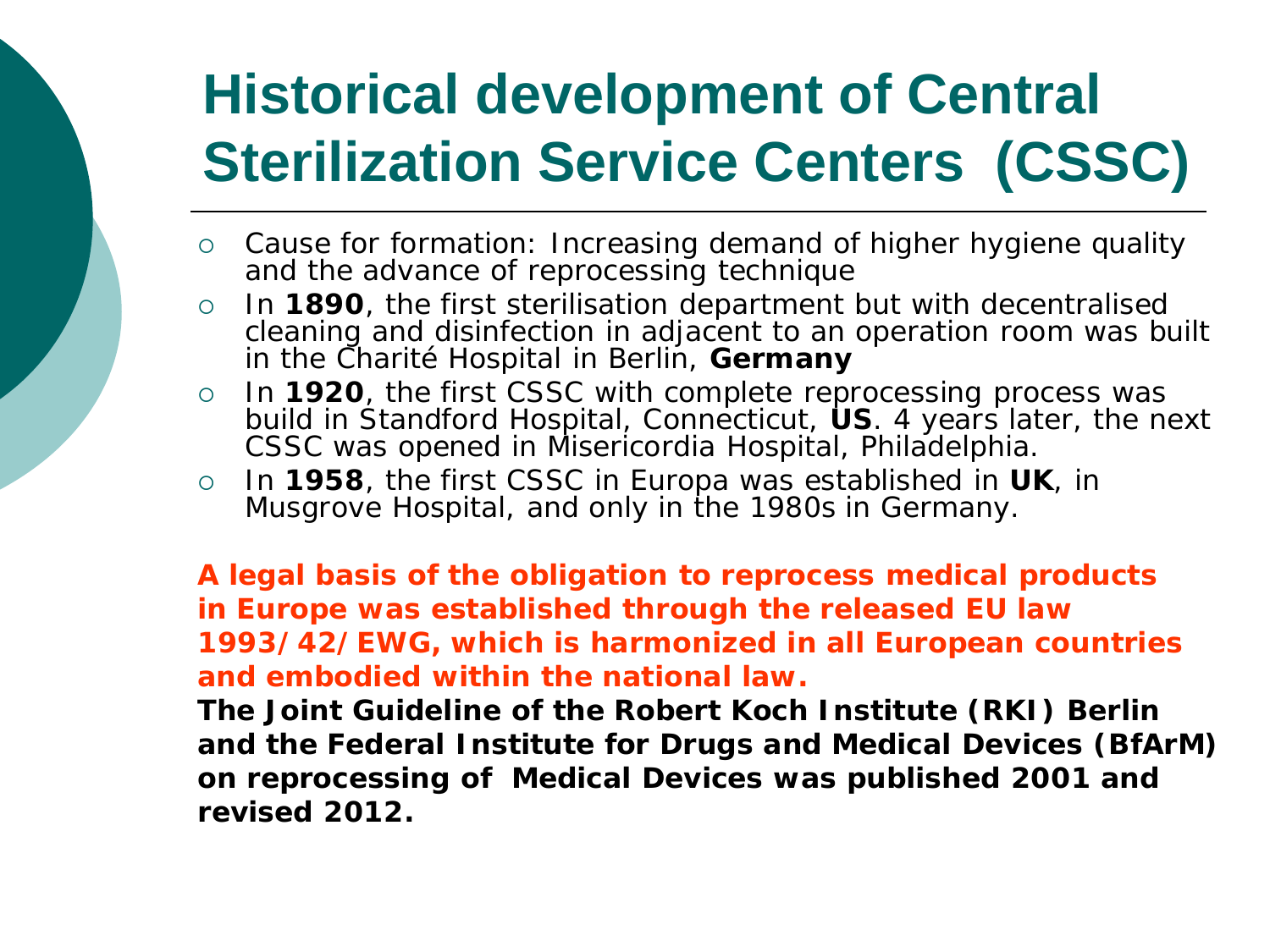## **Historical development of Central Sterilization Service Centers (CSSC)**

- Cause for formation: Increasing demand of higher hygiene quality and the advance of reprocessing technique
- In **1890**, the first sterilisation department but with decentralised cleaning and disinfection in adjacent to an operation room was built in the Charité Hospital in Berlin, **Germany**
- o In 1920, the first CSSC with complete reprocessing process was build in Standford Hospital, Connecticut, **US**. 4 years later, the next CSSC was opened in Misericordia Hospital, Philadelphia.
- In **1958**, the first CSSC in Europa was established in **UK**, in Musgrove Hospital, and only in the 1980s in Germany.

**A legal basis of the obligation to reprocess medical products in Europe was established through the released EU law 1993/42/EWG, which is harmonized in all European countries and embodied within the national law.** 

**The Joint Guideline of the Robert Koch Institute (RKI) Berlin and the Federal Institute for Drugs and Medical Devices (BfArM) on reprocessing of Medical Devices was published 2001 and revised 2012.**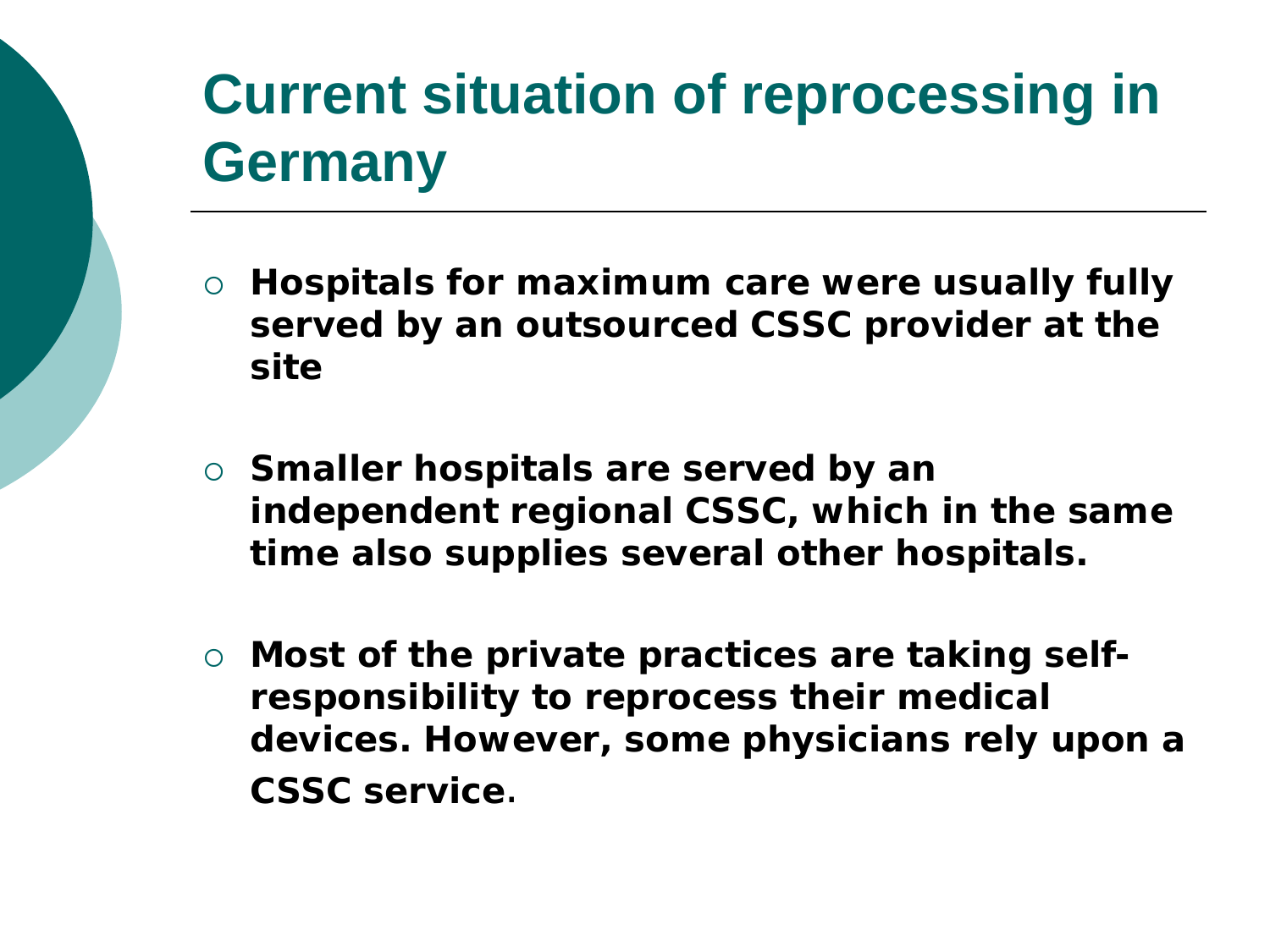## **Current situation of reprocessing in Germany**

- **Hospitals for maximum care were usually fully served by an outsourced CSSC provider at the site**
- **Smaller hospitals are served by an independent regional CSSC, which in the same time also supplies several other hospitals.**
- **Most of the private practices are taking selfresponsibility to reprocess their medical devices. However, some physicians rely upon a CSSC service**.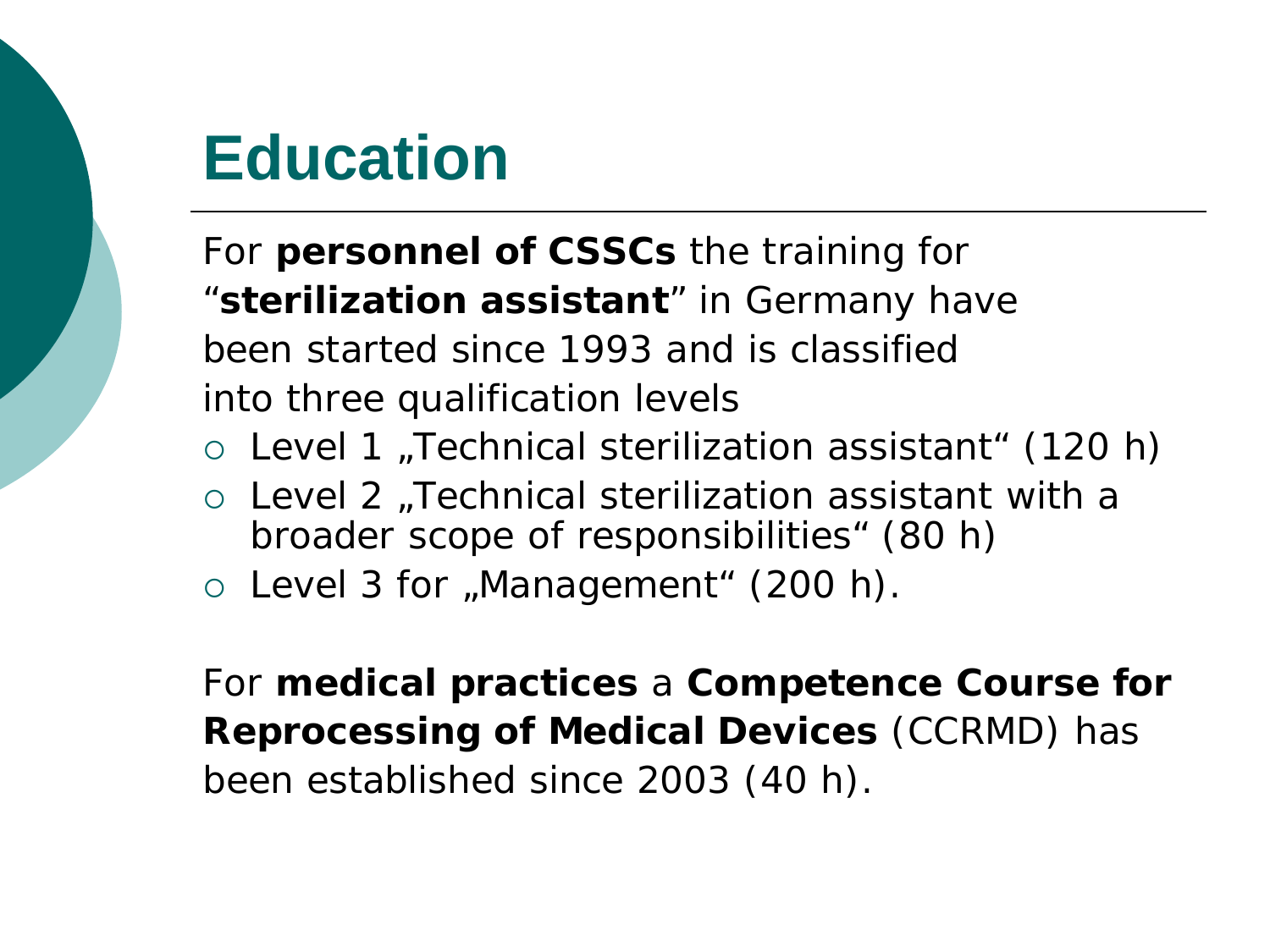## **Education**

For **personnel of CSSCs** the training for "**sterilization assistant**" in Germany have been started since 1993 and is classified into three qualification levels

- $\circ$  Level 1 , Technical sterilization assistant " (120 h)
- $\circ$  Level 2 "Technical sterilization assistant with a broader scope of responsibilities" (80 h)
- $\circ$  Level 3 for "Management" (200 h).

For **medical practices** a **Competence Course for Reprocessing of Medical Devices** (CCRMD) has been established since 2003 (40 h).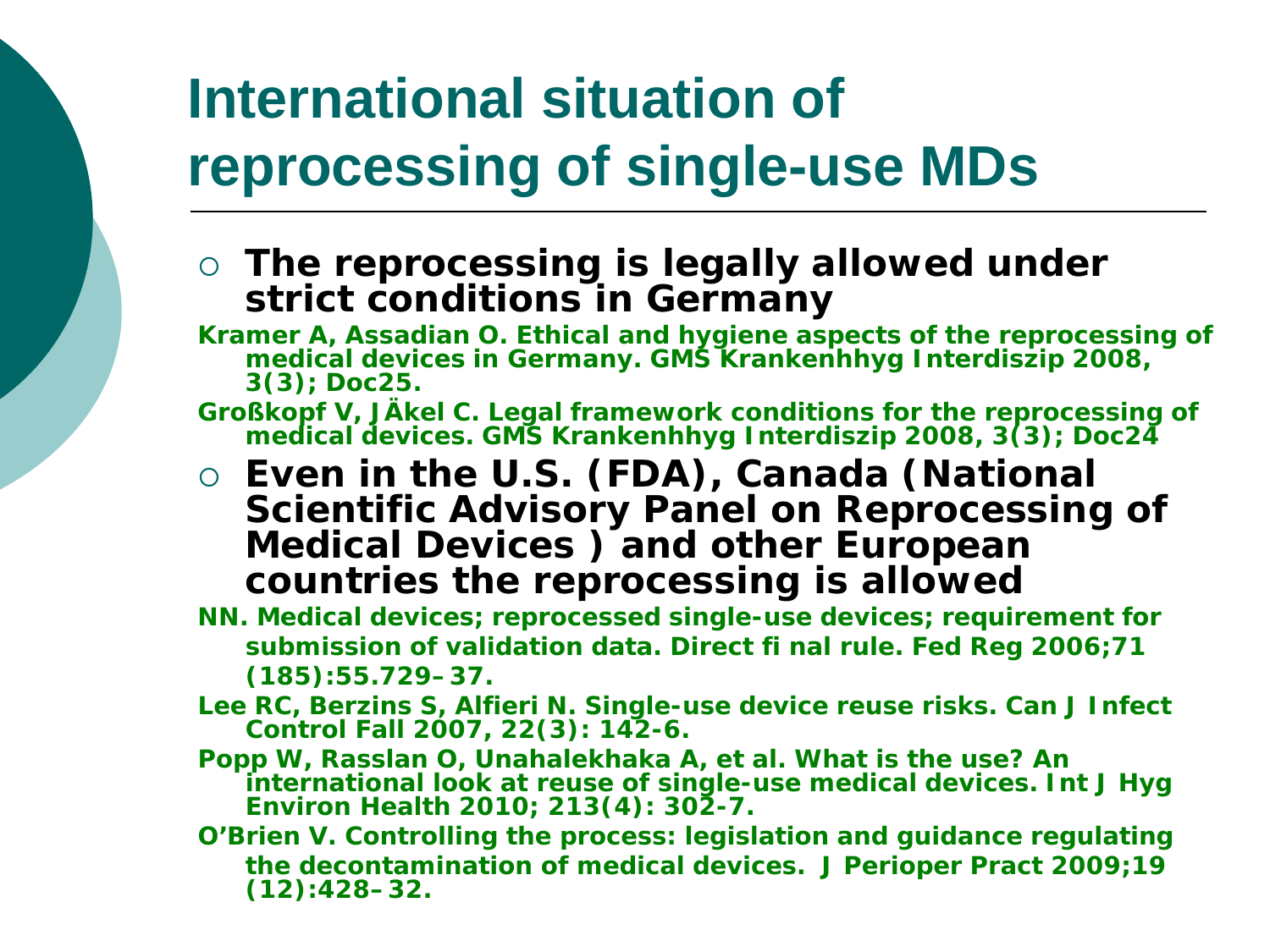## **International situation of reprocessing of single-use MDs**

- **The reprocessing is legally allowed under strict conditions in Germany**
- **Kramer A, Assadian O. Ethical and hygiene aspects of the reprocessing of medical devices in Germany. GMS Krankenhhyg Interdiszip 2008, 3(3); Doc25.**
- **Großkopf V, JÄkel C. Legal framework conditions for the reprocessing of medical devices. GMS Krankenhhyg Interdiszip 2008, 3(3); Doc24**
- **Even in the U.S. (FDA), Canada (National Scientific Advisory Panel on Reprocessing of Medical Devices ) and other European countries the reprocessing is allowed**
- **NN. Medical devices; reprocessed single-use devices; requirement for submission of validation data. Direct fi nal rule. Fed Reg 2006;71 (185):55.729–37.**
- **Lee RC, Berzins S, Alfieri N. Single-use device reuse risks. Can J Infect Control Fall 2007, 22(3): 142-6.**
- **Popp W, Rasslan O, Unahalekhaka A, et al. What is the use? An international look at reuse of single-use medical devices. Int J Hyg Environ Health 2010; 213(4): 302-7.**
- **O'Brien V. Controlling the process: legislation and guidance regulating the decontamination of medical devices. J Perioper Pract 2009;19 (12):428–32.**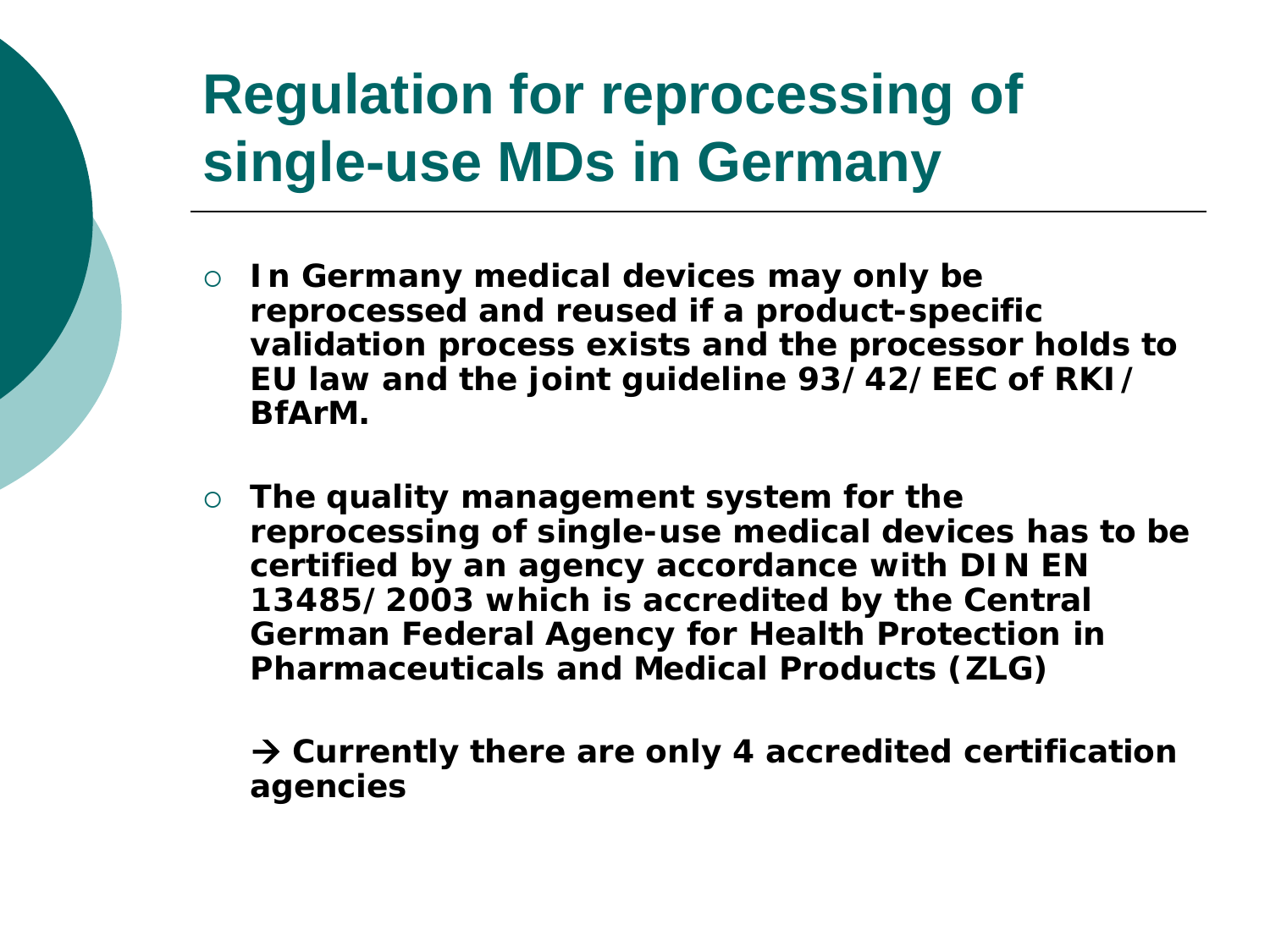## **Regulation for reprocessing of single-use MDs in Germany**

- **In Germany medical devices may only be reprocessed and reused if a product-specific validation process exists and the processor holds to EU law and the joint guideline 93/42/EEC of RKI/ BfArM.**
- **The quality management system for the reprocessing of single-use medical devices has to be certified by an agency accordance with DIN EN 13485/2003 which is accredited by the Central German Federal Agency for Health Protection in Pharmaceuticals and Medical Products (ZLG)**

 **Currently there are only 4 accredited certification agencies**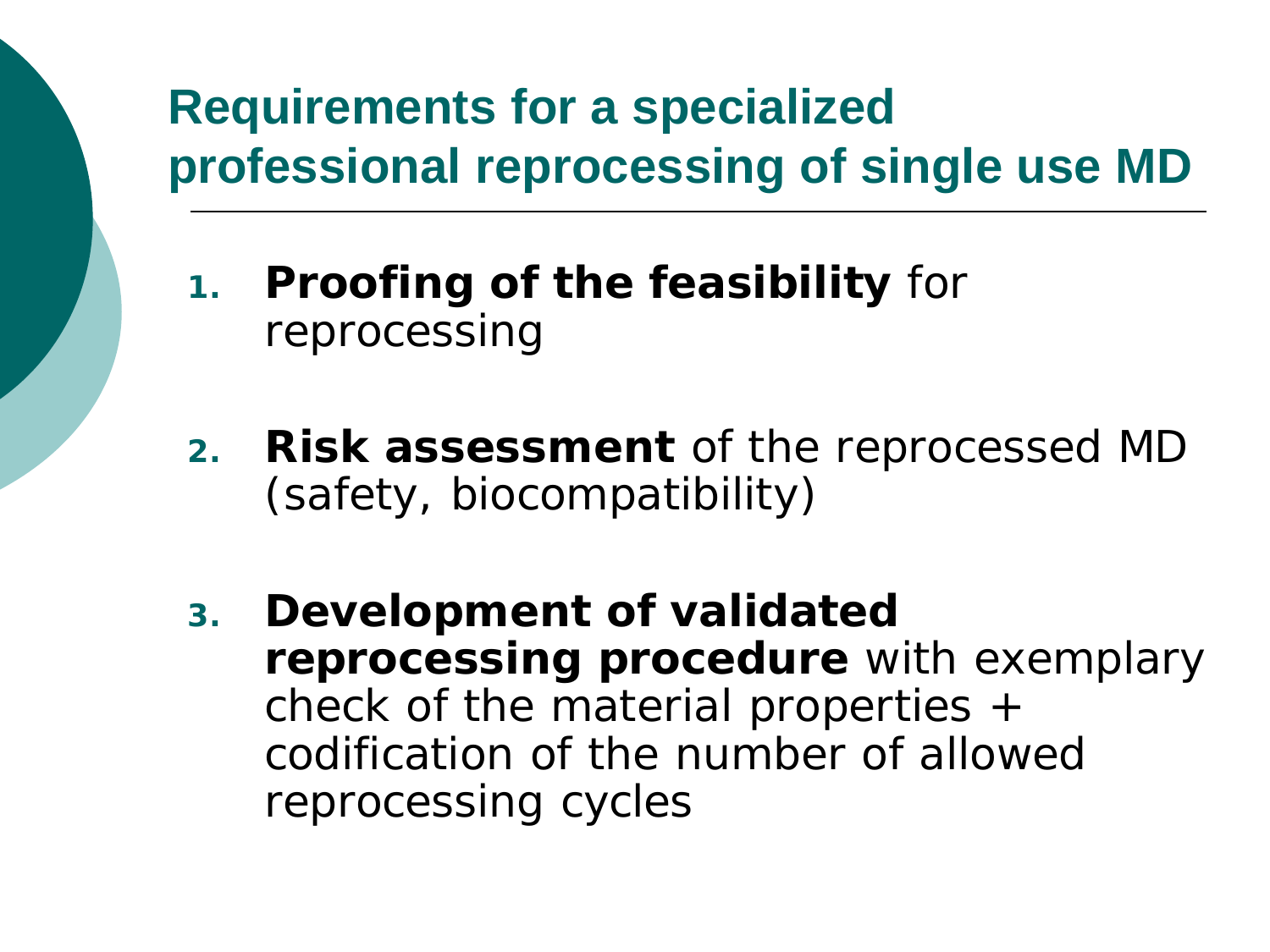### **Requirements for a specialized professional reprocessing of single use MD**

- **1. Proofing of the feasibility** for reprocessing
- **2. Risk assessment** of the reprocessed MD (safety, biocompatibility)
- **3. Development of validated reprocessing procedure** with exemplary check of the material properties + codification of the number of allowed reprocessing cycles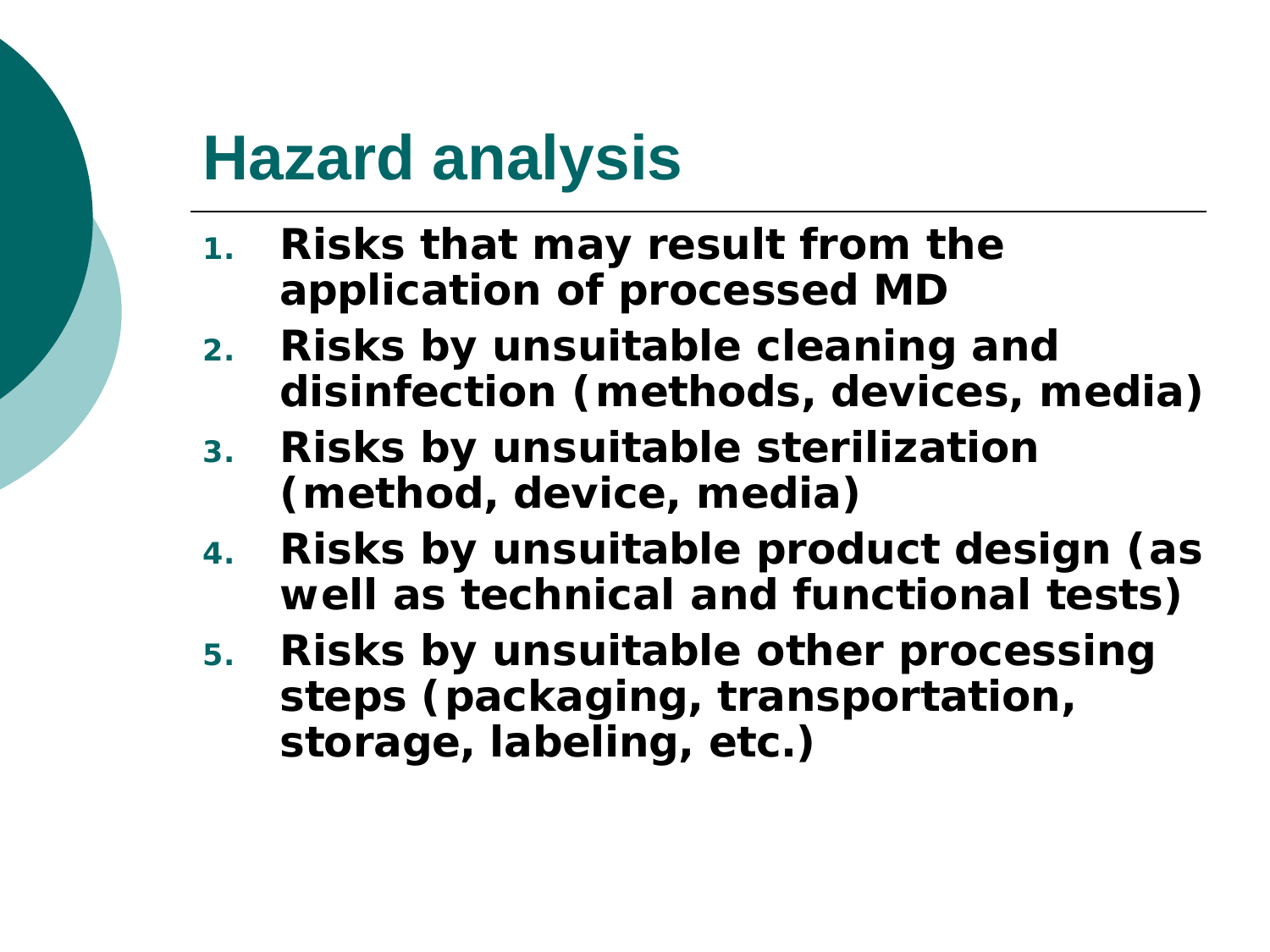## **Hazard analysis**

- **1. Risks that may result from the application of processed MD**
- **2. Risks by unsuitable cleaning and disinfection (methods, devices, media)**
- **3. Risks by unsuitable sterilization (method, device, media)**
- **4. Risks by unsuitable product design (as well as technical and functional tests)**
- **5. Risks by unsuitable other processing steps (packaging, transportation, storage, labeling, etc.)**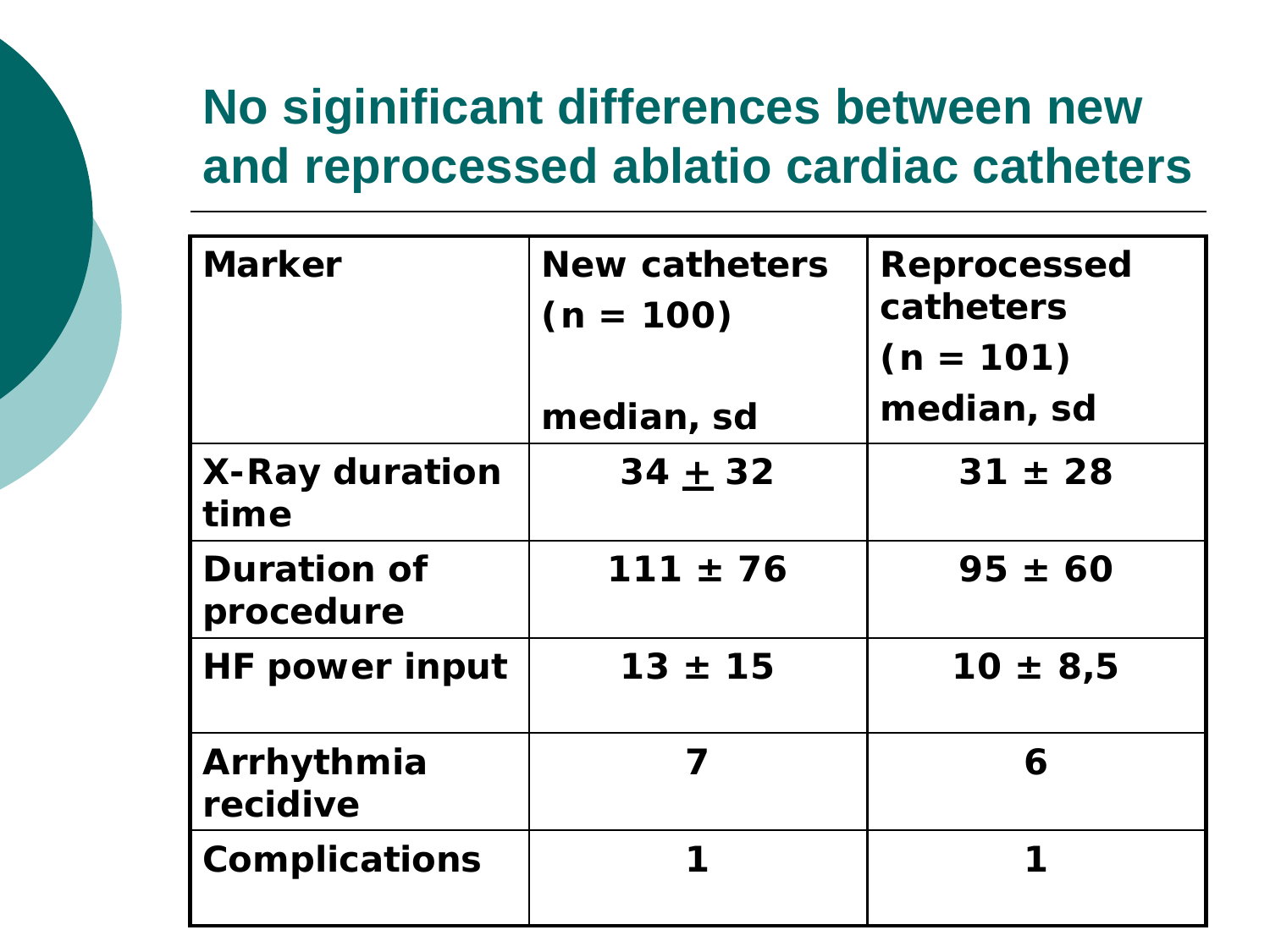### **No siginificant differences between new and reprocessed ablatio cardiac catheters**

| <b>Marker</b>                   | <b>New catheters</b><br>$(n = 100)$<br>median, sd | <b>Reprocessed</b><br>catheters<br>$(n = 101)$<br>median, sd |
|---------------------------------|---------------------------------------------------|--------------------------------------------------------------|
|                                 |                                                   |                                                              |
| <b>X-Ray duration</b><br>time   | $34 + 32$                                         | $31 \pm 28$                                                  |
| <b>Duration of</b><br>procedure | $111 \pm 76$                                      | $95 \pm 60$                                                  |
| <b>HF power input</b>           | $13 \pm 15$                                       | $10 \pm 8.5$                                                 |
| Arrhythmia<br>recidive          | 7                                                 | 6                                                            |
| <b>Complications</b>            |                                                   | 1                                                            |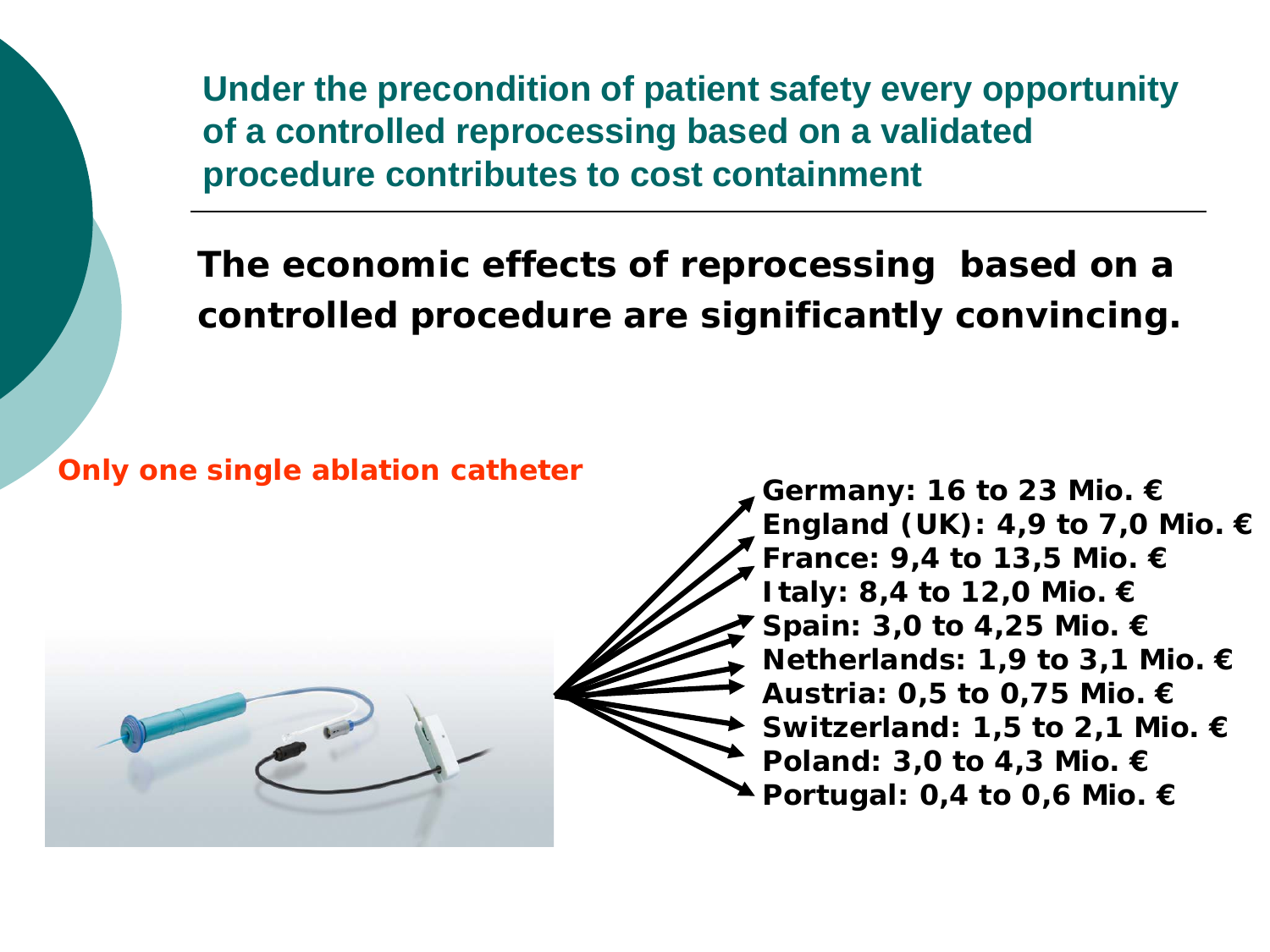**Under the precondition of patient safety every opportunity of a controlled reprocessing based on a validated procedure contributes to cost containment**

**The economic effects of reprocessing based on a controlled procedure are significantly convincing.**

### **Only one single ablation catheter Germany: 16 to 23 Mio. €**



**England (UK): 4,9 to 7,0 Mio. € France: 9,4 to 13,5 Mio. € Italy: 8,4 to 12,0 Mio. € Spain: 3,0 to 4,25 Mio. € Netherlands: 1,9 to 3,1 Mio. € Austria: 0,5 to 0,75 Mio. € Switzerland: 1,5 to 2,1 Mio. € Poland: 3,0 to 4,3 Mio. € Portugal: 0,4 to 0,6 Mio. €**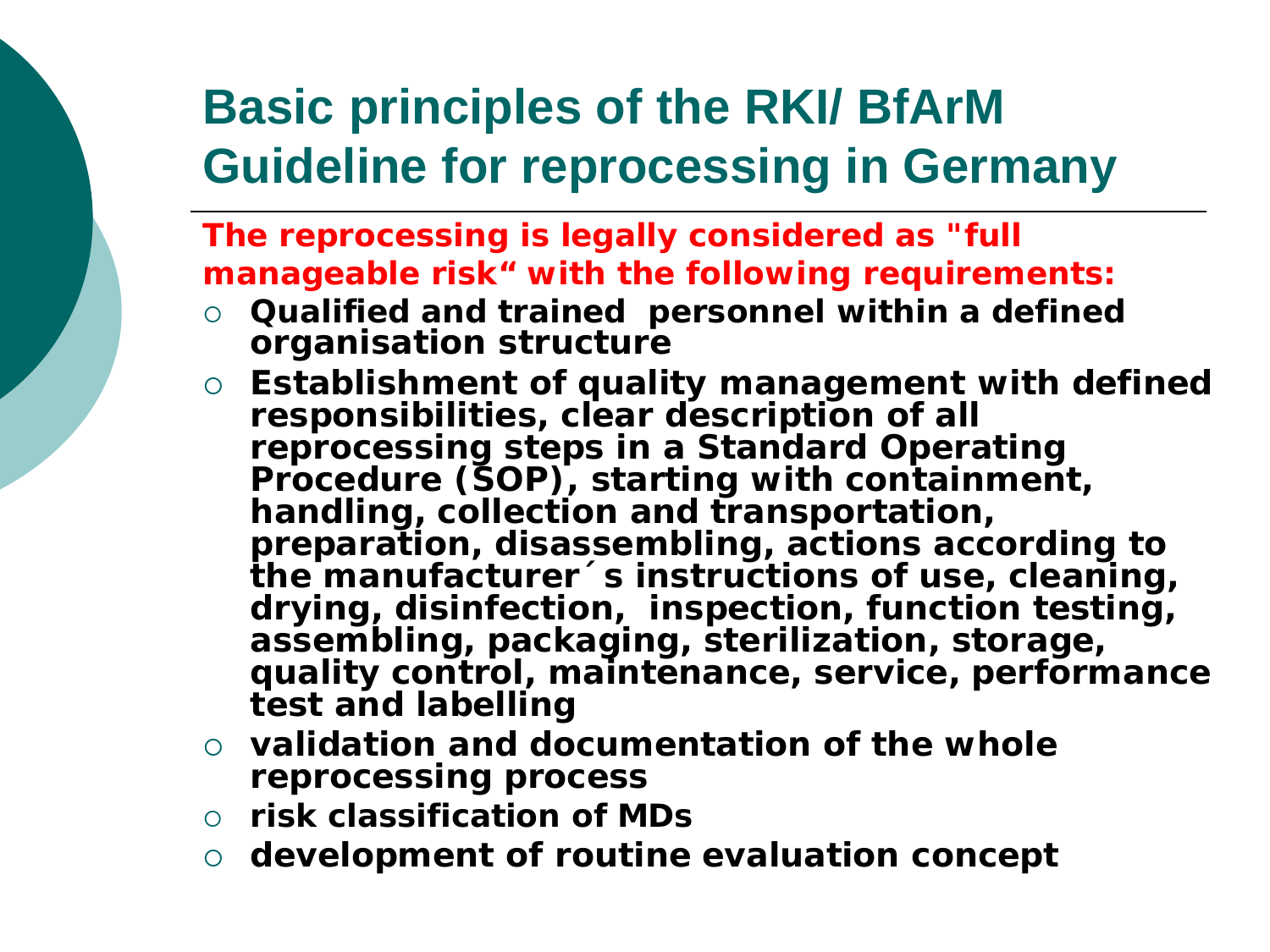### **Basic principles of the RKI/ BfArM Guideline for reprocessing in Germany**

**The reprocessing is legally considered as "full manageable risk" with the following requirements:**

- **Qualified and trained personnel within a defined organisation structure**
- **Establishment of quality management with defined responsibilities, clear description of all reprocessing steps in a Standard Operating Procedure (SOP), starting with containment, handling, collection and transportation, preparation, disassembling, actions according to the manufacturer´s instructions of use, cleaning, drying, disinfection, inspection, function testing, assembling, packaging, sterilization, storage, quality control, maintenance, service, performance test and labelling**
- **validation and documentation of the whole reprocessing process**
- **risk classification of MDs**
- **development of routine evaluation concept**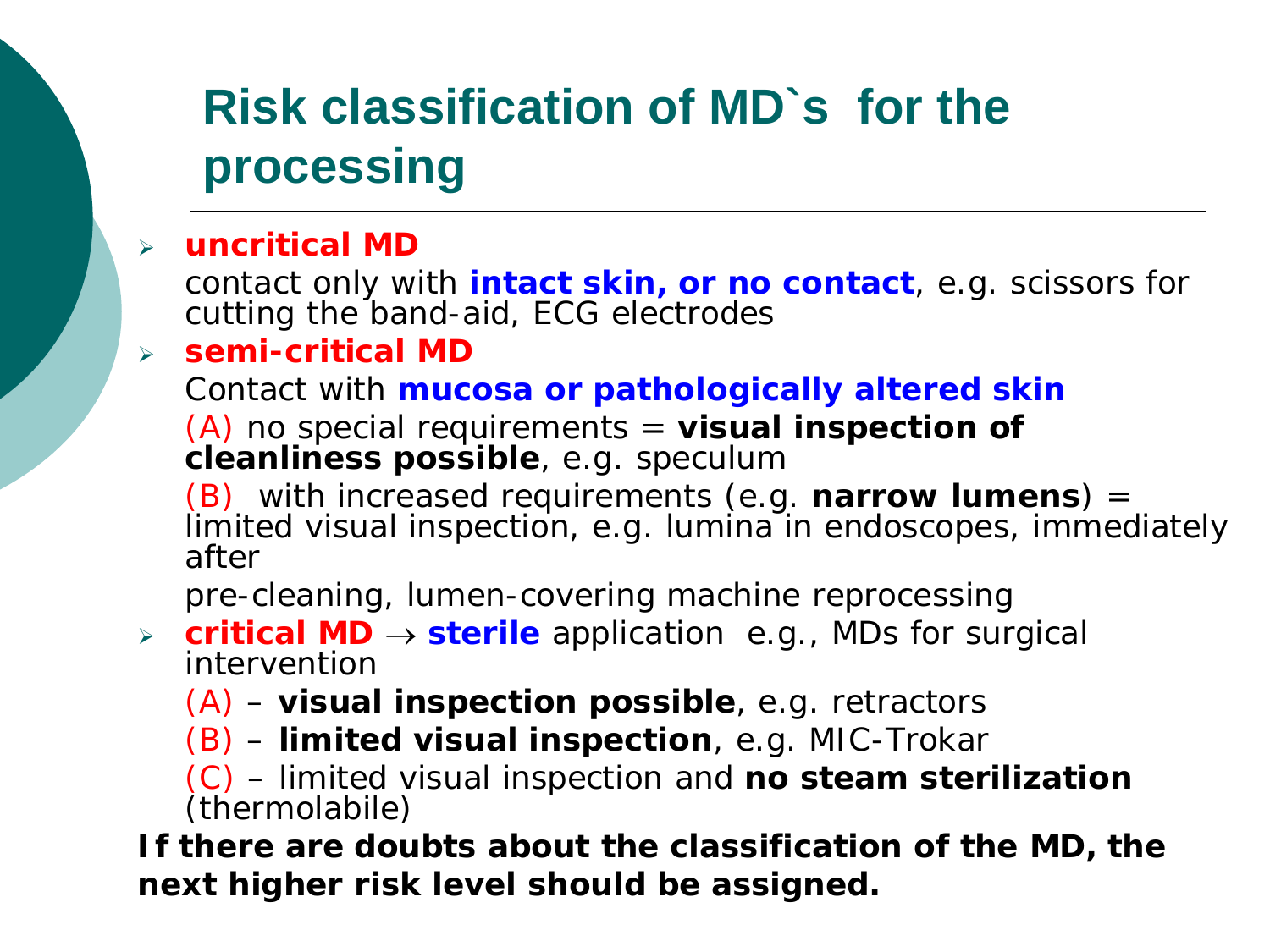### **Risk classification of MD`s for the processing**

#### **uncritical MD**

contact only with **intact skin, or no contact**, e.g. scissors for cutting the band-aid, ECG electrodes

#### **semi-critical MD**

Contact with **mucosa or pathologically altered skin**

(A) no special requirements = **visual inspection of cleanliness possible**, e.g. speculum

(B) with increased requirements (e.g. **narrow lumens**) = limited visual inspection, e.g. lumina in endoscopes, immediately after

pre-cleaning, lumen-covering machine reprocessing

- **critical MD** → **sterile** application e.g., MDs for surgical intervention
	- (A) **visual inspection possible**, e.g. retractors
	- (B) **limited visual inspection**, e.g. MIC-Trokar

(C) – limited visual inspection and **no steam sterilization** (thermolabile)

**If there are doubts about the classification of the MD, the next higher risk level should be assigned.**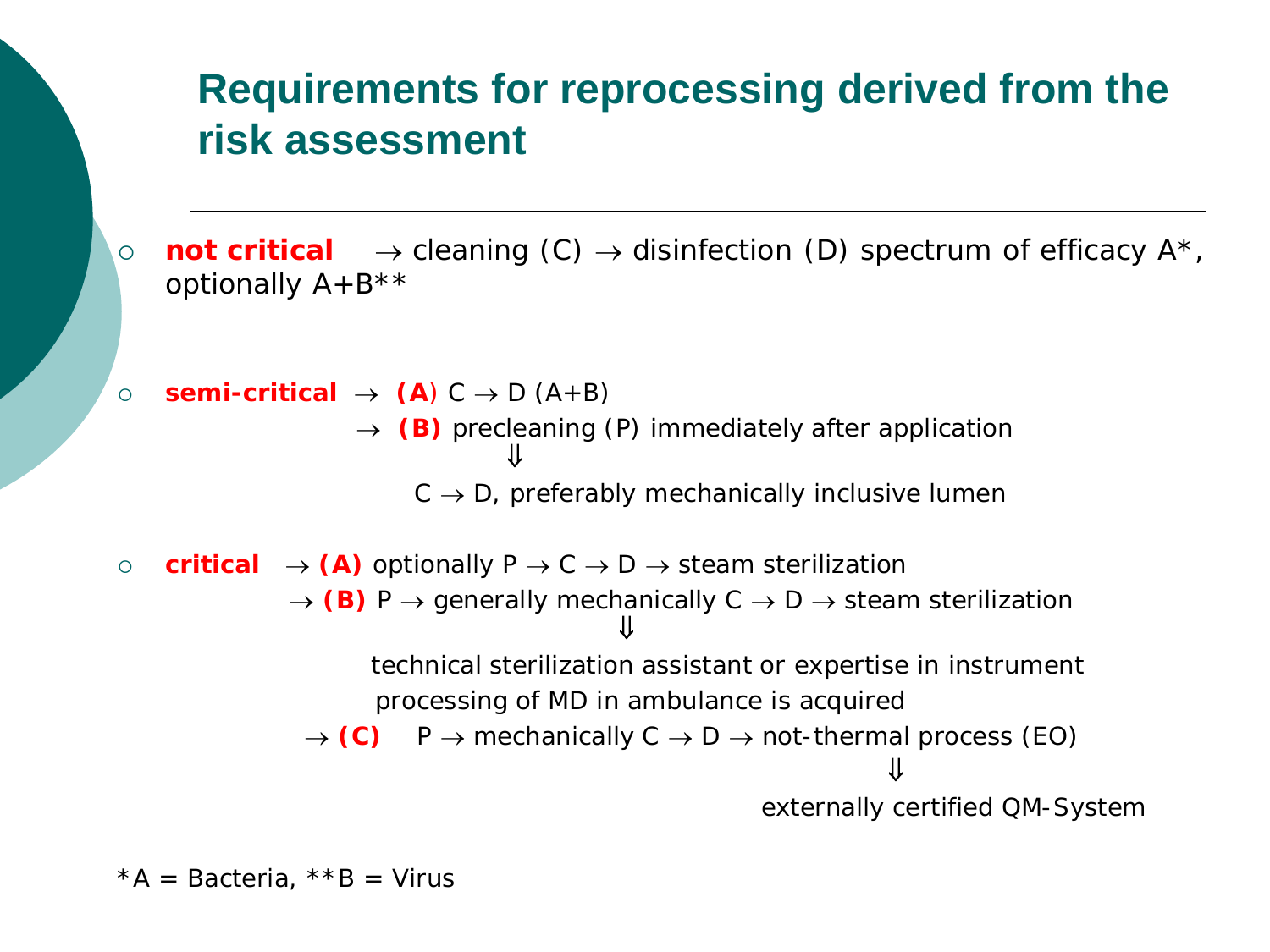#### **Requirements for reprocessing derived from the risk assessment**

 **not critical** → cleaning (C) → disinfection (D) spectrum of efficacy A\*, optionally  $A+B***$ 



 $*A =$  Bacteria,  $*$  $*B =$  Virus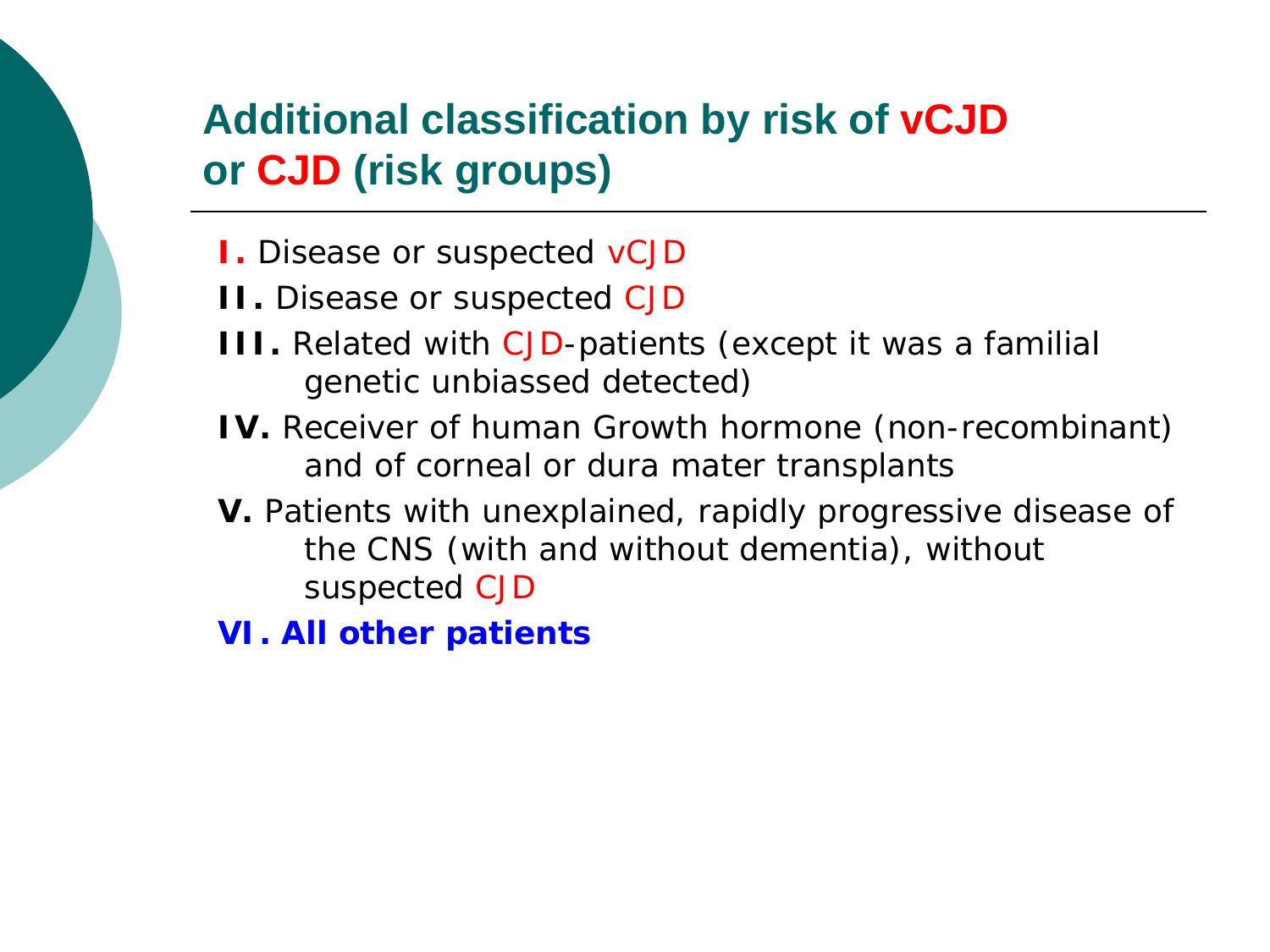### **Additional classification by risk of vCJD or CJD (risk groups)**

- **I.** Disease or suspected vCJD
- **II.** Disease or suspected CJD
- **III.** Related with CJD-patients (except it was a familial genetic unbiassed detected)
- **IV.** Receiver of human Growth hormone (non-recombinant) and of corneal or dura mater transplants
- **V.** Patients with unexplained, rapidly progressive disease of the CNS (with and without dementia), without suspected CJD
- **VI. All other patients**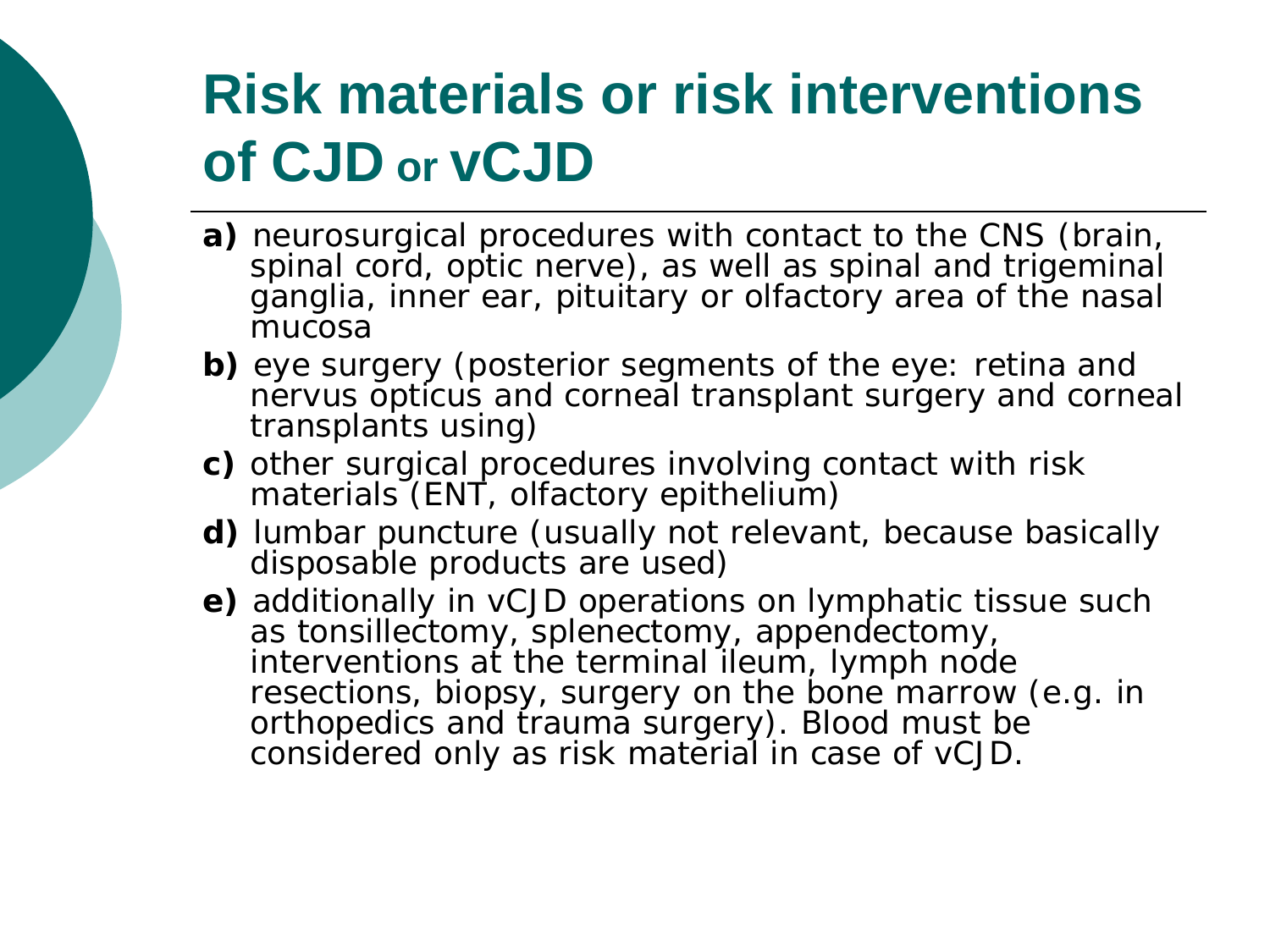## **Risk materials or risk interventions of CJD or vCJD**

- **a)** neurosurgical procedures with contact to the CNS (brain, spinal cord, optic nerve), as well as spinal and trigeminal ganglia, inner ear, pituitary or olfactory area of the nasal mucosa
- **b)** eye surgery (posterior segments of the eye: retina and nervus opticus and corneal transplant surgery and corneal transplants using)
- **c)** other surgical procedures involving contact with risk materials (ENT, olfactory epithelium)
- **d)** lumbar puncture (usually not relevant, because basically disposable products are used)
- **e)** additionally in vCJD operations on lymphatic tissue such as tonsillectomy, splenectomy, appendectomy, interventions at the terminal ileum, lymph node resections, biopsy, surgery on the bone marrow (e.g. in orthopedics and trauma surgery). Blood must be considered only as risk material in case of vCJD.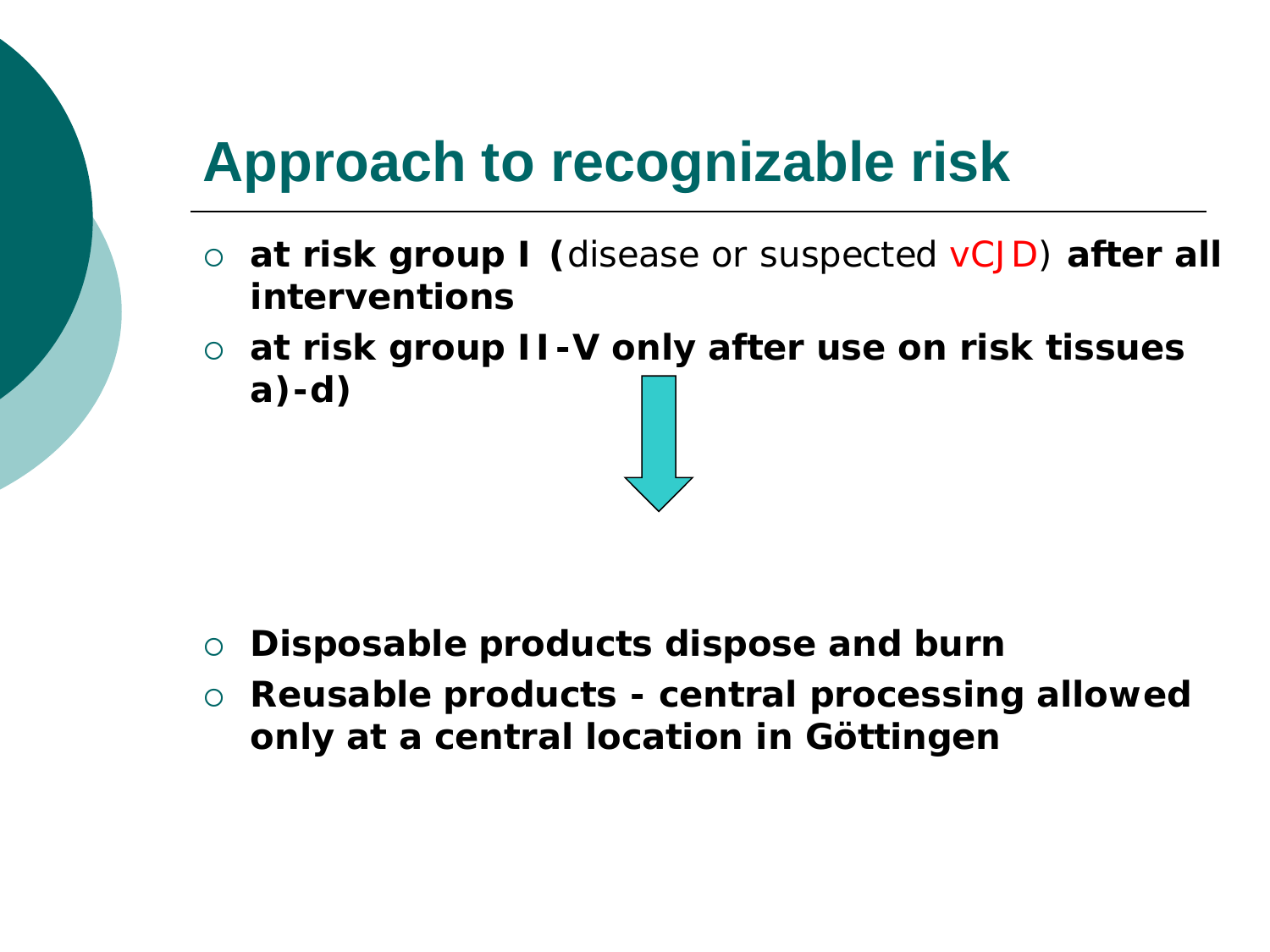## **Approach to recognizable risk**

- **at risk group I (**disease or suspected vCJD) **after all interventions**
- **at risk group II-V only after use on risk tissues a)-d)**

- **Disposable products dispose and burn**
- **Reusable products - central processing allowed only at a central location in Göttingen**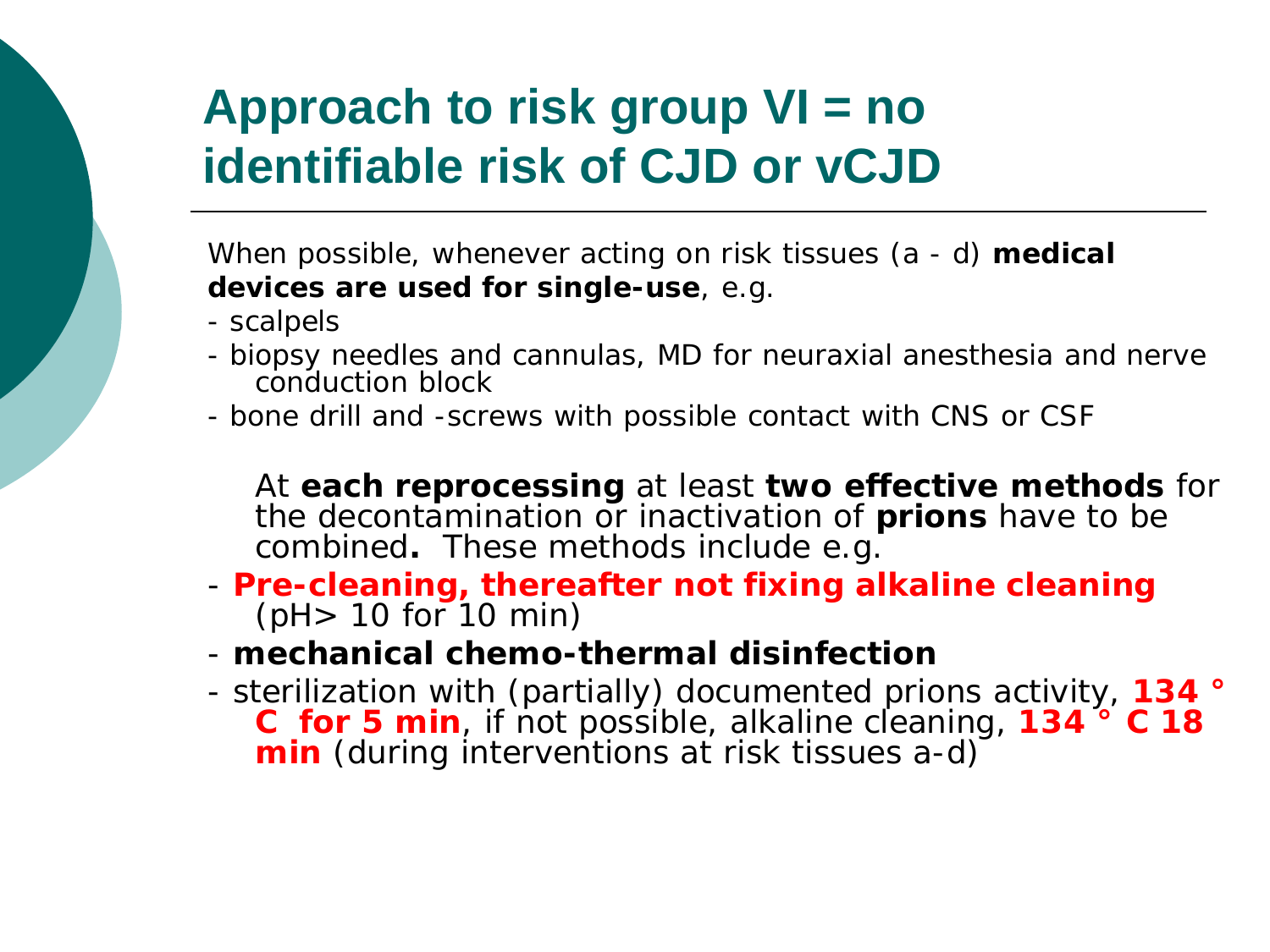### **Approach to risk group VI = no identifiable risk of CJD or vCJD**

When possible, whenever acting on risk tissues (a - d) **medical devices are used for single-use**, e.g.

- scalpels
- biopsy needles and cannulas, MD for neuraxial anesthesia and nerve conduction block
- bone drill and -screws with possible contact with CNS or CSF

At **each reprocessing** at least **two effective methods** for the decontamination or inactivation of **prions** have to be combined**.** These methods include e.g.

- **Pre-cleaning, thereafter not fixing alkaline cleaning** (pH> 10 for 10 min)
- **mechanical chemo-thermal disinfection**
- sterilization with (partially) documented prions activity, **134 ° C for 5 min**, if not possible, alkaline cleaning, **134 ° C 18 min** (during interventions at risk tissues a-d)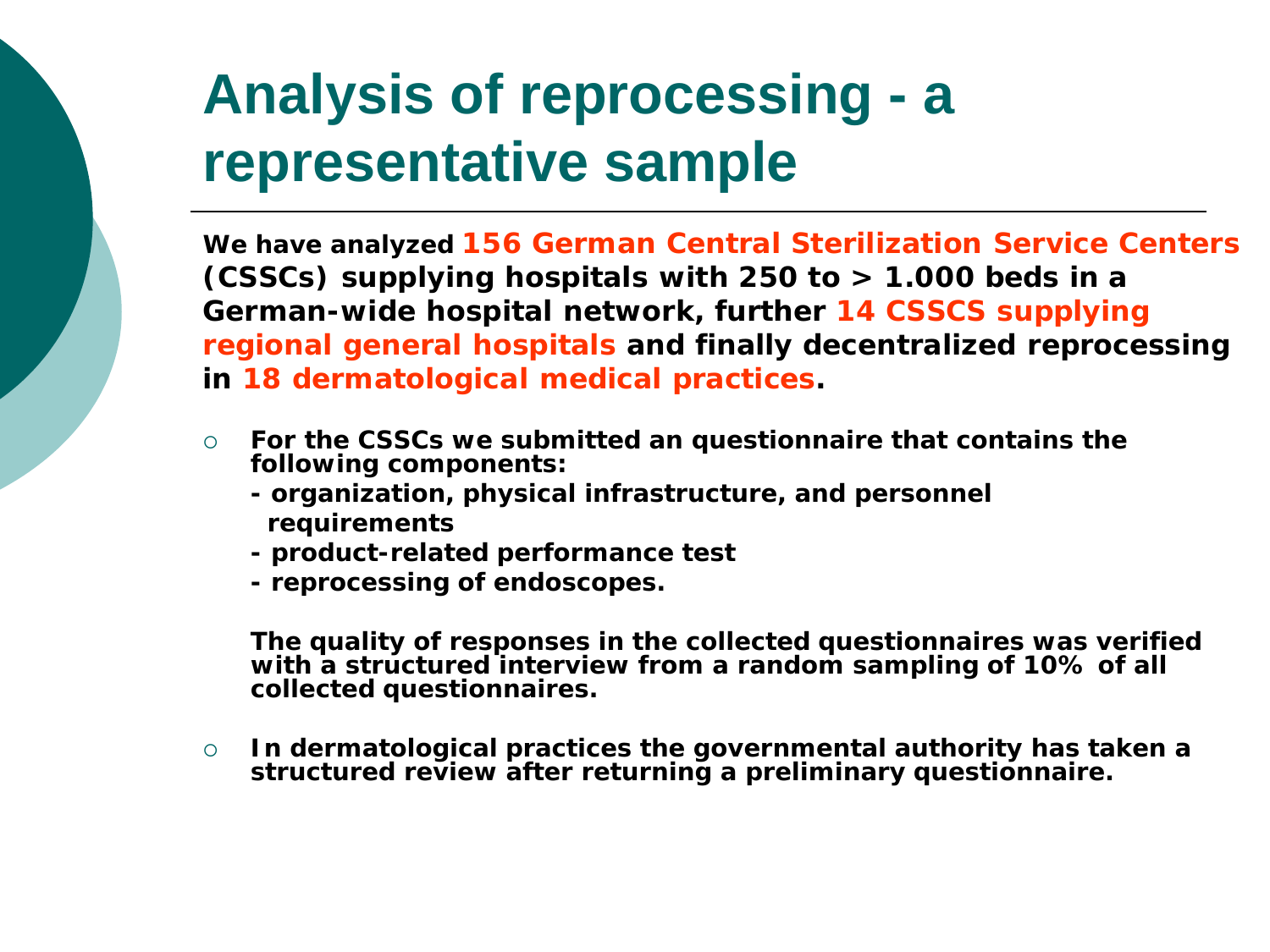## **Analysis of reprocessing - a representative sample**

**We have analyzed 156 German Central Sterilization Service Centers (CSSCs) supplying hospitals with 250 to > 1.000 beds in a German-wide hospital network, further 14 CSSCS supplying regional general hospitals and finally decentralized reprocessing in 18 dermatological medical practices.**

- **For the CSSCs we submitted an questionnaire that contains the following components:** 
	- **- organization, physical infrastructure, and personnel requirements**
	- **- product-related performance test**
	- **- reprocessing of endoscopes.**

**The quality of responses in the collected questionnaires was verified with a structured interview from a random sampling of 10% of all collected questionnaires.**

 **In dermatological practices the governmental authority has taken a structured review after returning a preliminary questionnaire.**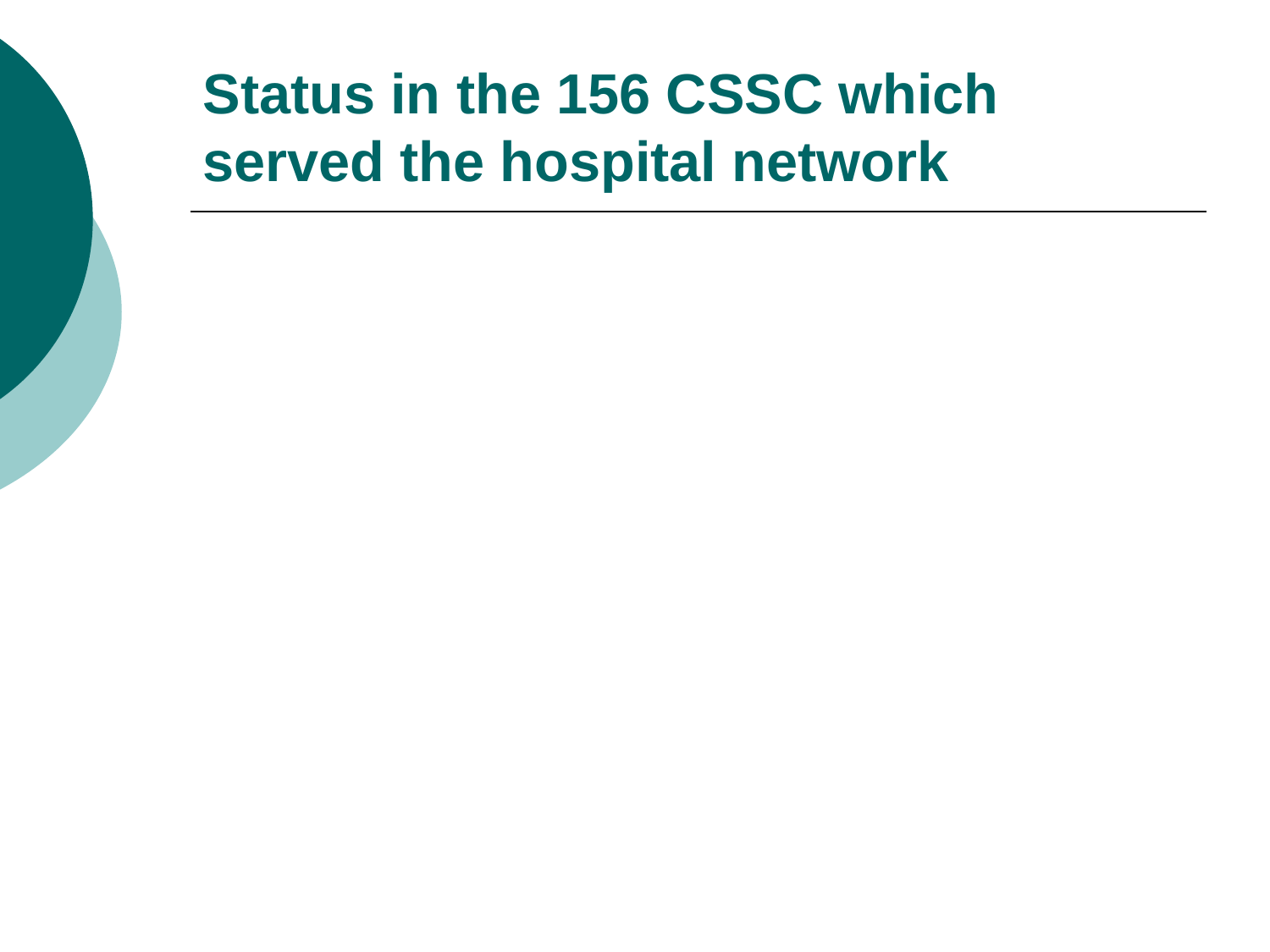## **Status in the 156 CSSC which served the hospital network**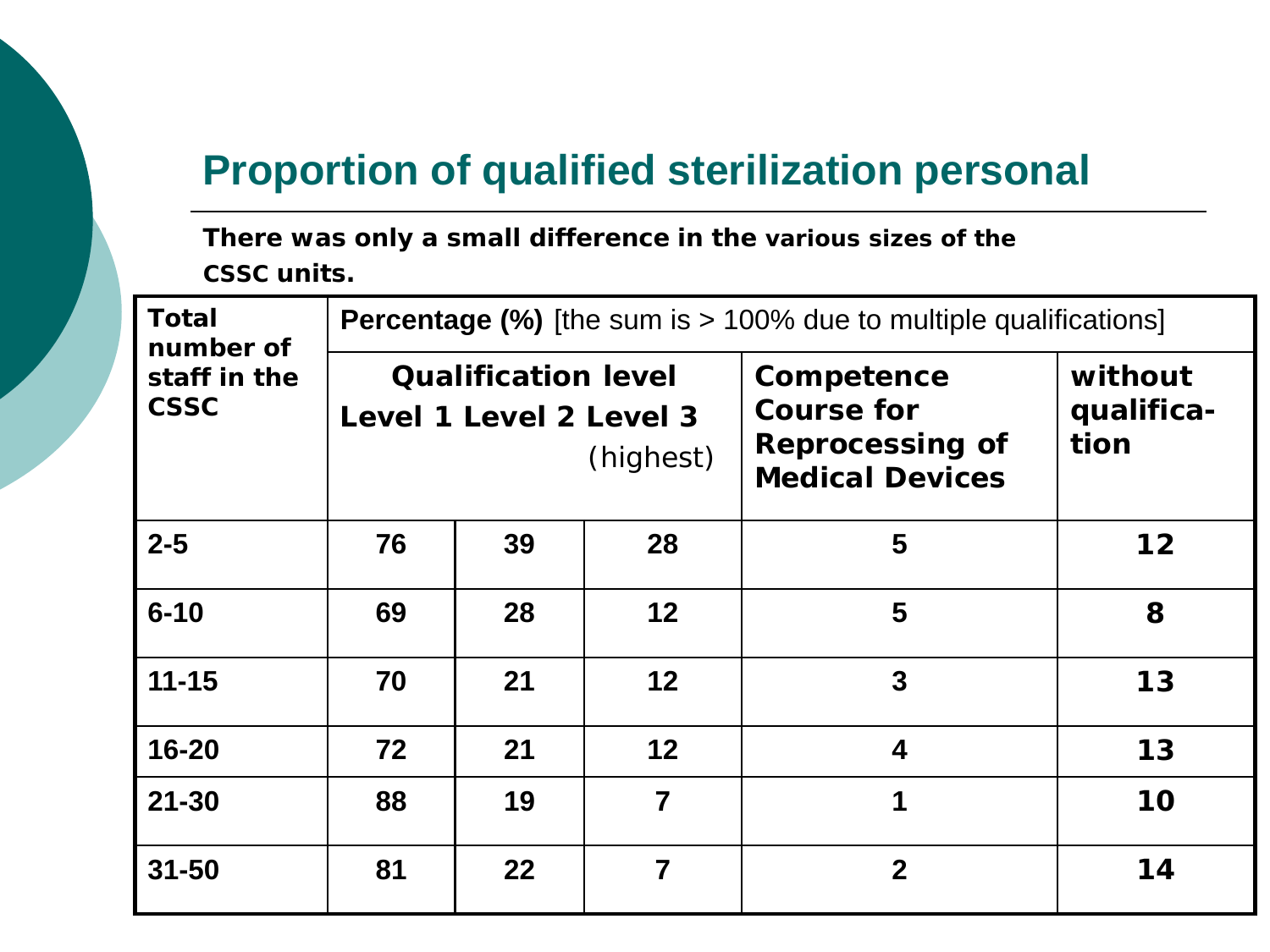#### **Proportion of qualified sterilization personal**

**There was only a small difference in the various sizes of the CSSC units.** 

| <b>Total</b><br>number of   | <b>Percentage (%)</b> [the sum is > 100% due to multiple qualifications] |                                                       |                |                                                                                     |                               |  |  |
|-----------------------------|--------------------------------------------------------------------------|-------------------------------------------------------|----------------|-------------------------------------------------------------------------------------|-------------------------------|--|--|
| staff in the<br><b>CSSC</b> |                                                                          | <b>Qualification level</b><br>Level 1 Level 2 Level 3 | (highest)      | Competence<br><b>Course for</b><br><b>Reprocessing of</b><br><b>Medical Devices</b> | without<br>qualifica-<br>tion |  |  |
| $2 - 5$                     | 76                                                                       | 39                                                    | 28             | 5                                                                                   | 12                            |  |  |
| $6 - 10$                    | 69                                                                       | 28                                                    | 12             | 5                                                                                   | 8                             |  |  |
| $11 - 15$                   | 70                                                                       | 21                                                    | 12             | $\overline{3}$                                                                      | 13                            |  |  |
| $16 - 20$                   | 72                                                                       | 21                                                    | 12             | $\overline{\mathbf{4}}$                                                             | 13                            |  |  |
| $21 - 30$                   | 88                                                                       | 19                                                    | $\overline{7}$ | 1                                                                                   | 10                            |  |  |
| $31 - 50$                   | 81                                                                       | $22 \,$                                               | 7              | $\overline{2}$                                                                      | 14                            |  |  |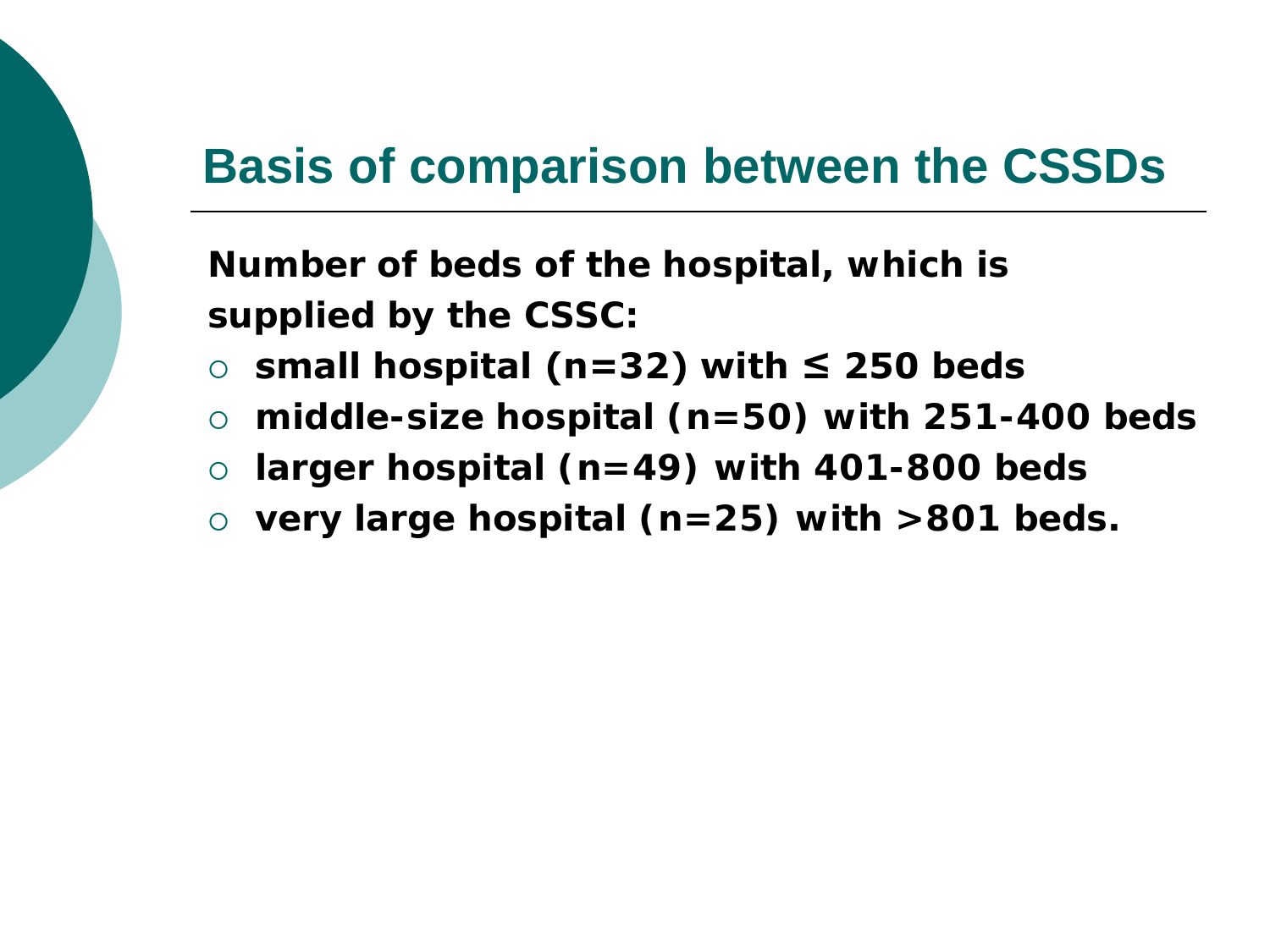### **Basis of comparison between the CSSDs**

**Number of beds of the hospital, which is supplied by the CSSC:**

- **small hospital (n=32) with ≤ 250 beds**
- **middle-size hospital (n=50) with 251-400 beds**
- **larger hospital (n=49) with 401-800 beds**
- **very large hospital (n=25) with >801 beds.**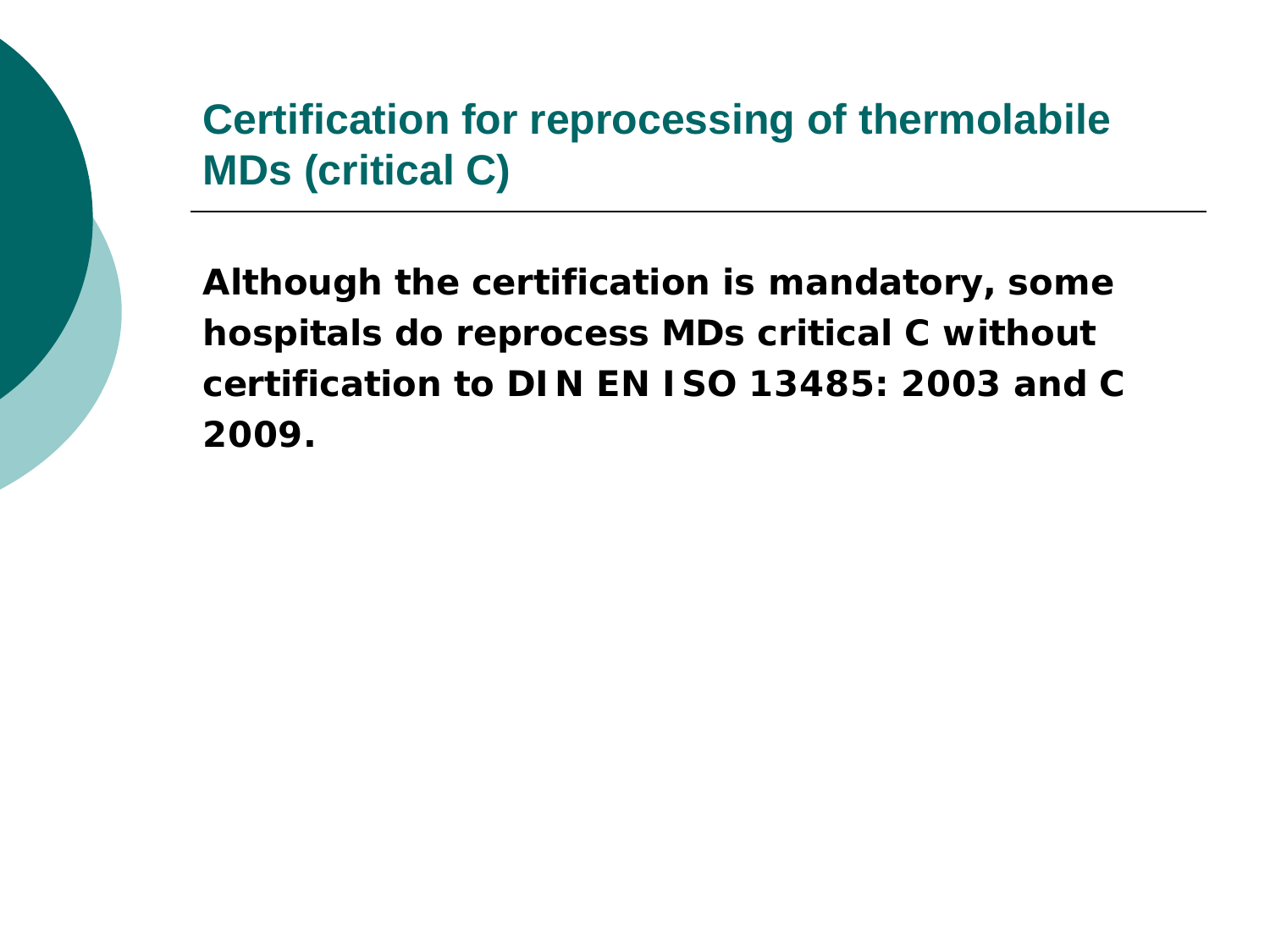### **Certification for reprocessing of thermolabile MDs (critical C)**

**Although the certification is mandatory, some hospitals do reprocess MDs critical C without certification to DIN EN ISO 13485: 2003 and C 2009.**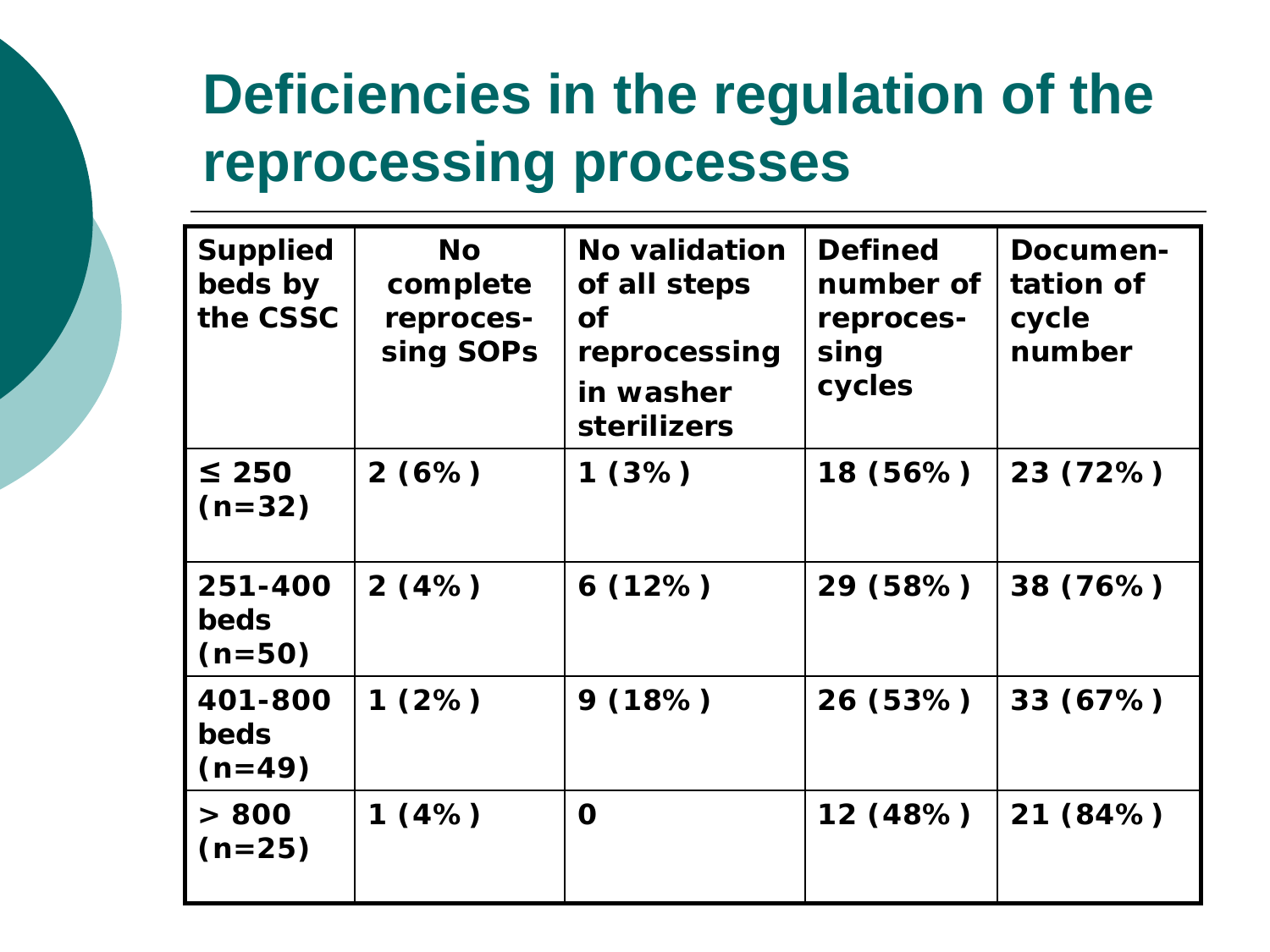## **Deficiencies in the regulation of the reprocessing processes**

| <b>Supplied</b><br>beds by<br>the CSSC | <b>No</b><br>complete<br>reproces-<br>sing SOPs | <b>No validation</b><br>of all steps<br><b>of</b><br>reprocessing<br>in washer<br><b>sterilizers</b> | <b>Defined</b><br>number of<br>reproces-<br>sing<br>cycles | Documen-<br>tation of<br>cycle<br>number |
|----------------------------------------|-------------------------------------------------|------------------------------------------------------------------------------------------------------|------------------------------------------------------------|------------------------------------------|
| $\leq 250$<br>$(n=32)$                 | 2(6%)                                           | 1(3%)                                                                                                | 18 (56%)                                                   | 23 (72%)                                 |
| 251-400<br><b>beds</b><br>$(n=50)$     | 2(4%)                                           | 6(12%)                                                                                               | 29 (58%)                                                   | 38 (76%)                                 |
| 401-800<br><b>beds</b><br>$(n=49)$     | 1(2%)                                           | 9(18%)                                                                                               | 26 (53%)                                                   | 33(67%)                                  |
| > 800<br>$(n=25)$                      | 1(4%)                                           | O                                                                                                    | 12 (48%)                                                   | 21 (84%)                                 |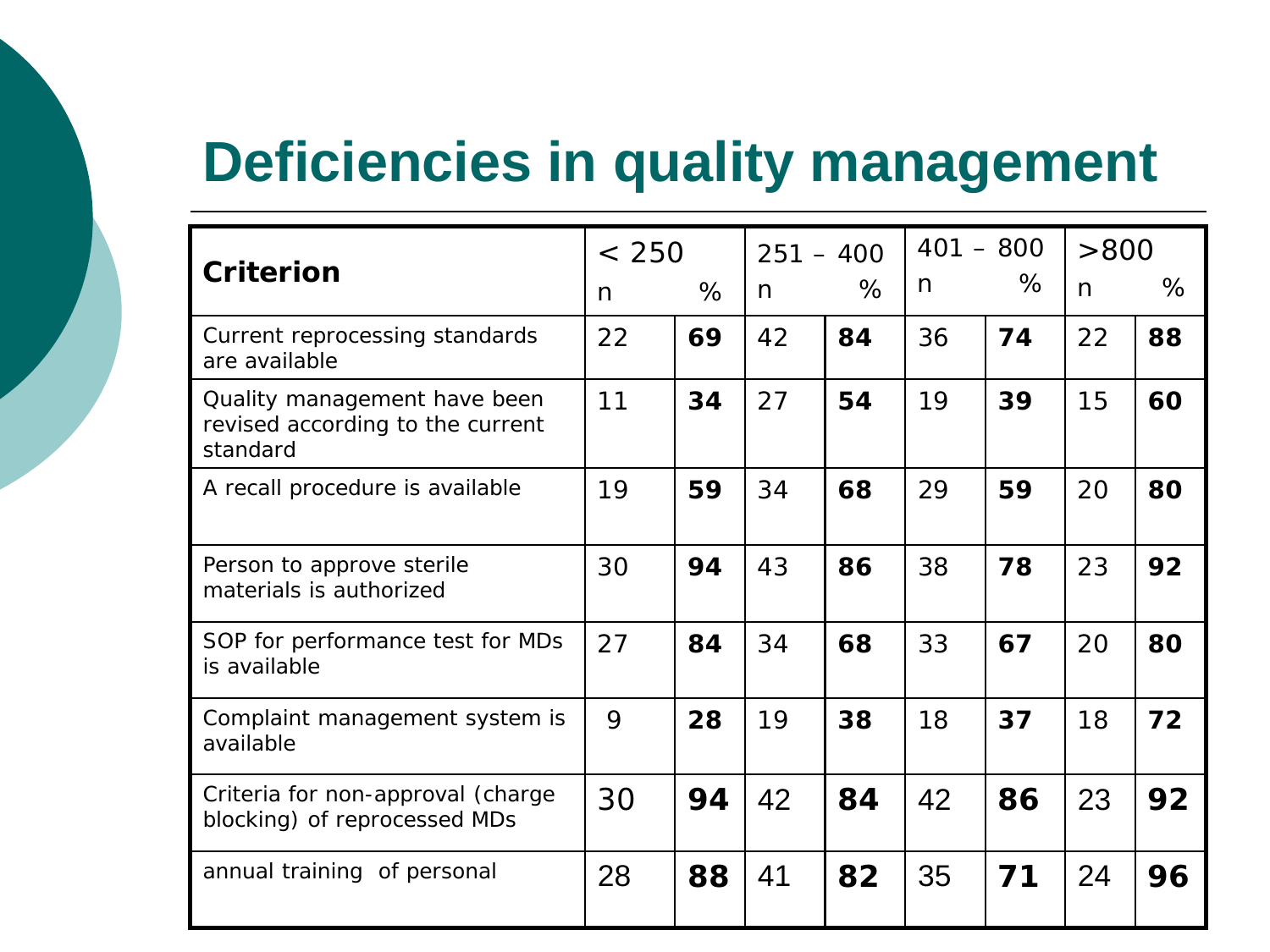### **Deficiencies in quality management**

|                                                                              | < 250 |    | $251 - 400$ |    | $401 - 800$ |    | >800         |    |
|------------------------------------------------------------------------------|-------|----|-------------|----|-------------|----|--------------|----|
| <b>Criterion</b>                                                             | n     | %  | n           | %  | n           | ℅  | $\mathsf{n}$ | %  |
| Current reprocessing standards<br>are available                              | 22    | 69 | 42          | 84 | 36          | 74 | 22           | 88 |
| Quality management have been<br>revised according to the current<br>standard | 11    | 34 | 27          | 54 | 19          | 39 | 15           | 60 |
| A recall procedure is available                                              | 19    | 59 | 34          | 68 | 29          | 59 | 20           | 80 |
| Person to approve sterile<br>materials is authorized                         | 30    | 94 | 43          | 86 | 38          | 78 | 23           | 92 |
| SOP for performance test for MDs<br>is available                             | 27    | 84 | 34          | 68 | 33          | 67 | 20           | 80 |
| Complaint management system is<br>available                                  | 9     | 28 | 19          | 38 | 18          | 37 | 18           | 72 |
| Criteria for non-approval (charge<br>blocking) of reprocessed MDs            | 30    | 94 | 42          | 84 | 42          | 86 | 23           | 92 |
| annual training of personal                                                  | 28    | 88 | 41          | 82 | 35          | 71 | 24           | 96 |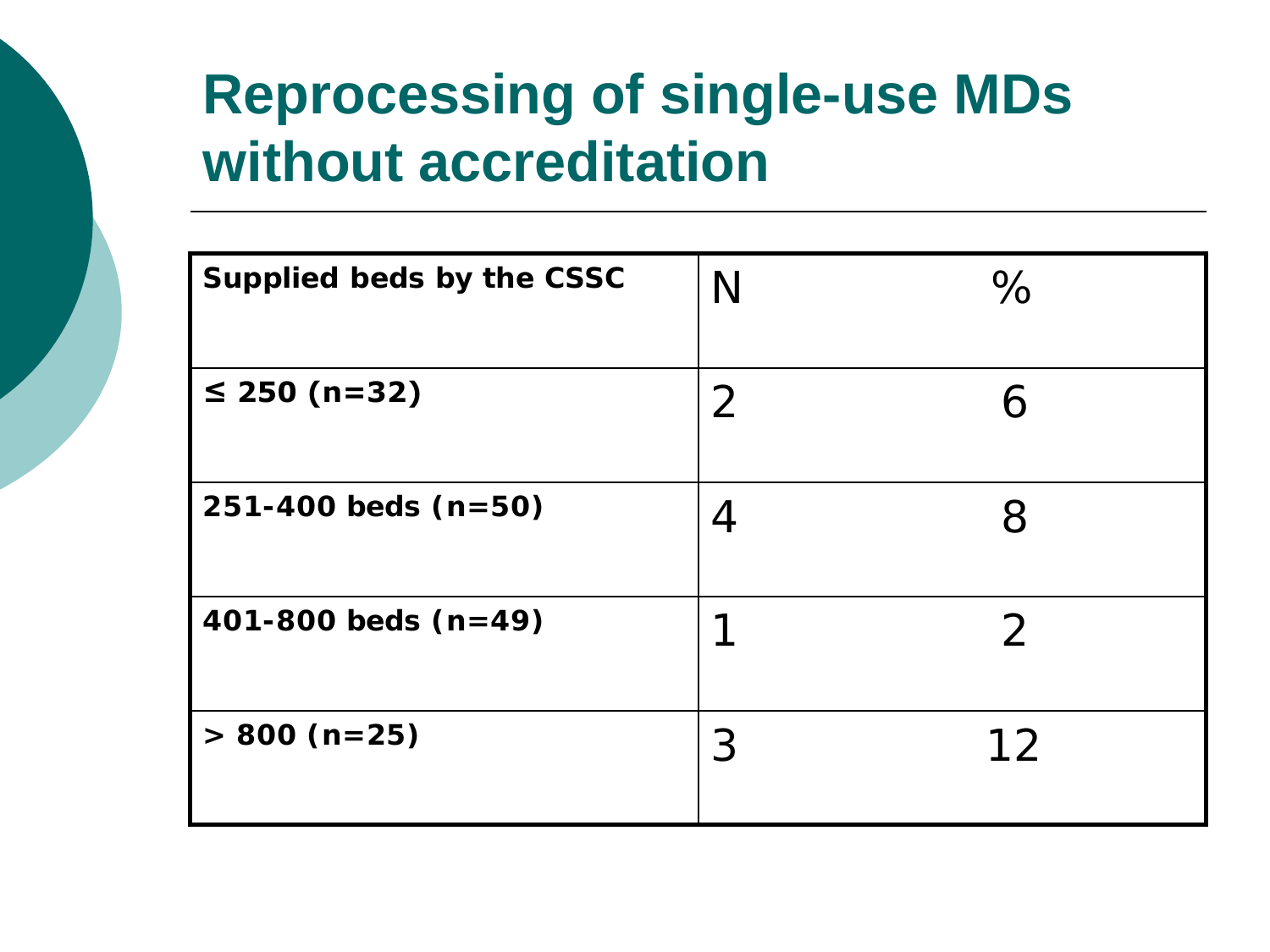## **Reprocessing of single-use MDs without accreditation**

| Supplied beds by the CSSC | N | $\%$           |
|---------------------------|---|----------------|
| ≤ 250 (n=32)              | 2 | 6              |
| $251 - 400$ beds $(n=50)$ |   | 8              |
| 401-800 beds $(n=49)$     |   | $\overline{2}$ |
| $> 800$ (n=25)            | З | 12             |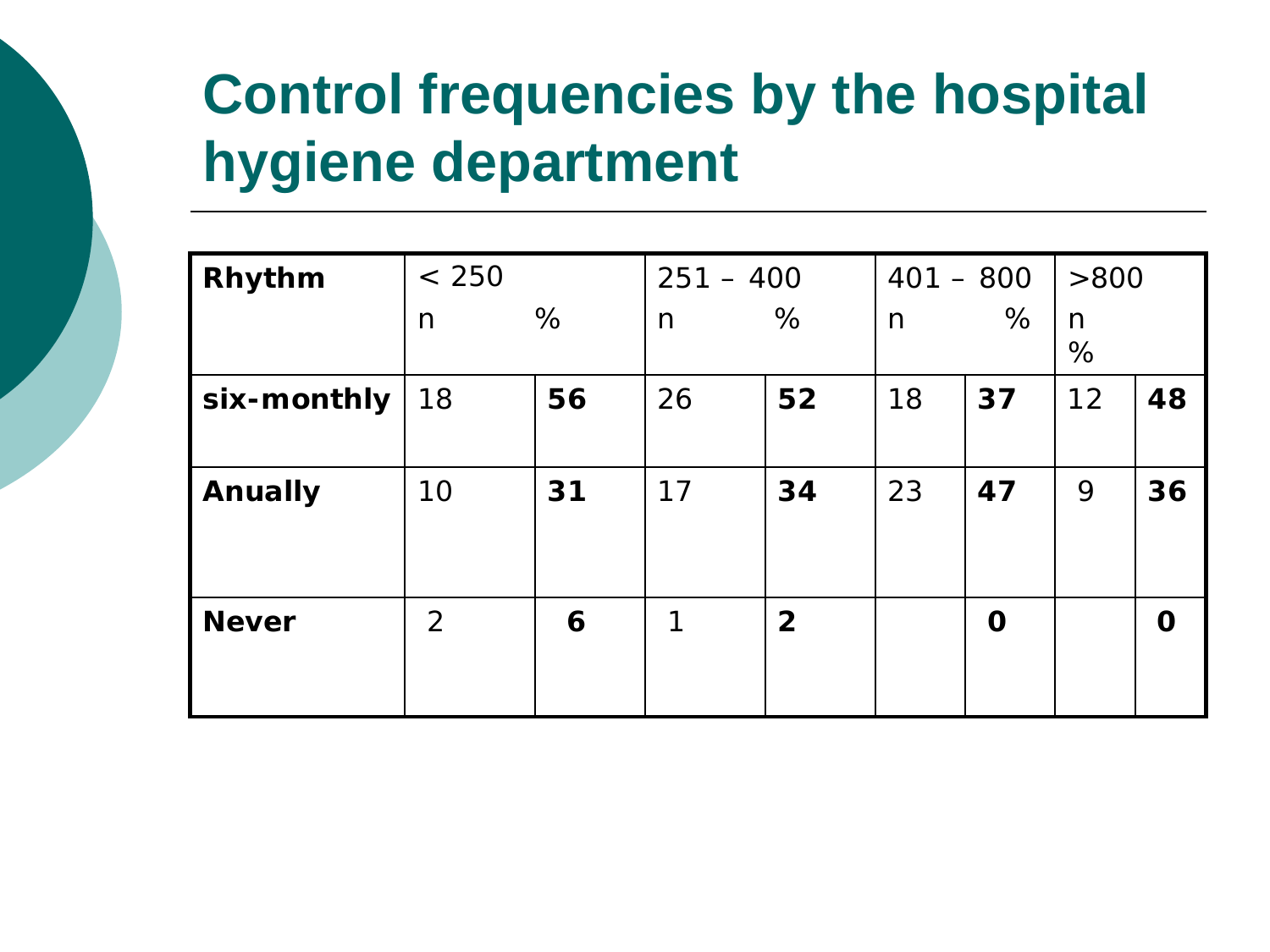## **Control frequencies by the hospital hygiene department**

| Rhythm         | < 250          |    |    | $251 - 400$    |              | $401 - 800$ |        | >800        |  |
|----------------|----------------|----|----|----------------|--------------|-------------|--------|-------------|--|
|                | $\mathsf{n}$   | %  | n  | %              | $\mathsf{n}$ | %           | n<br>% |             |  |
| six-monthly    | 18             | 56 | 26 | 52             | 18           | 37          | 12     | 48          |  |
| <b>Anually</b> | 10             | 31 | 17 | 34             | 23           | 47          | 9      | 36          |  |
| <b>Never</b>   | $\overline{2}$ | 6  | 1  | $\overline{2}$ |              | $\mathbf 0$ |        | $\mathbf 0$ |  |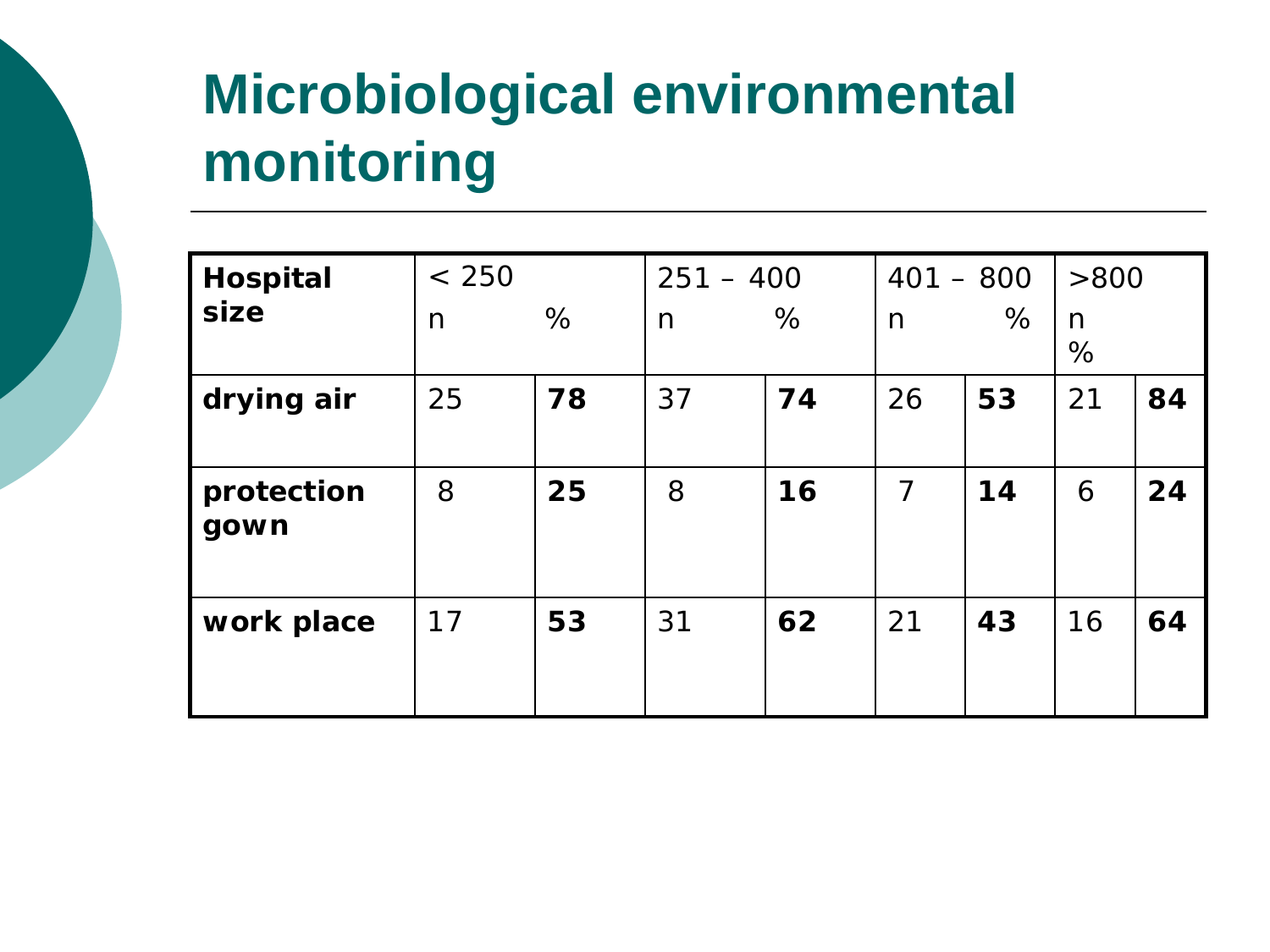## **Microbiological environmental monitoring**

| <b>Hospital</b>    | < 250 |    | $251 - 400$ |    | $401 - 800$    |    | >800   |    |
|--------------------|-------|----|-------------|----|----------------|----|--------|----|
| size               | n     | %  | n           | %  | n              | %  | n<br>% |    |
| drying air         | 25    | 78 | 37          | 74 | 26             | 53 | 21     | 84 |
| protection<br>gown | 8     | 25 | 8           | 16 | $\overline{7}$ | 14 | 6      | 24 |
| work place         | 17    | 53 | 31          | 62 | 21             | 43 | 16     | 64 |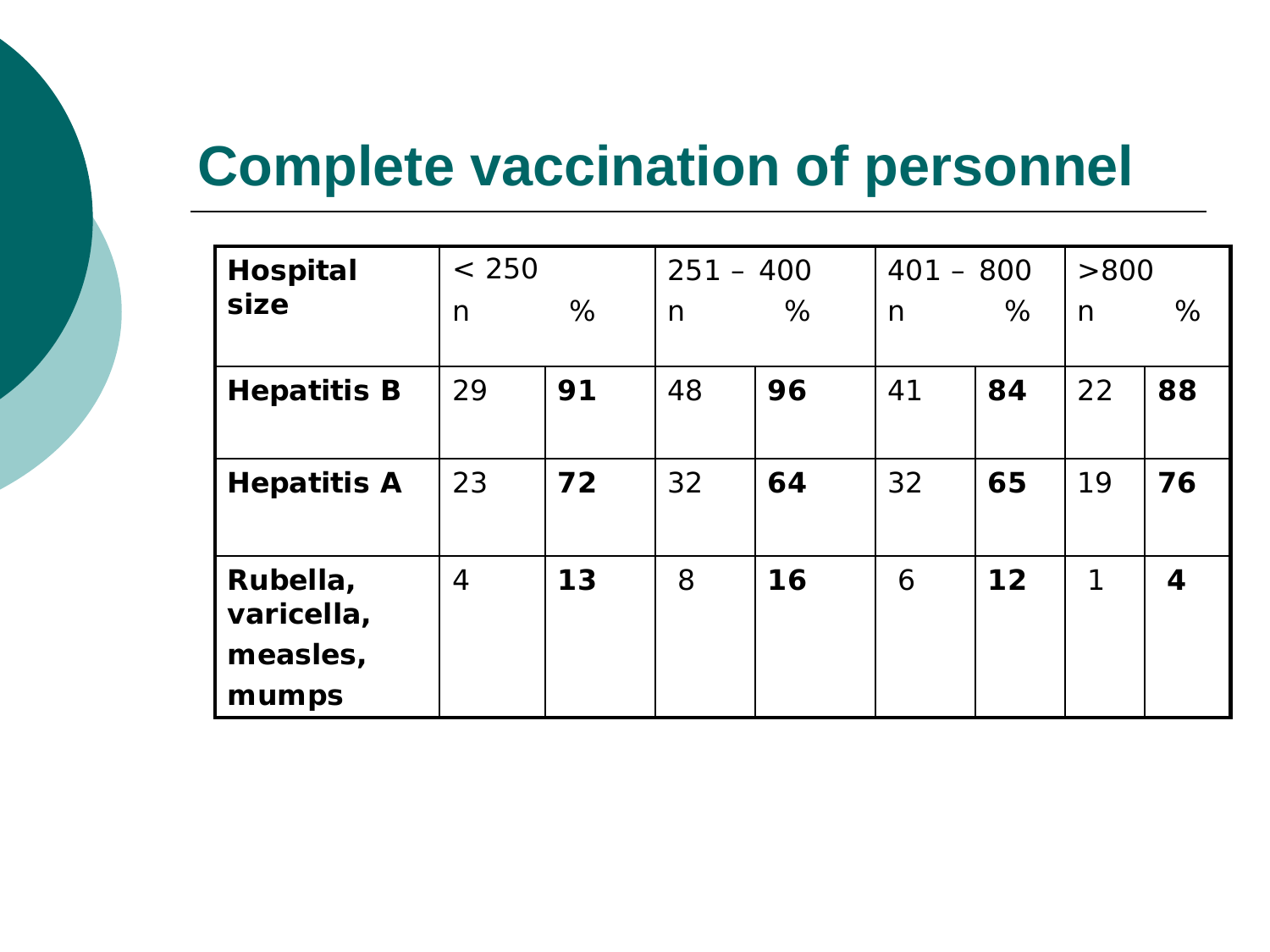### **Complete vaccination of personnel**

| <b>Hospital</b>        | < 250          |    | $251 - 400$ |    | $401 - 800$ |    | >800 |    |
|------------------------|----------------|----|-------------|----|-------------|----|------|----|
| size                   | n              | %  | n           | %  | n           | %  | n    | %  |
| <b>Hepatitis B</b>     | 29             | 91 | 48          | 96 | 41          | 84 | 22   | 88 |
| <b>Hepatitis A</b>     | 23             | 72 | 32          | 64 | 32          | 65 | 19   | 76 |
| Rubella,<br>varicella, | $\overline{4}$ | 13 | 8           | 16 | 6           | 12 | 1    | 4  |
| measles,               |                |    |             |    |             |    |      |    |
| mumps                  |                |    |             |    |             |    |      |    |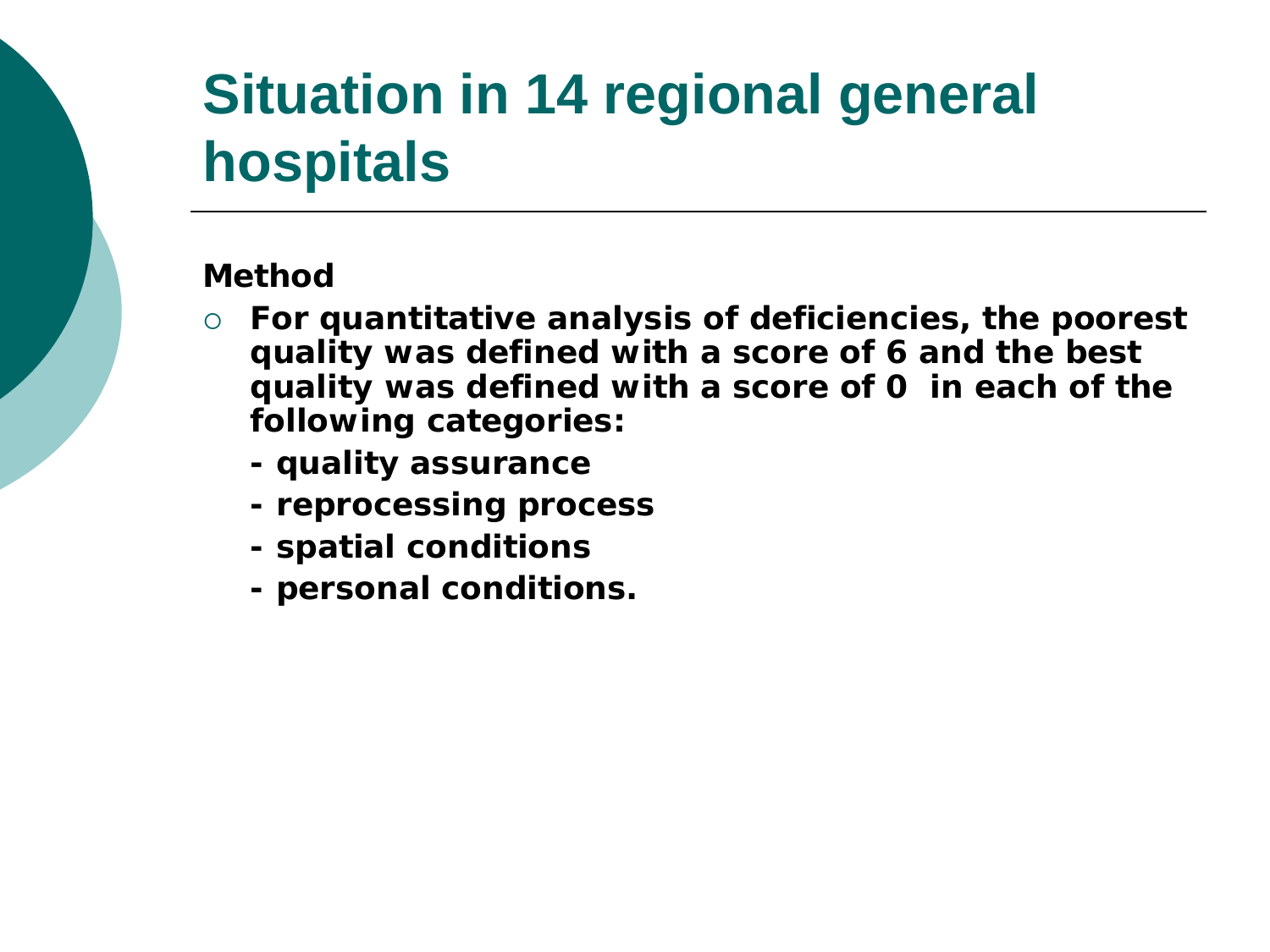## **Situation in 14 regional general hospitals**

#### **Method**

- **For quantitative analysis of deficiencies, the poorest quality was defined with a score of 6 and the best quality was defined with a score of 0 in each of the following categories:** 
	- **- quality assurance**
	- **- reprocessing process**
	- **- spatial conditions**
	- **- personal conditions.**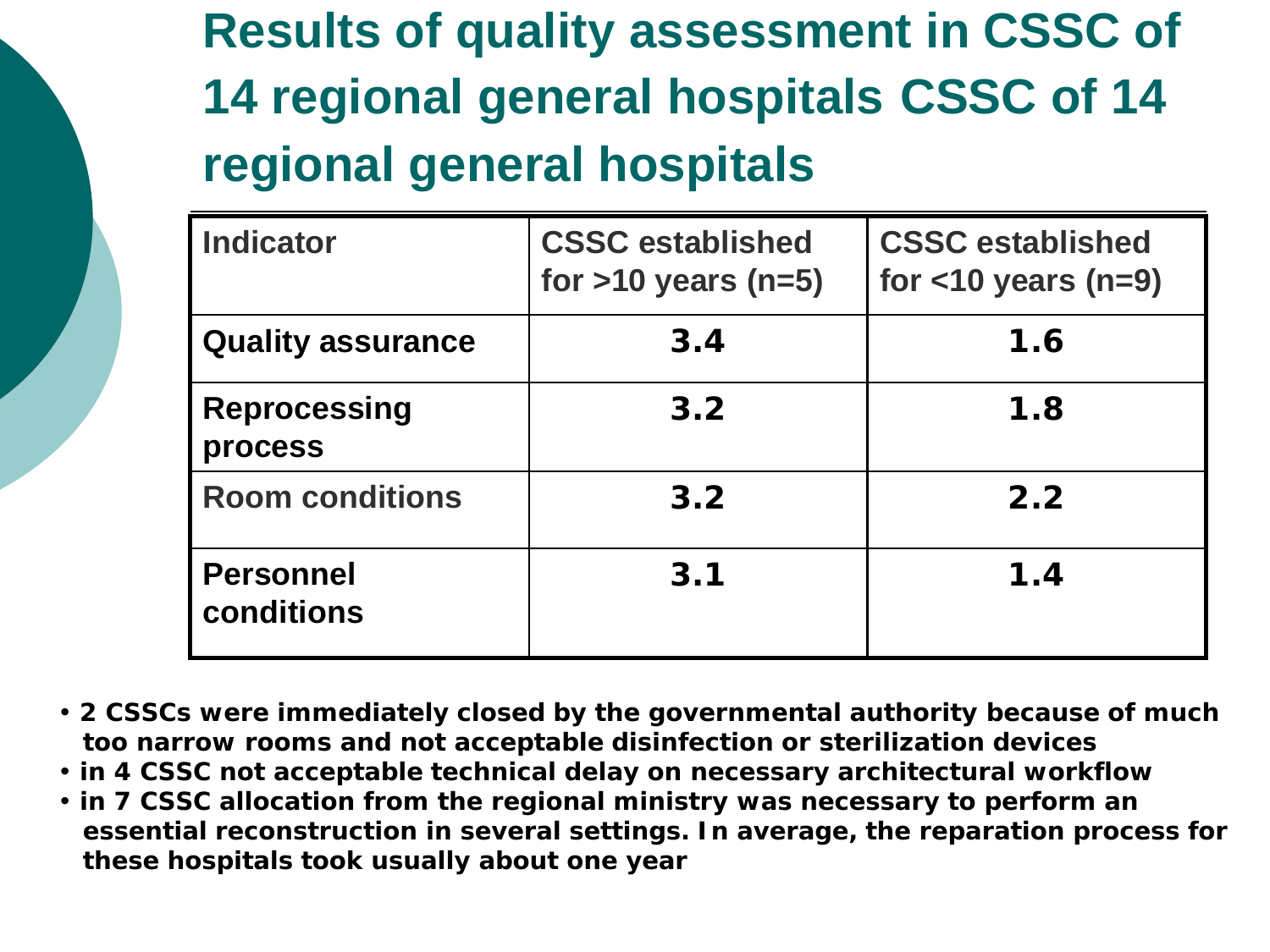**Results of quality assessment in CSSC of 14 regional general hospitals CSSC of 14 regional general hospitals**

| <b>Indicator</b>               | <b>CSSC established</b><br>for $>10$ years (n=5) | <b>CSSC established</b><br>for $<$ 10 years (n=9) |
|--------------------------------|--------------------------------------------------|---------------------------------------------------|
| <b>Quality assurance</b>       | 3.4                                              | 1.6                                               |
| <b>Reprocessing</b><br>process | 3.2                                              | 1.8                                               |
| <b>Room conditions</b>         | 3.2                                              | 2.2                                               |
| <b>Personnel</b><br>conditions | 3.1                                              | 1.4                                               |

- **2 CSSCs were immediately closed by the governmental authority because of much too narrow rooms and not acceptable disinfection or sterilization devices**
- **in 4 CSSC not acceptable technical delay on necessary architectural workflow**
- **in 7 CSSC allocation from the regional ministry was necessary to perform an essential reconstruction in several settings. In average, the reparation process for these hospitals took usually about one year**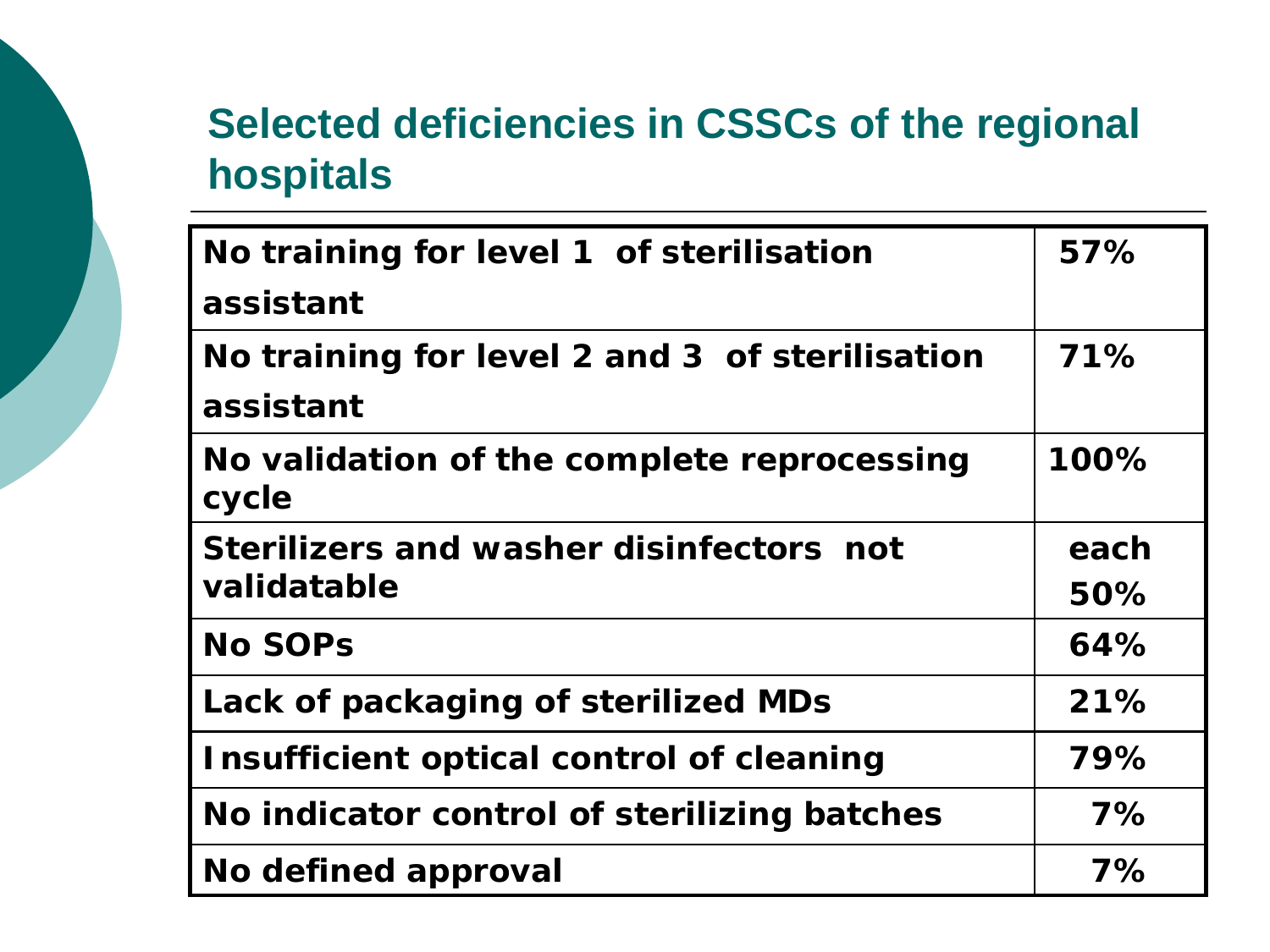### **Selected deficiencies in CSSCs of the regional hospitals**

| No training for level 1 of sterilisation            | 57%  |
|-----------------------------------------------------|------|
| assistant                                           |      |
| No training for level 2 and 3 of sterilisation      | 71%  |
| assistant                                           |      |
| No validation of the complete reprocessing<br>cycle | 100% |
| Sterilizers and washer disinfectors not             | each |
| validatable                                         | 50%  |
| <b>No SOPs</b>                                      | 64%  |
| Lack of packaging of sterilized MDs                 | 21%  |
| Insufficient optical control of cleaning            | 79%  |
| No indicator control of sterilizing batches         | 7%   |
| No defined approval                                 | 7%   |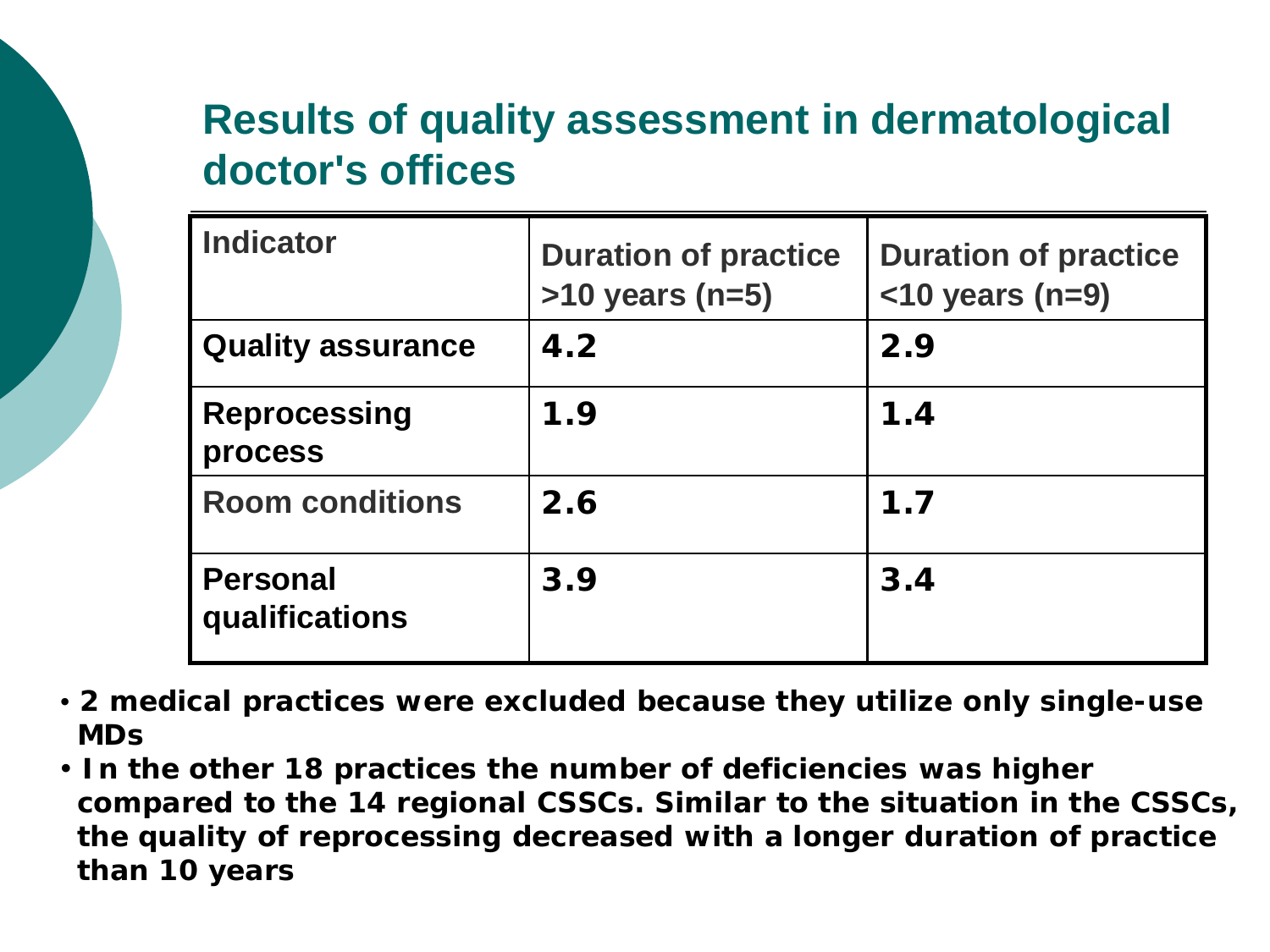### **Results of quality assessment in dermatological doctor's offices**

| <b>Indicator</b>                  | <b>Duration of practice</b><br>$>10$ years (n=5) | <b>Duration of practice</b><br>$<$ 10 years (n=9) |
|-----------------------------------|--------------------------------------------------|---------------------------------------------------|
| <b>Quality assurance</b>          | 4.2                                              | 2.9                                               |
| <b>Reprocessing</b><br>process    | 1.9                                              | 1.4                                               |
| <b>Room conditions</b>            | 2.6                                              | 1.7                                               |
| <b>Personal</b><br>qualifications | 3.9                                              | 3.4                                               |

- **2 medical practices were excluded because they utilize only single-use MDs**
- **In the other 18 practices the number of deficiencies was higher compared to the 14 regional CSSCs. Similar to the situation in the CSSCs, the quality of reprocessing decreased with a longer duration of practice than 10 years**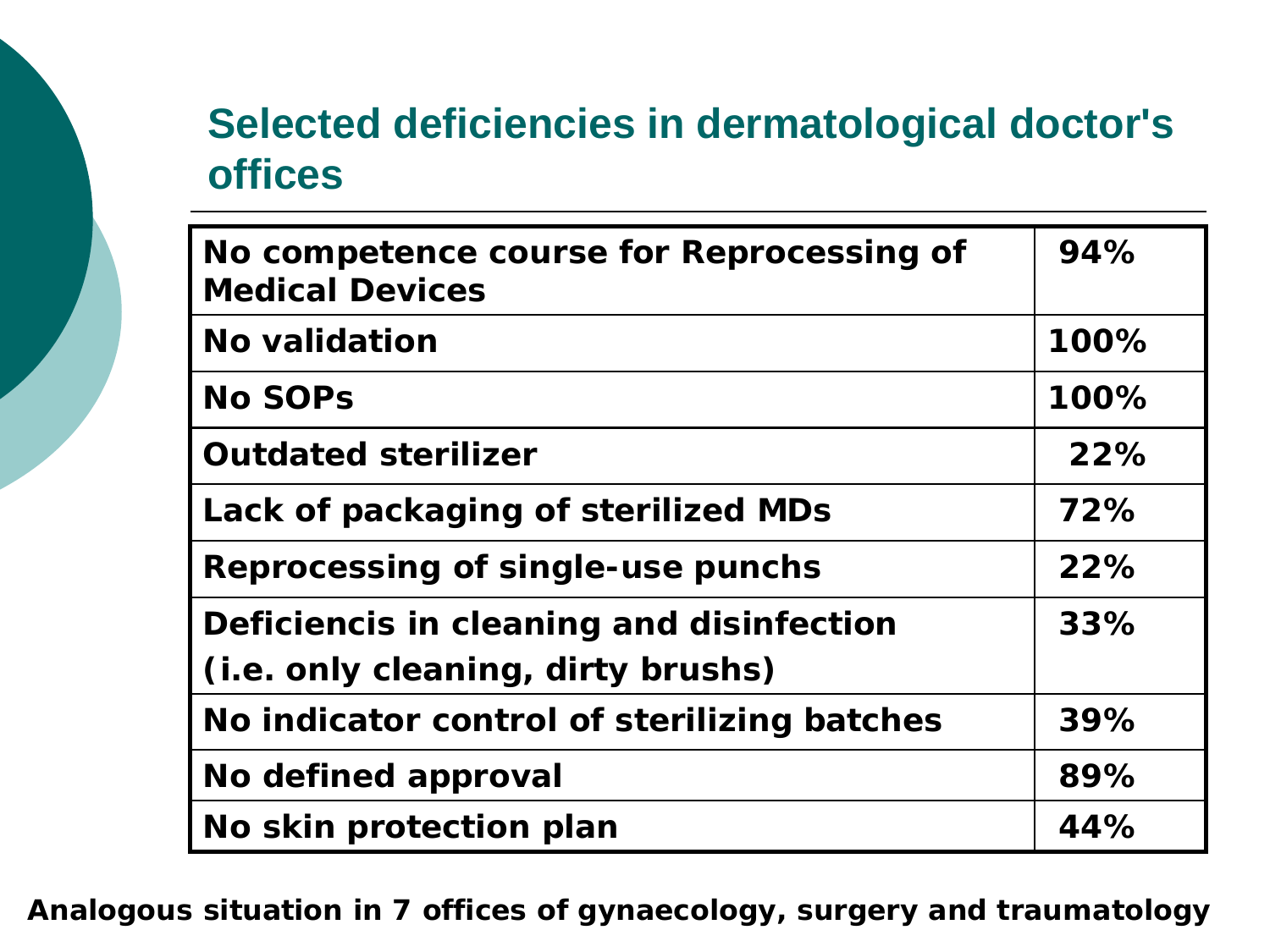### **Selected deficiencies in dermatological doctor's offices**

| No competence course for Reprocessing of<br><b>Medical Devices</b> | 94%  |
|--------------------------------------------------------------------|------|
| No validation                                                      | 100% |
| <b>No SOPs</b>                                                     | 100% |
| <b>Outdated sterilizer</b>                                         | 22%  |
| Lack of packaging of sterilized MDs                                | 72%  |
| <b>Reprocessing of single-use punchs</b>                           | 22%  |
| Deficiencis in cleaning and disinfection                           | 33%  |
| (i.e. only cleaning, dirty brushs)                                 |      |
| No indicator control of sterilizing batches                        | 39%  |
| No defined approval                                                | 89%  |
| No skin protection plan                                            | 44%  |

**Analogous situation in 7 offices of gynaecology, surgery and traumatology**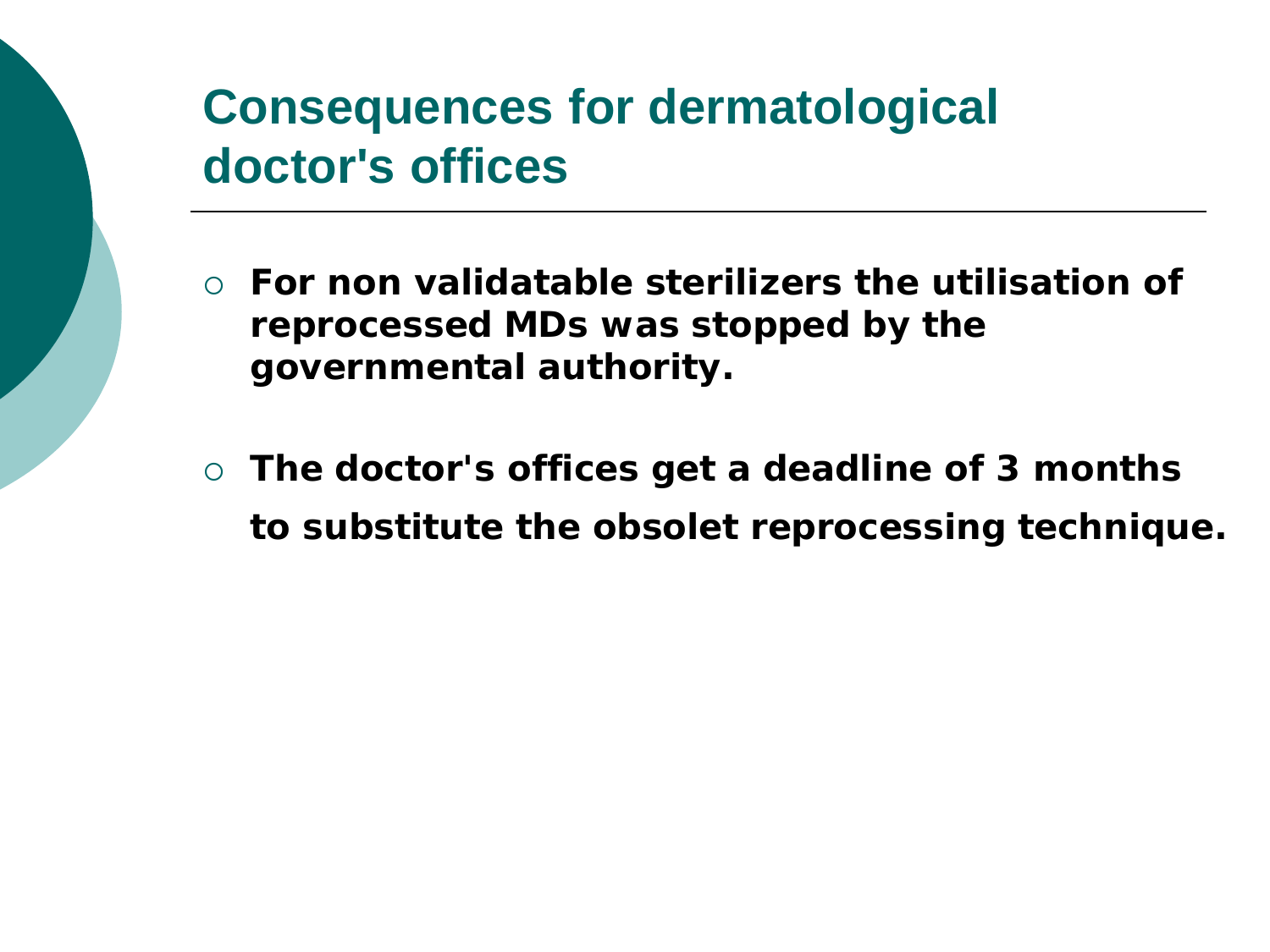### **Consequences for dermatological doctor's offices**

- **For non validatable sterilizers the utilisation of reprocessed MDs was stopped by the governmental authority.**
- **The doctor's offices get a deadline of 3 months to substitute the obsolet reprocessing technique.**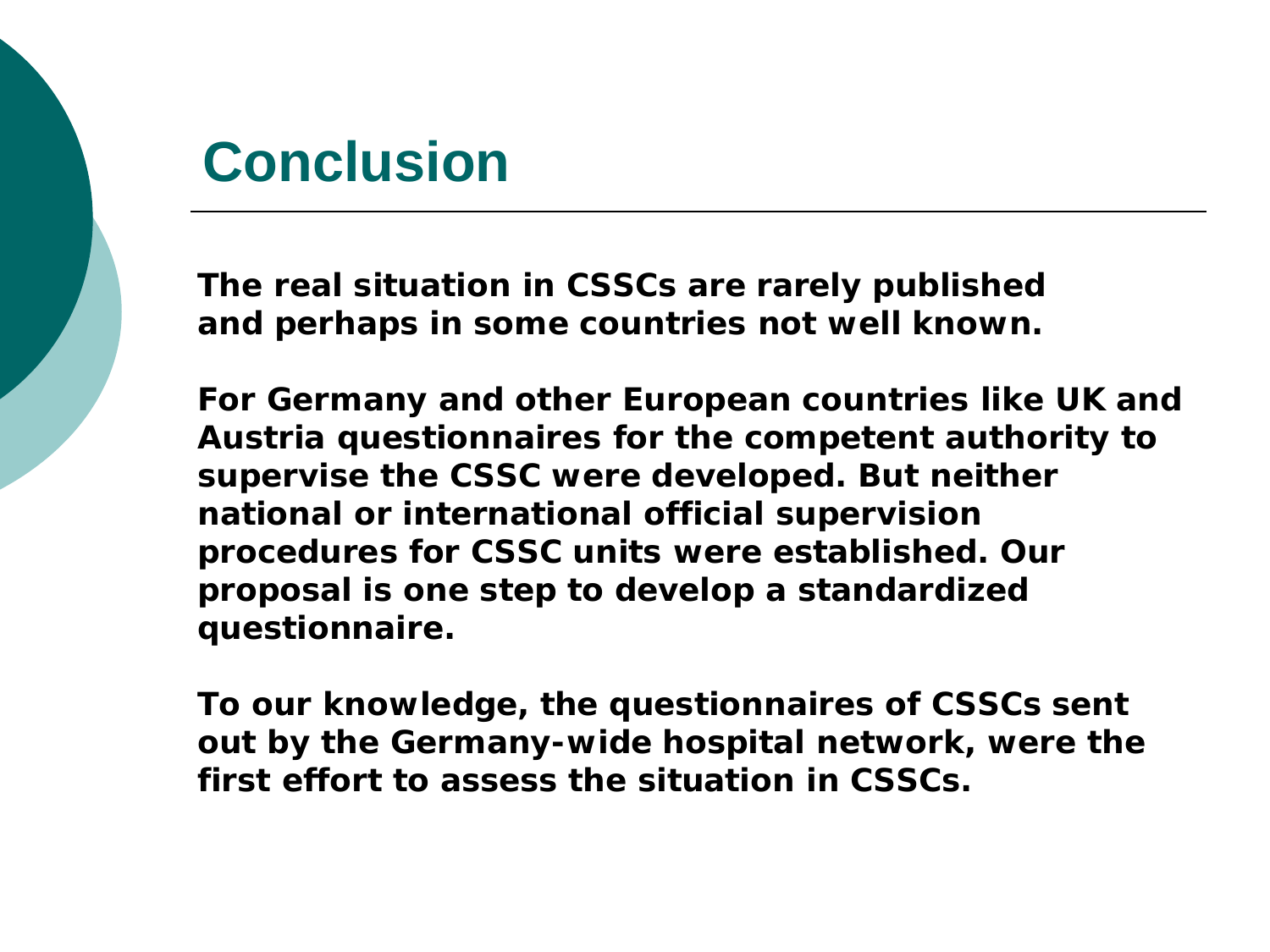### **Conclusion**

**The real situation in CSSCs are rarely published and perhaps in some countries not well known.** 

**For Germany and other European countries like UK and Austria questionnaires for the competent authority to supervise the CSSC were developed. But neither national or international official supervision procedures for CSSC units were established. Our proposal is one step to develop a standardized questionnaire.** 

**To our knowledge, the questionnaires of CSSCs sent out by the Germany-wide hospital network, were the first effort to assess the situation in CSSCs.**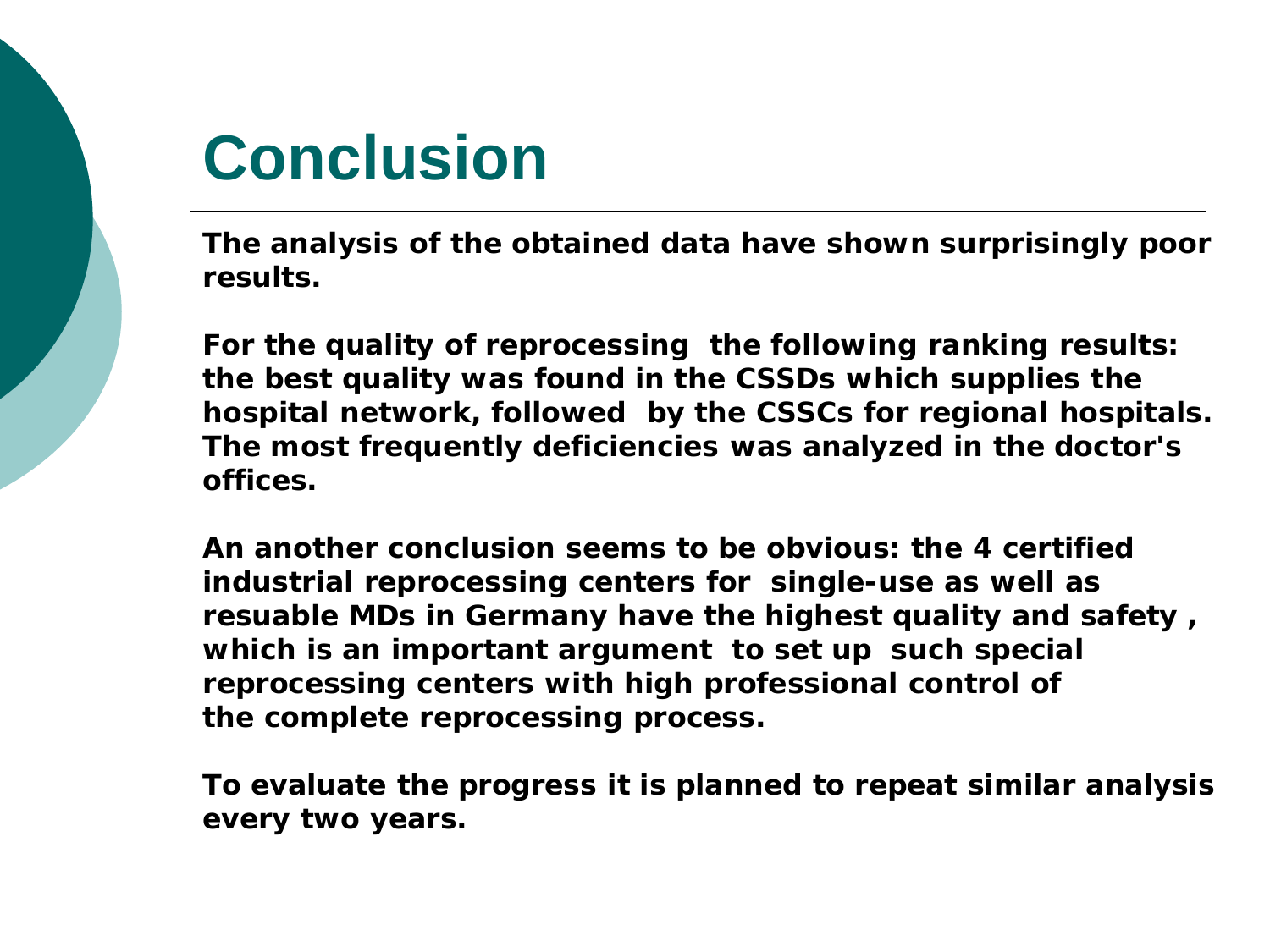## **Conclusion**

**The analysis of the obtained data have shown surprisingly poor results.**

**For the quality of reprocessing the following ranking results: the best quality was found in the CSSDs which supplies the hospital network, followed by the CSSCs for regional hospitals. The most frequently deficiencies was analyzed in the doctor's offices.** 

**An another conclusion seems to be obvious: the 4 certified industrial reprocessing centers for single-use as well as resuable MDs in Germany have the highest quality and safety , which is an important argument to set up such special reprocessing centers with high professional control of the complete reprocessing process.**

**To evaluate the progress it is planned to repeat similar analysis every two years.**